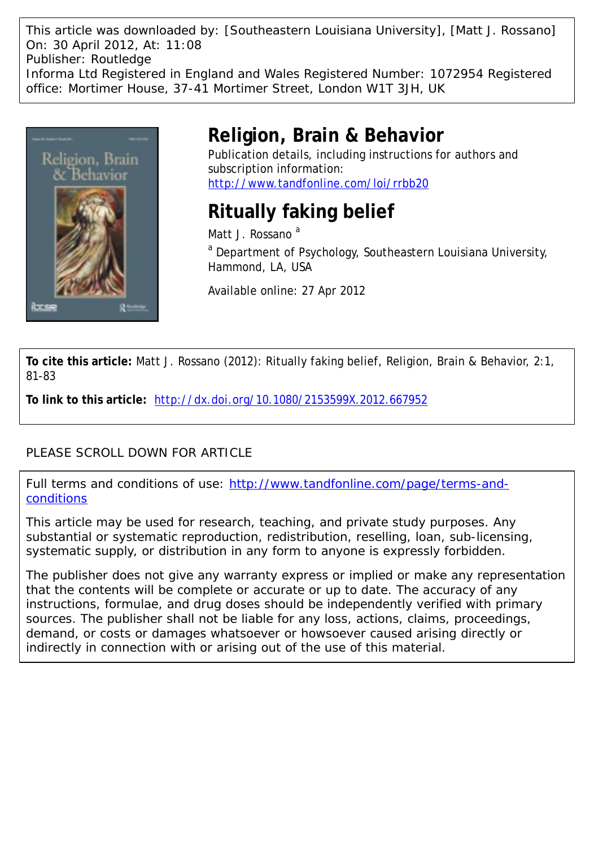This article was downloaded by: [Southeastern Louisiana University], [Matt J. Rossano] On: 30 April 2012, At: 11:08 Publisher: Routledge Informa Ltd Registered in England and Wales Registered Number: 1072954 Registered office: Mortimer House, 37-41 Mortimer Street, London W1T 3JH, UK



# **Religion, Brain & Behavior**

Publication details, including instructions for authors and subscription information: <http://www.tandfonline.com/loi/rrbb20>

# **Ritually faking belief**

Matt J. Rossano<sup>a</sup> <sup>a</sup> Department of Psychology, Southeastern Louisiana University, Hammond, LA, USA

Available online: 27 Apr 2012

**To cite this article:** Matt J. Rossano (2012): Ritually faking belief, Religion, Brain & Behavior, 2:1, 81-83

**To link to this article:** <http://dx.doi.org/10.1080/2153599X.2012.667952>

# PLEASE SCROLL DOWN FOR ARTICLE

Full terms and conditions of use: [http://www.tandfonline.com/page/terms-and](http://www.tandfonline.com/page/terms-and-conditions)[conditions](http://www.tandfonline.com/page/terms-and-conditions)

This article may be used for research, teaching, and private study purposes. Any substantial or systematic reproduction, redistribution, reselling, loan, sub-licensing, systematic supply, or distribution in any form to anyone is expressly forbidden.

The publisher does not give any warranty express or implied or make any representation that the contents will be complete or accurate or up to date. The accuracy of any instructions, formulae, and drug doses should be independently verified with primary sources. The publisher shall not be liable for any loss, actions, claims, proceedings, demand, or costs or damages whatsoever or howsoever caused arising directly or indirectly in connection with or arising out of the use of this material.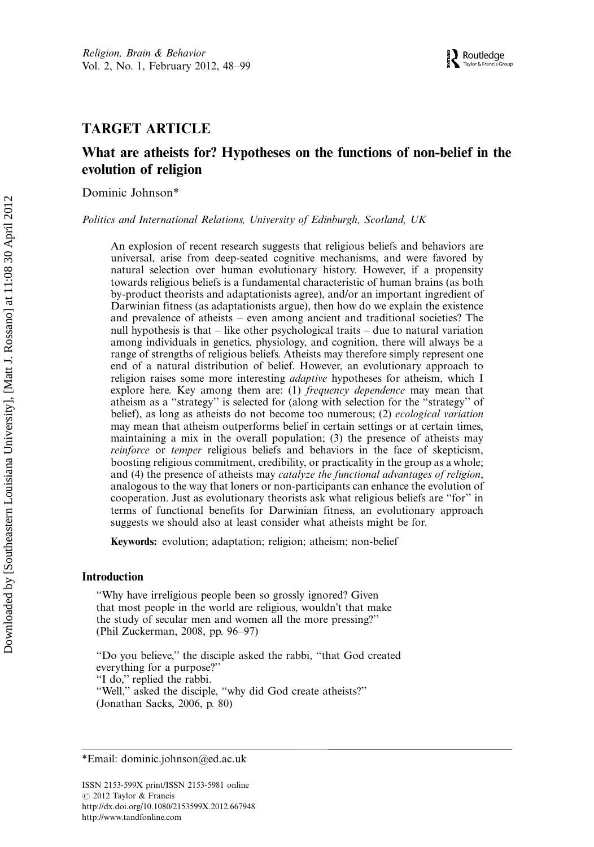# TARGET ARTICLE

# What are atheists for? Hypotheses on the functions of non-belief in the evolution of religion

Dominic Johnson\*

Politics and International Relations, University of Edinburgh, Scotland, UK

An explosion of recent research suggests that religious beliefs and behaviors are universal, arise from deep-seated cognitive mechanisms, and were favored by natural selection over human evolutionary history. However, if a propensity towards religious beliefs is a fundamental characteristic of human brains (as both by-product theorists and adaptationists agree), and/or an important ingredient of Darwinian fitness (as adaptationists argue), then how do we explain the existence and prevalence of atheists  $-$  even among ancient and traditional societies? The null hypothesis is that  $-$  like other psychological traits  $-$  due to natural variation among individuals in genetics, physiology, and cognition, there will always be a range of strengths of religious beliefs. Atheists may therefore simply represent one end of a natural distribution of belief. However, an evolutionary approach to religion raises some more interesting *adaptive* hypotheses for atheism, which I explore here. Key among them are: (1) *frequency dependence* may mean that atheism as a ''strategy'' is selected for (along with selection for the ''strategy'' of belief), as long as atheists do not become too numerous; (2) ecological variation may mean that atheism outperforms belief in certain settings or at certain times, maintaining a mix in the overall population; (3) the presence of atheists may reinforce or temper religious beliefs and behaviors in the face of skepticism, boosting religious commitment, credibility, or practicality in the group as a whole; and (4) the presence of atheists may catalyze the functional advantages of religion, analogous to the way that loners or non-participants can enhance the evolution of cooperation. Just as evolutionary theorists ask what religious beliefs are ''for'' in terms of functional benefits for Darwinian fitness, an evolutionary approach suggests we should also at least consider what atheists might be for.

Keywords: evolution; adaptation; religion; atheism; non-belief

#### Introduction

''Why have irreligious people been so grossly ignored? Given that most people in the world are religious, wouldn't that make the study of secular men and women all the more pressing?'' (Phil Zuckerman, 2008, pp. 96-97)

''Do you believe,'' the disciple asked the rabbi, ''that God created everything for a purpose?'' ''I do,'' replied the rabbi. ''Well,'' asked the disciple, ''why did God create atheists?'' (Jonathan Sacks, 2006, p. 80)

<sup>\*</sup>Email: dominic.johnson@ed.ac.uk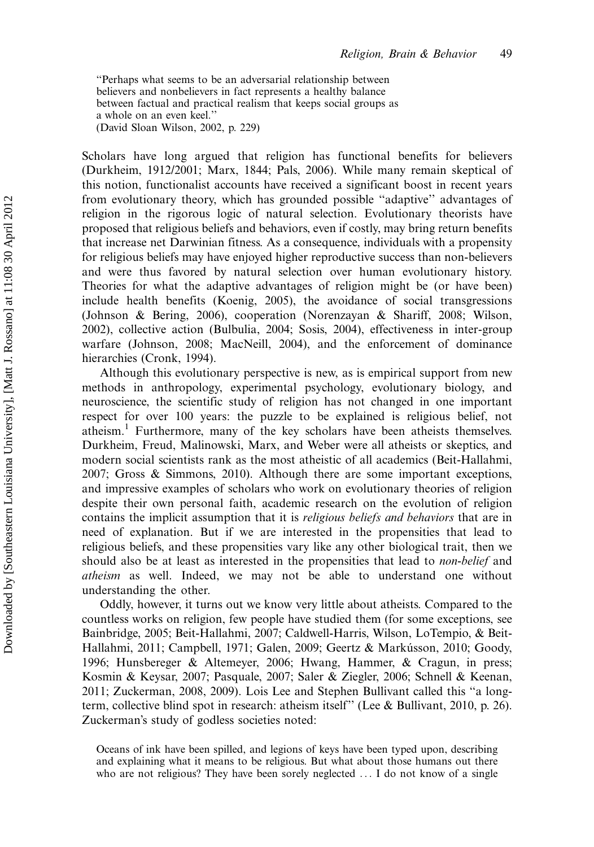''Perhaps what seems to be an adversarial relationship between believers and nonbelievers in fact represents a healthy balance between factual and practical realism that keeps social groups as a whole on an even keel.'' (David Sloan Wilson, 2002, p. 229)

Scholars have long argued that religion has functional benefits for believers (Durkheim, 1912/2001; Marx, 1844; Pals, 2006). While many remain skeptical of this notion, functionalist accounts have received a significant boost in recent years from evolutionary theory, which has grounded possible ''adaptive'' advantages of religion in the rigorous logic of natural selection. Evolutionary theorists have proposed that religious beliefs and behaviors, even if costly, may bring return benefits that increase net Darwinian fitness. As a consequence, individuals with a propensity for religious beliefs may have enjoyed higher reproductive success than non-believers and were thus favored by natural selection over human evolutionary history. Theories for what the adaptive advantages of religion might be (or have been) include health benefits (Koenig, 2005), the avoidance of social transgressions (Johnson & Bering, 2006), cooperation (Norenzayan & Shariff, 2008; Wilson, 2002), collective action (Bulbulia, 2004; Sosis, 2004), effectiveness in inter-group warfare (Johnson, 2008; MacNeill, 2004), and the enforcement of dominance hierarchies (Cronk, 1994).

Although this evolutionary perspective is new, as is empirical support from new methods in anthropology, experimental psychology, evolutionary biology, and neuroscience, the scientific study of religion has not changed in one important respect for over 100 years: the puzzle to be explained is religious belief, not atheism.<sup>1</sup> Furthermore, many of the key scholars have been atheists themselves. Durkheim, Freud, Malinowski, Marx, and Weber were all atheists or skeptics, and modern social scientists rank as the most atheistic of all academics (Beit-Hallahmi, 2007; Gross & Simmons, 2010). Although there are some important exceptions, and impressive examples of scholars who work on evolutionary theories of religion despite their own personal faith, academic research on the evolution of religion contains the implicit assumption that it is *religious beliefs and behaviors* that are in need of explanation. But if we are interested in the propensities that lead to religious beliefs, and these propensities vary like any other biological trait, then we should also be at least as interested in the propensities that lead to non-belief and atheism as well. Indeed, we may not be able to understand one without understanding the other.

Oddly, however, it turns out we know very little about atheists. Compared to the countless works on religion, few people have studied them (for some exceptions, see Bainbridge, 2005; Beit-Hallahmi, 2007; Caldwell-Harris, Wilson, LoTempio, & Beit-Hallahmi, 2011; Campbell, 1971; Galen, 2009; Geertz & Markússon, 2010; Goody, 1996; Hunsbereger & Altemeyer, 2006; Hwang, Hammer, & Cragun, in press; Kosmin & Keysar, 2007; Pasquale, 2007; Saler & Ziegler, 2006; Schnell & Keenan, 2011; Zuckerman, 2008, 2009). Lois Lee and Stephen Bullivant called this ''a longterm, collective blind spot in research: atheism itself'' (Lee & Bullivant, 2010, p. 26). Zuckerman's study of godless societies noted:

Oceans of ink have been spilled, and legions of keys have been typed upon, describing and explaining what it means to be religious. But what about those humans out there who are not religious? They have been sorely neglected ... I do not know of a single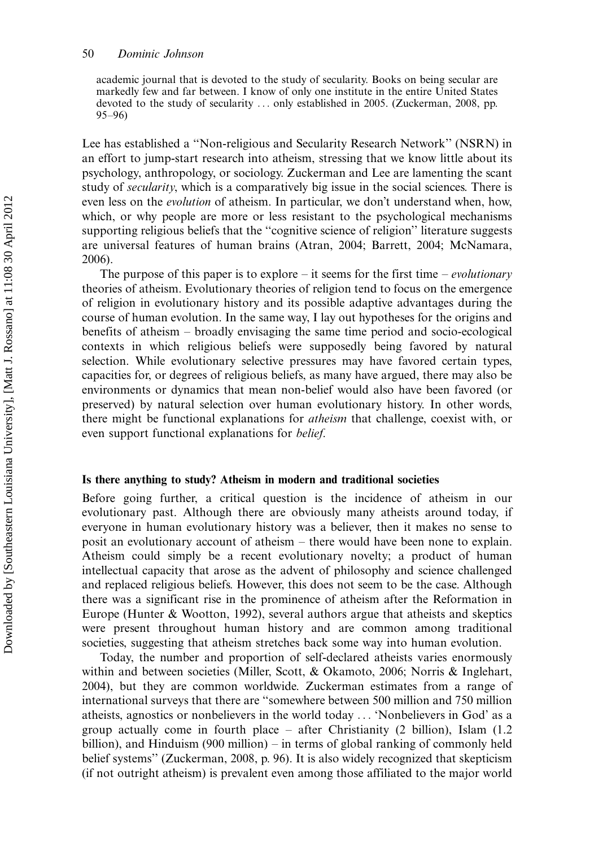#### 50 Dominic Johnson

academic journal that is devoted to the study of secularity. Books on being secular are markedly few and far between. I know of only one institute in the entire United States devoted to the study of secularity ... only established in 2005. (Zuckerman, 2008, pp.  $95 - 96$ 

Lee has established a ''Non-religious and Secularity Research Network'' (NSRN) in an effort to jump-start research into atheism, stressing that we know little about its psychology, anthropology, or sociology. Zuckerman and Lee are lamenting the scant study of *secularity*, which is a comparatively big issue in the social sciences. There is even less on the *evolution* of atheism. In particular, we don't understand when, how, which, or why people are more or less resistant to the psychological mechanisms supporting religious beliefs that the ''cognitive science of religion'' literature suggests are universal features of human brains (Atran, 2004; Barrett, 2004; McNamara, 2006).

The purpose of this paper is to explore  $-$  it seems for the first time  $-$  *evolutionary* theories of atheism. Evolutionary theories of religion tend to focus on the emergence of religion in evolutionary history and its possible adaptive advantages during the course of human evolution. In the same way, I lay out hypotheses for the origins and benefits of atheism broadly envisaging the same time period and socio-ecological contexts in which religious beliefs were supposedly being favored by natural selection. While evolutionary selective pressures may have favored certain types, capacities for, or degrees of religious beliefs, as many have argued, there may also be environments or dynamics that mean non-belief would also have been favored (or preserved) by natural selection over human evolutionary history. In other words, there might be functional explanations for atheism that challenge, coexist with, or even support functional explanations for belief.

#### Is there anything to study? Atheism in modern and traditional societies

Before going further, a critical question is the incidence of atheism in our evolutionary past. Although there are obviously many atheists around today, if everyone in human evolutionary history was a believer, then it makes no sense to posit an evolutionary account of atheism - there would have been none to explain. Atheism could simply be a recent evolutionary novelty; a product of human intellectual capacity that arose as the advent of philosophy and science challenged and replaced religious beliefs. However, this does not seem to be the case. Although there was a significant rise in the prominence of atheism after the Reformation in Europe (Hunter & Wootton, 1992), several authors argue that atheists and skeptics were present throughout human history and are common among traditional societies, suggesting that atheism stretches back some way into human evolution.

Today, the number and proportion of self-declared atheists varies enormously within and between societies (Miller, Scott, & Okamoto, 2006; Norris & Inglehart, 2004), but they are common worldwide. Zuckerman estimates from a range of international surveys that there are ''somewhere between 500 million and 750 million atheists, agnostics or nonbelievers in the world today ... 'Nonbelievers in God' as a group actually come in fourth place  $-$  after Christianity (2 billion), Islam (1.2) billion), and Hinduism  $(900 \text{ million})$  – in terms of global ranking of commonly held belief systems'' (Zuckerman, 2008, p. 96). It is also widely recognized that skepticism (if not outright atheism) is prevalent even among those affiliated to the major world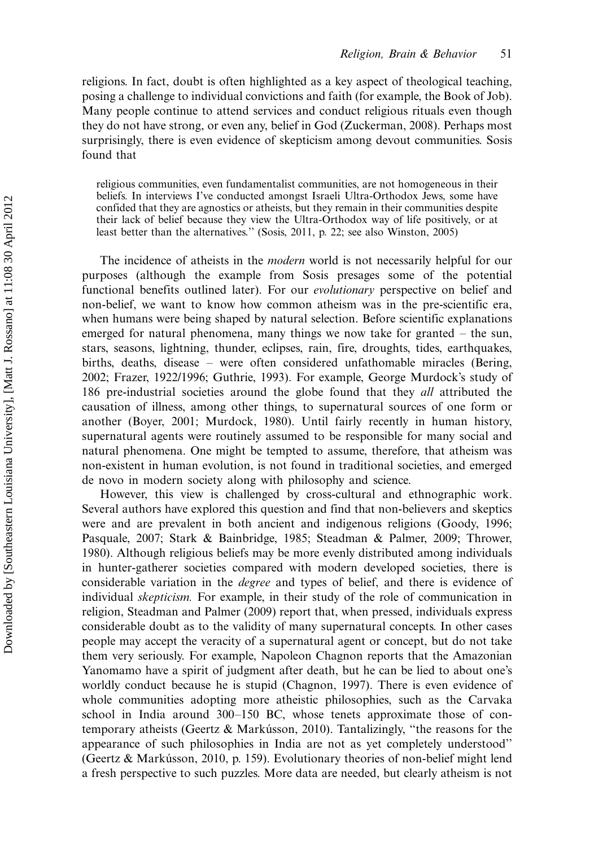religions. In fact, doubt is often highlighted as a key aspect of theological teaching, posing a challenge to individual convictions and faith (for example, the Book of Job). Many people continue to attend services and conduct religious rituals even though they do not have strong, or even any, belief in God (Zuckerman, 2008). Perhaps most surprisingly, there is even evidence of skepticism among devout communities. Sosis found that

religious communities, even fundamentalist communities, are not homogeneous in their beliefs. In interviews I've conducted amongst Israeli Ultra-Orthodox Jews, some have confided that they are agnostics or atheists, but they remain in their communities despite their lack of belief because they view the Ultra-Orthodox way of life positively, or at least better than the alternatives.'' (Sosis, 2011, p. 22; see also Winston, 2005)

The incidence of atheists in the modern world is not necessarily helpful for our purposes (although the example from Sosis presages some of the potential functional benefits outlined later). For our evolutionary perspective on belief and non-belief, we want to know how common atheism was in the pre-scientific era, when humans were being shaped by natural selection. Before scientific explanations emerged for natural phenomena, many things we now take for granted  $-$  the sun, stars, seasons, lightning, thunder, eclipses, rain, fire, droughts, tides, earthquakes, births, deaths, disease were often considered unfathomable miracles (Bering, 2002; Frazer, 1922/1996; Guthrie, 1993). For example, George Murdock's study of 186 pre-industrial societies around the globe found that they all attributed the causation of illness, among other things, to supernatural sources of one form or another (Boyer, 2001; Murdock, 1980). Until fairly recently in human history, supernatural agents were routinely assumed to be responsible for many social and natural phenomena. One might be tempted to assume, therefore, that atheism was non-existent in human evolution, is not found in traditional societies, and emerged de novo in modern society along with philosophy and science.

However, this view is challenged by cross-cultural and ethnographic work. Several authors have explored this question and find that non-believers and skeptics were and are prevalent in both ancient and indigenous religions (Goody, 1996; Pasquale, 2007; Stark & Bainbridge, 1985; Steadman & Palmer, 2009; Thrower, 1980). Although religious beliefs may be more evenly distributed among individuals in hunter-gatherer societies compared with modern developed societies, there is considerable variation in the degree and types of belief, and there is evidence of individual skepticism. For example, in their study of the role of communication in religion, Steadman and Palmer (2009) report that, when pressed, individuals express considerable doubt as to the validity of many supernatural concepts. In other cases people may accept the veracity of a supernatural agent or concept, but do not take them very seriously. For example, Napoleon Chagnon reports that the Amazonian Yanomamo have a spirit of judgment after death, but he can be lied to about one's worldly conduct because he is stupid (Chagnon, 1997). There is even evidence of whole communities adopting more atheistic philosophies, such as the Carvaka school in India around  $300-150$  BC, whose tenets approximate those of contemporary atheists (Geertz  $\&$  Marku'sson, 2010). Tantalizingly, "the reasons for the appearance of such philosophies in India are not as yet completely understood'' (Geertz & Markússon, 2010, p. 159). Evolutionary theories of non-belief might lend a fresh perspective to such puzzles. More data are needed, but clearly atheism is not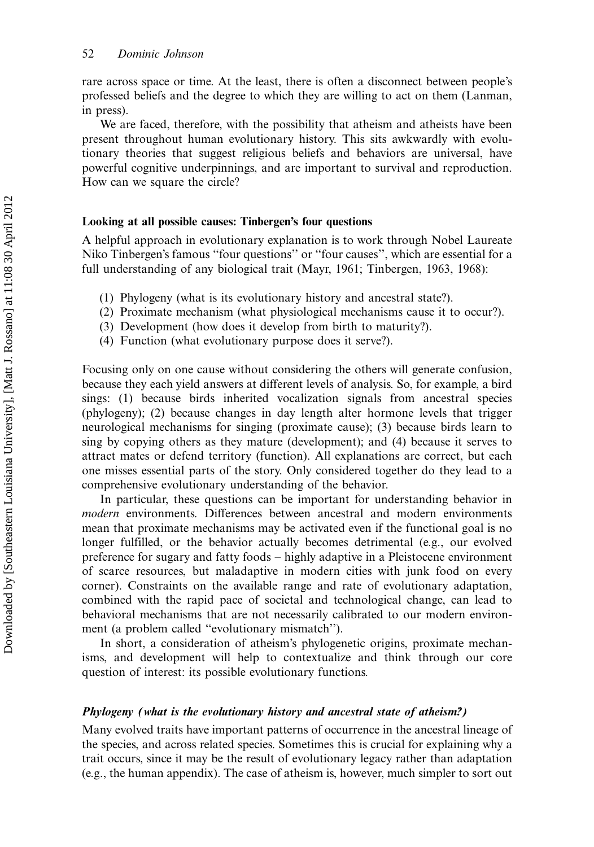rare across space or time. At the least, there is often a disconnect between people's professed beliefs and the degree to which they are willing to act on them (Lanman, in press).

We are faced, therefore, with the possibility that atheism and atheists have been present throughout human evolutionary history. This sits awkwardly with evolutionary theories that suggest religious beliefs and behaviors are universal, have powerful cognitive underpinnings, and are important to survival and reproduction. How can we square the circle?

## Looking at all possible causes: Tinbergen's four questions

A helpful approach in evolutionary explanation is to work through Nobel Laureate Niko Tinbergen's famous ''four questions'' or ''four causes'', which are essential for a full understanding of any biological trait (Mayr, 1961; Tinbergen, 1963, 1968):

- (1) Phylogeny (what is its evolutionary history and ancestral state?).
- (2) Proximate mechanism (what physiological mechanisms cause it to occur?).
- (3) Development (how does it develop from birth to maturity?).
- (4) Function (what evolutionary purpose does it serve?).

Focusing only on one cause without considering the others will generate confusion, because they each yield answers at different levels of analysis. So, for example, a bird sings: (1) because birds inherited vocalization signals from ancestral species (phylogeny); (2) because changes in day length alter hormone levels that trigger neurological mechanisms for singing (proximate cause); (3) because birds learn to sing by copying others as they mature (development); and (4) because it serves to attract mates or defend territory (function). All explanations are correct, but each one misses essential parts of the story. Only considered together do they lead to a comprehensive evolutionary understanding of the behavior.

In particular, these questions can be important for understanding behavior in modern environments. Differences between ancestral and modern environments mean that proximate mechanisms may be activated even if the functional goal is no longer fulfilled, or the behavior actually becomes detrimental (e.g., our evolved preference for sugary and fatty foods highly adaptive in a Pleistocene environment of scarce resources, but maladaptive in modern cities with junk food on every corner). Constraints on the available range and rate of evolutionary adaptation, combined with the rapid pace of societal and technological change, can lead to behavioral mechanisms that are not necessarily calibrated to our modern environment (a problem called ''evolutionary mismatch'').

In short, a consideration of atheism's phylogenetic origins, proximate mechanisms, and development will help to contextualize and think through our core question of interest: its possible evolutionary functions.

#### Phylogeny (what is the evolutionary history and ancestral state of atheism?)

Many evolved traits have important patterns of occurrence in the ancestral lineage of the species, and across related species. Sometimes this is crucial for explaining why a trait occurs, since it may be the result of evolutionary legacy rather than adaptation (e.g., the human appendix). The case of atheism is, however, much simpler to sort out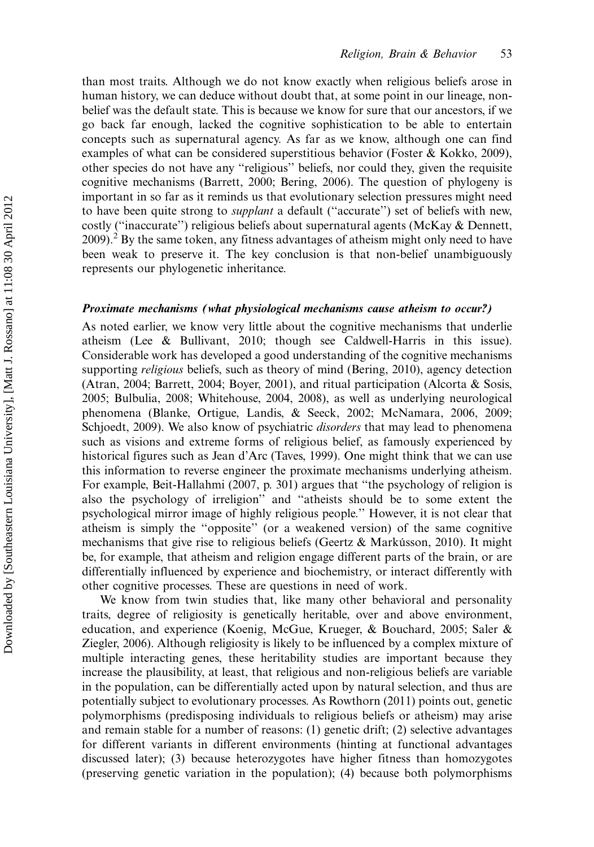than most traits. Although we do not know exactly when religious beliefs arose in human history, we can deduce without doubt that, at some point in our lineage, nonbelief was the default state. This is because we know for sure that our ancestors, if we go back far enough, lacked the cognitive sophistication to be able to entertain concepts such as supernatural agency. As far as we know, although one can find examples of what can be considered superstitious behavior (Foster & Kokko, 2009), other species do not have any ''religious'' beliefs, nor could they, given the requisite cognitive mechanisms (Barrett, 2000; Bering, 2006). The question of phylogeny is important in so far as it reminds us that evolutionary selection pressures might need to have been quite strong to supplant a default (''accurate'') set of beliefs with new, costly (''inaccurate'') religious beliefs about supernatural agents (McKay & Dennett, 2009).<sup>2</sup> By the same token, any fitness advantages of atheism might only need to have been weak to preserve it. The key conclusion is that non-belief unambiguously represents our phylogenetic inheritance.

## Proximate mechanisms (what physiological mechanisms cause atheism to occur?)

As noted earlier, we know very little about the cognitive mechanisms that underlie atheism (Lee & Bullivant, 2010; though see Caldwell-Harris in this issue). Considerable work has developed a good understanding of the cognitive mechanisms supporting religious beliefs, such as theory of mind (Bering, 2010), agency detection (Atran, 2004; Barrett, 2004; Boyer, 2001), and ritual participation (Alcorta & Sosis, 2005; Bulbulia, 2008; Whitehouse, 2004, 2008), as well as underlying neurological phenomena (Blanke, Ortigue, Landis, & Seeck, 2002; McNamara, 2006, 2009; Schjoedt, 2009). We also know of psychiatric *disorders* that may lead to phenomena such as visions and extreme forms of religious belief, as famously experienced by historical figures such as Jean d'Arc (Taves, 1999). One might think that we can use this information to reverse engineer the proximate mechanisms underlying atheism. For example, Beit-Hallahmi (2007, p. 301) argues that ''the psychology of religion is also the psychology of irreligion'' and ''atheists should be to some extent the psychological mirror image of highly religious people.'' However, it is not clear that atheism is simply the ''opposite'' (or a weakened version) of the same cognitive mechanisms that give rise to religious beliefs (Geertz  $\&$  Markússon, 2010). It might be, for example, that atheism and religion engage different parts of the brain, or are differentially influenced by experience and biochemistry, or interact differently with other cognitive processes. These are questions in need of work.

We know from twin studies that, like many other behavioral and personality traits, degree of religiosity is genetically heritable, over and above environment, education, and experience (Koenig, McGue, Krueger, & Bouchard, 2005; Saler & Ziegler, 2006). Although religiosity is likely to be influenced by a complex mixture of multiple interacting genes, these heritability studies are important because they increase the plausibility, at least, that religious and non-religious beliefs are variable in the population, can be differentially acted upon by natural selection, and thus are potentially subject to evolutionary processes. As Rowthorn (2011) points out, genetic polymorphisms (predisposing individuals to religious beliefs or atheism) may arise and remain stable for a number of reasons: (1) genetic drift; (2) selective advantages for different variants in different environments (hinting at functional advantages discussed later); (3) because heterozygotes have higher fitness than homozygotes (preserving genetic variation in the population); (4) because both polymorphisms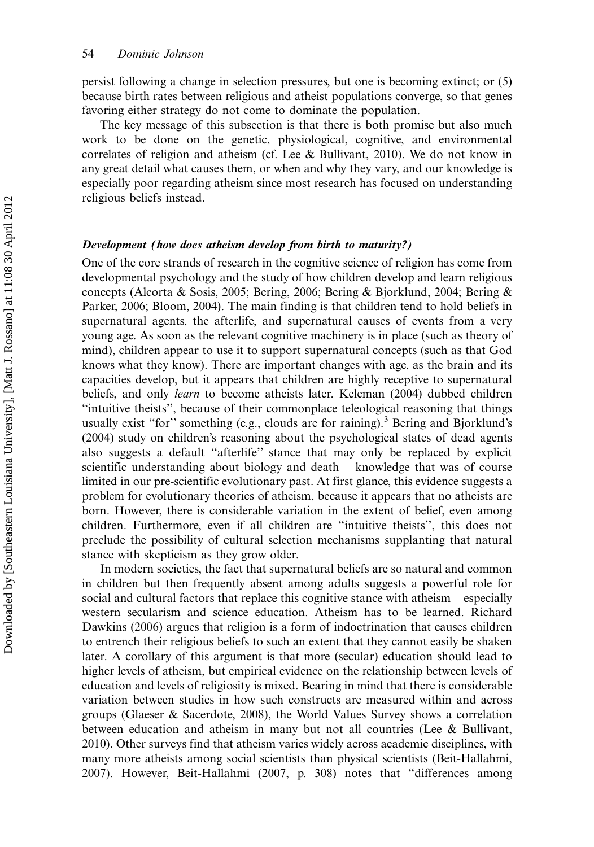persist following a change in selection pressures, but one is becoming extinct; or (5) because birth rates between religious and atheist populations converge, so that genes favoring either strategy do not come to dominate the population.

The key message of this subsection is that there is both promise but also much work to be done on the genetic, physiological, cognitive, and environmental correlates of religion and atheism (cf. Lee  $&$  Bullivant, 2010). We do not know in any great detail what causes them, or when and why they vary, and our knowledge is especially poor regarding atheism since most research has focused on understanding religious beliefs instead.

## Development (how does atheism develop from birth to maturity?)

One of the core strands of research in the cognitive science of religion has come from developmental psychology and the study of how children develop and learn religious concepts (Alcorta & Sosis, 2005; Bering, 2006; Bering & Bjorklund, 2004; Bering & Parker, 2006; Bloom, 2004). The main finding is that children tend to hold beliefs in supernatural agents, the afterlife, and supernatural causes of events from a very young age. As soon as the relevant cognitive machinery is in place (such as theory of mind), children appear to use it to support supernatural concepts (such as that God knows what they know). There are important changes with age, as the brain and its capacities develop, but it appears that children are highly receptive to supernatural beliefs, and only learn to become atheists later. Keleman (2004) dubbed children ''intuitive theists'', because of their commonplace teleological reasoning that things usually exist "for" something (e.g., clouds are for raining).<sup>3</sup> Bering and Bjorklund's (2004) study on children's reasoning about the psychological states of dead agents also suggests a default ''afterlife'' stance that may only be replaced by explicit scientific understanding about biology and death - knowledge that was of course limited in our pre-scientific evolutionary past. At first glance, this evidence suggests a problem for evolutionary theories of atheism, because it appears that no atheists are born. However, there is considerable variation in the extent of belief, even among children. Furthermore, even if all children are ''intuitive theists'', this does not preclude the possibility of cultural selection mechanisms supplanting that natural stance with skepticism as they grow older.

In modern societies, the fact that supernatural beliefs are so natural and common in children but then frequently absent among adults suggests a powerful role for social and cultural factors that replace this cognitive stance with atheism – especially western secularism and science education. Atheism has to be learned. Richard Dawkins (2006) argues that religion is a form of indoctrination that causes children to entrench their religious beliefs to such an extent that they cannot easily be shaken later. A corollary of this argument is that more (secular) education should lead to higher levels of atheism, but empirical evidence on the relationship between levels of education and levels of religiosity is mixed. Bearing in mind that there is considerable variation between studies in how such constructs are measured within and across groups (Glaeser & Sacerdote, 2008), the World Values Survey shows a correlation between education and atheism in many but not all countries (Lee & Bullivant, 2010). Other surveys find that atheism varies widely across academic disciplines, with many more atheists among social scientists than physical scientists (Beit-Hallahmi, 2007). However, Beit-Hallahmi (2007, p. 308) notes that ''differences among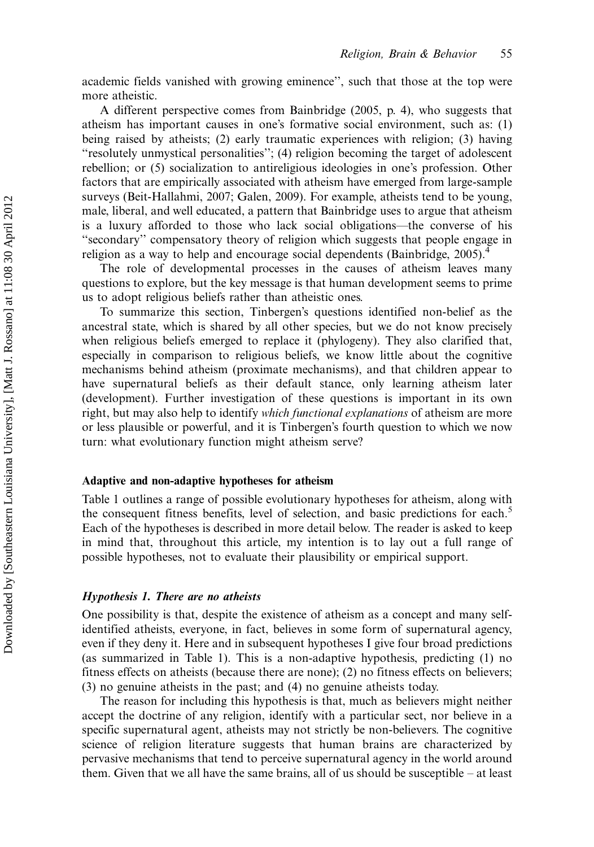academic fields vanished with growing eminence'', such that those at the top were more atheistic.

A different perspective comes from Bainbridge (2005, p. 4), who suggests that atheism has important causes in one's formative social environment, such as: (1) being raised by atheists; (2) early traumatic experiences with religion; (3) having ''resolutely unmystical personalities''; (4) religion becoming the target of adolescent rebellion; or (5) socialization to antireligious ideologies in one's profession. Other factors that are empirically associated with atheism have emerged from large-sample surveys (Beit-Hallahmi, 2007; Galen, 2009). For example, atheists tend to be young, male, liberal, and well educated, a pattern that Bainbridge uses to argue that atheism is a luxury afforded to those who lack social obligations—the converse of his ''secondary'' compensatory theory of religion which suggests that people engage in religion as a way to help and encourage social dependents (Bainbridge, 2005).<sup>4</sup>

The role of developmental processes in the causes of atheism leaves many questions to explore, but the key message is that human development seems to prime us to adopt religious beliefs rather than atheistic ones.

To summarize this section, Tinbergen's questions identified non-belief as the ancestral state, which is shared by all other species, but we do not know precisely when religious beliefs emerged to replace it (phylogeny). They also clarified that, especially in comparison to religious beliefs, we know little about the cognitive mechanisms behind atheism (proximate mechanisms), and that children appear to have supernatural beliefs as their default stance, only learning atheism later (development). Further investigation of these questions is important in its own right, but may also help to identify which functional explanations of atheism are more or less plausible or powerful, and it is Tinbergen's fourth question to which we now turn: what evolutionary function might atheism serve?

## Adaptive and non-adaptive hypotheses for atheism

Table 1 outlines a range of possible evolutionary hypotheses for atheism, along with the consequent fitness benefits, level of selection, and basic predictions for each.<sup>5</sup> Each of the hypotheses is described in more detail below. The reader is asked to keep in mind that, throughout this article, my intention is to lay out a full range of possible hypotheses, not to evaluate their plausibility or empirical support.

## Hypothesis 1. There are no atheists

One possibility is that, despite the existence of atheism as a concept and many selfidentified atheists, everyone, in fact, believes in some form of supernatural agency, even if they deny it. Here and in subsequent hypotheses I give four broad predictions (as summarized in Table 1). This is a non-adaptive hypothesis, predicting (1) no fitness effects on atheists (because there are none); (2) no fitness effects on believers; (3) no genuine atheists in the past; and (4) no genuine atheists today.

The reason for including this hypothesis is that, much as believers might neither accept the doctrine of any religion, identify with a particular sect, nor believe in a specific supernatural agent, atheists may not strictly be non-believers. The cognitive science of religion literature suggests that human brains are characterized by pervasive mechanisms that tend to perceive supernatural agency in the world around them. Given that we all have the same brains, all of us should be susceptible  $-$  at least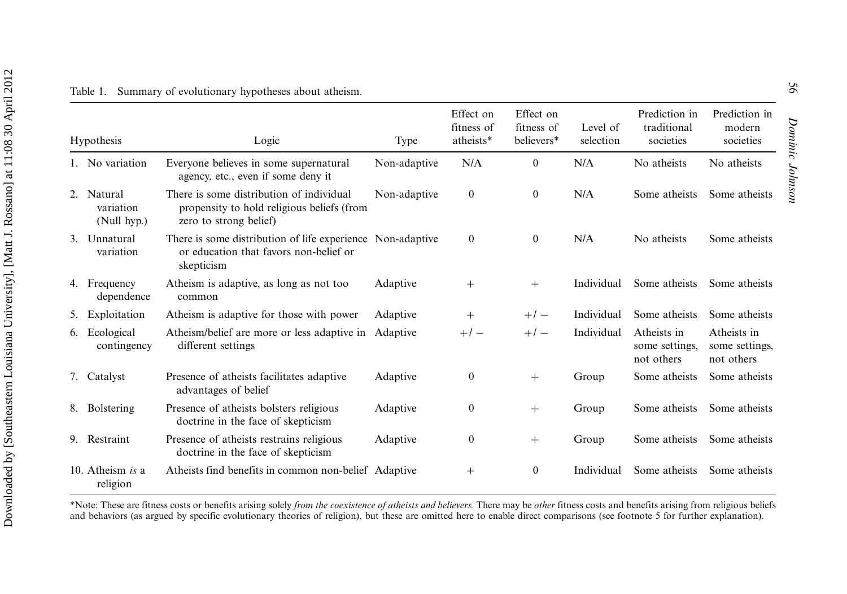| Hypothesis |                                        | Logic                                                                                                              | Type         | Effect on<br>fitness of<br>atheists* | Effect on<br>fitness of<br>believers* | Level of<br>selection | Prediction in<br>traditional<br>societies   | Prediction in<br>modern<br>societies        |
|------------|----------------------------------------|--------------------------------------------------------------------------------------------------------------------|--------------|--------------------------------------|---------------------------------------|-----------------------|---------------------------------------------|---------------------------------------------|
|            | 1. No variation                        | Everyone believes in some supernatural<br>agency, etc., even if some deny it                                       | Non-adaptive | N/A                                  | $\mathbf{0}$                          | N/A                   | No atheists                                 | No atheists                                 |
|            | 2. Natural<br>variation<br>(Null hyp.) | There is some distribution of individual<br>propensity to hold religious beliefs (from<br>zero to strong belief)   | Non-adaptive | $\boldsymbol{0}$                     | $\bf{0}$                              | N/A                   | Some atheists                               | Some atheists                               |
|            | 3. Unnatural<br>variation              | There is some distribution of life experience Non-adaptive<br>or education that favors non-belief or<br>skepticism |              | $\mathbf{0}$                         | $\mathbf{0}$                          | N/A                   | No atheists                                 | Some atheists                               |
|            | 4. Frequency<br>dependence             | Atheism is adaptive, as long as not too<br>common                                                                  | Adaptive     | $^{+}$                               | $+$                                   | Individual            | Some atheists                               | Some atheists                               |
| 5.         | Exploitation                           | Atheism is adaptive for those with power                                                                           | Adaptive     | $^{+}$                               | $+/-$                                 | Individual            | Some atheists                               | Some atheists                               |
|            | 6. Ecological<br>contingency           | Atheism/belief are more or less adaptive in<br>different settings                                                  | Adaptive     | $+/-$                                | $+/-$                                 | Individual            | Atheists in<br>some settings,<br>not others | Atheists in<br>some settings,<br>not others |
|            | 7. Catalyst                            | Presence of atheists facilitates adaptive<br>advantages of belief                                                  | Adaptive     | $\boldsymbol{0}$                     | $+$                                   | Group                 | Some atheists                               | Some atheists                               |
|            | 8. Bolstering                          | Presence of atheists bolsters religious<br>doctrine in the face of skepticism                                      | Adaptive     | $\boldsymbol{0}$                     | $+$                                   | Group                 | Some atheists                               | Some atheists                               |
|            | 9. Restraint                           | Presence of atheists restrains religious<br>doctrine in the face of skepticism                                     | Adaptive     | $\boldsymbol{0}$                     | $+$                                   | Group                 | Some atheists                               | Some atheists                               |
|            | 10. Atheism is a<br>religion           | Atheists find benefits in common non-belief Adaptive                                                               |              | $^{+}$                               | $\theta$                              | Individual            | Some atheists                               | Some atheists                               |

Table 1. Summary of evolutionary hypotheses about atheism.

\*Note: These are fitness costs or benefits arising solely from the coexistence of atheists and believers. There may be other fitness costs and benefits arising from religious beliefs and behaviors (as argued by specific evolutionary theories of religion), but these are omitted here to enable direct comparisons (see footnote 5 for further explanation).

Dominic Johnson

Dominic Johnson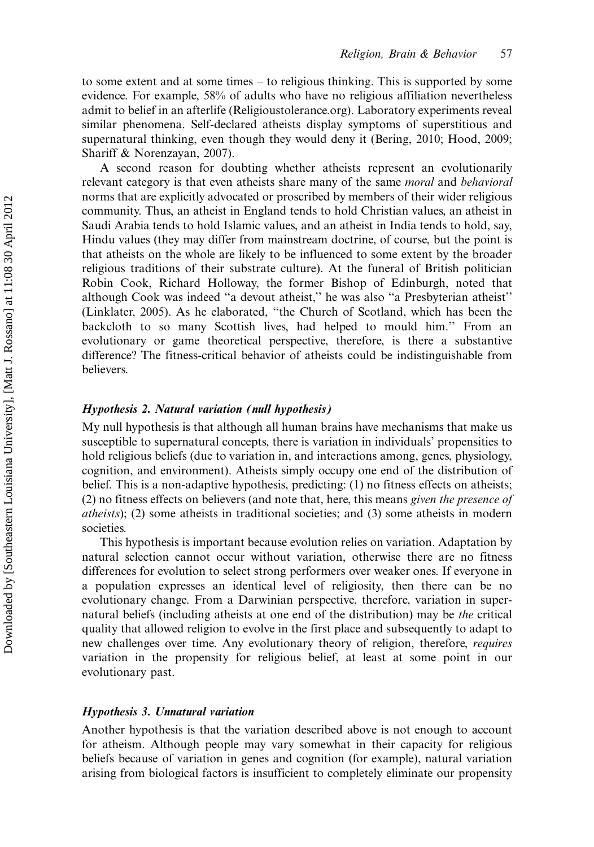to some extent and at some times  $-$  to religious thinking. This is supported by some evidence. For example, 58% of adults who have no religious affiliation nevertheless admit to belief in an afterlife (Religioustolerance.org). Laboratory experiments reveal similar phenomena. Self-declared atheists display symptoms of superstitious and supernatural thinking, even though they would deny it (Bering, 2010; Hood, 2009; Shariff & Norenzayan, 2007).

A second reason for doubting whether atheists represent an evolutionarily relevant category is that even atheists share many of the same moral and behavioral norms that are explicitly advocated or proscribed by members of their wider religious community. Thus, an atheist in England tends to hold Christian values, an atheist in Saudi Arabia tends to hold Islamic values, and an atheist in India tends to hold, say, Hindu values (they may differ from mainstream doctrine, of course, but the point is that atheists on the whole are likely to be influenced to some extent by the broader religious traditions of their substrate culture). At the funeral of British politician Robin Cook, Richard Holloway, the former Bishop of Edinburgh, noted that although Cook was indeed ''a devout atheist,'' he was also ''a Presbyterian atheist'' (Linklater, 2005). As he elaborated, ''the Church of Scotland, which has been the backcloth to so many Scottish lives, had helped to mould him.'' From an evolutionary or game theoretical perspective, therefore, is there a substantive difference? The fitness-critical behavior of atheists could be indistinguishable from believers.

## Hypothesis 2. Natural variation (null hypothesis)

My null hypothesis is that although all human brains have mechanisms that make us susceptible to supernatural concepts, there is variation in individuals' propensities to hold religious beliefs (due to variation in, and interactions among, genes, physiology, cognition, and environment). Atheists simply occupy one end of the distribution of belief. This is a non-adaptive hypothesis, predicting: (1) no fitness effects on atheists; (2) no fitness effects on believers (and note that, here, this means given the presence of atheists); (2) some atheists in traditional societies; and (3) some atheists in modern societies.

This hypothesis is important because evolution relies on variation. Adaptation by natural selection cannot occur without variation, otherwise there are no fitness differences for evolution to select strong performers over weaker ones. If everyone in a population expresses an identical level of religiosity, then there can be no evolutionary change. From a Darwinian perspective, therefore, variation in supernatural beliefs (including atheists at one end of the distribution) may be the critical quality that allowed religion to evolve in the first place and subsequently to adapt to new challenges over time. Any evolutionary theory of religion, therefore, requires variation in the propensity for religious belief, at least at some point in our evolutionary past.

#### Hypothesis 3. Unnatural variation

Another hypothesis is that the variation described above is not enough to account for atheism. Although people may vary somewhat in their capacity for religious beliefs because of variation in genes and cognition (for example), natural variation arising from biological factors is insufficient to completely eliminate our propensity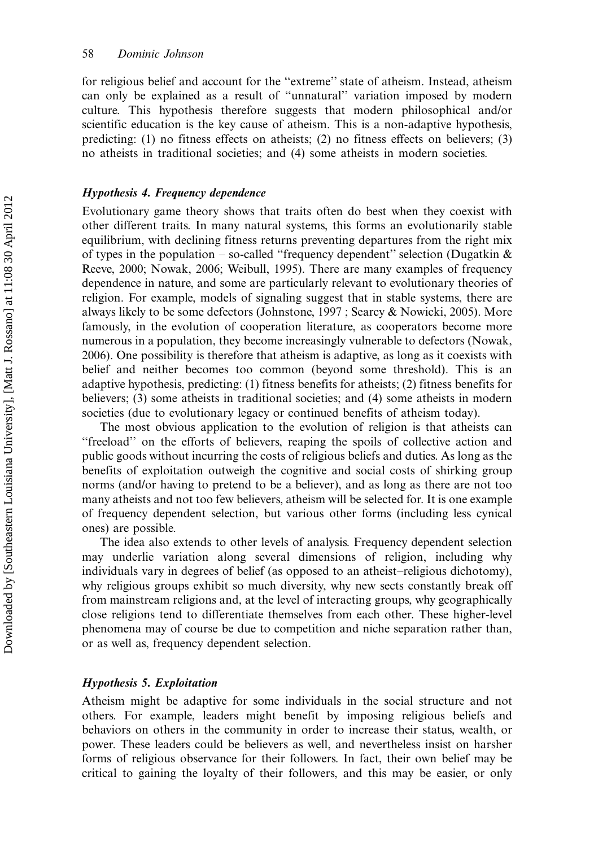for religious belief and account for the ''extreme'' state of atheism. Instead, atheism can only be explained as a result of ''unnatural'' variation imposed by modern culture. This hypothesis therefore suggests that modern philosophical and/or scientific education is the key cause of atheism. This is a non-adaptive hypothesis, predicting: (1) no fitness effects on atheists; (2) no fitness effects on believers; (3) no atheists in traditional societies; and (4) some atheists in modern societies.

## Hypothesis 4. Frequency dependence

Evolutionary game theory shows that traits often do best when they coexist with other different traits. In many natural systems, this forms an evolutionarily stable equilibrium, with declining fitness returns preventing departures from the right mix of types in the population  $-$  so-called "frequency dependent" selection (Dugatkin & Reeve, 2000; Nowak, 2006; Weibull, 1995). There are many examples of frequency dependence in nature, and some are particularly relevant to evolutionary theories of religion. For example, models of signaling suggest that in stable systems, there are always likely to be some defectors (Johnstone, 1997 ; Searcy & Nowicki, 2005). More famously, in the evolution of cooperation literature, as cooperators become more numerous in a population, they become increasingly vulnerable to defectors (Nowak, 2006). One possibility is therefore that atheism is adaptive, as long as it coexists with belief and neither becomes too common (beyond some threshold). This is an adaptive hypothesis, predicting: (1) fitness benefits for atheists; (2) fitness benefits for believers; (3) some atheists in traditional societies; and (4) some atheists in modern societies (due to evolutionary legacy or continued benefits of atheism today).

The most obvious application to the evolution of religion is that atheists can ''freeload'' on the efforts of believers, reaping the spoils of collective action and public goods without incurring the costs of religious beliefs and duties. As long as the benefits of exploitation outweigh the cognitive and social costs of shirking group norms (and/or having to pretend to be a believer), and as long as there are not too many atheists and not too few believers, atheism will be selected for. It is one example of frequency dependent selection, but various other forms (including less cynical ones) are possible.

The idea also extends to other levels of analysis. Frequency dependent selection may underlie variation along several dimensions of religion, including why individuals vary in degrees of belief (as opposed to an atheist-religious dichotomy), why religious groups exhibit so much diversity, why new sects constantly break off from mainstream religions and, at the level of interacting groups, why geographically close religions tend to differentiate themselves from each other. These higher-level phenomena may of course be due to competition and niche separation rather than, or as well as, frequency dependent selection.

## Hypothesis 5. Exploitation

Atheism might be adaptive for some individuals in the social structure and not others. For example, leaders might benefit by imposing religious beliefs and behaviors on others in the community in order to increase their status, wealth, or power. These leaders could be believers as well, and nevertheless insist on harsher forms of religious observance for their followers. In fact, their own belief may be critical to gaining the loyalty of their followers, and this may be easier, or only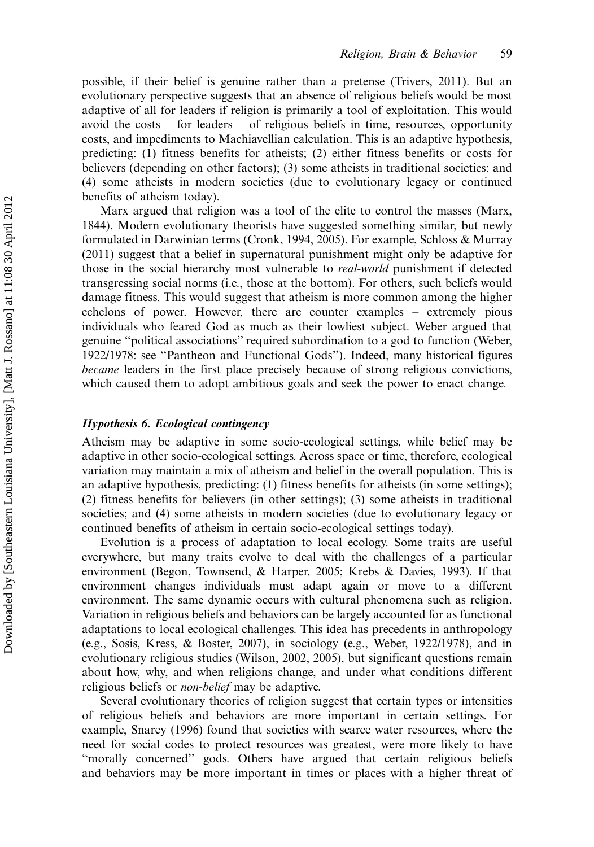possible, if their belief is genuine rather than a pretense (Trivers, 2011). But an evolutionary perspective suggests that an absence of religious beliefs would be most adaptive of all for leaders if religion is primarily a tool of exploitation. This would avoid the costs  $-$  for leaders  $-$  of religious beliefs in time, resources, opportunity costs, and impediments to Machiavellian calculation. This is an adaptive hypothesis, predicting: (1) fitness benefits for atheists; (2) either fitness benefits or costs for believers (depending on other factors); (3) some atheists in traditional societies; and (4) some atheists in modern societies (due to evolutionary legacy or continued benefits of atheism today).

Marx argued that religion was a tool of the elite to control the masses (Marx, 1844). Modern evolutionary theorists have suggested something similar, but newly formulated in Darwinian terms (Cronk, 1994, 2005). For example, Schloss & Murray (2011) suggest that a belief in supernatural punishment might only be adaptive for those in the social hierarchy most vulnerable to real-world punishment if detected transgressing social norms (i.e., those at the bottom). For others, such beliefs would damage fitness. This would suggest that atheism is more common among the higher echelons of power. However, there are counter examples – extremely pious individuals who feared God as much as their lowliest subject. Weber argued that genuine ''political associations'' required subordination to a god to function (Weber, 1922/1978: see ''Pantheon and Functional Gods''). Indeed, many historical figures became leaders in the first place precisely because of strong religious convictions, which caused them to adopt ambitious goals and seek the power to enact change.

#### Hypothesis 6. Ecological contingency

Atheism may be adaptive in some socio-ecological settings, while belief may be adaptive in other socio-ecological settings. Across space or time, therefore, ecological variation may maintain a mix of atheism and belief in the overall population. This is an adaptive hypothesis, predicting: (1) fitness benefits for atheists (in some settings); (2) fitness benefits for believers (in other settings); (3) some atheists in traditional societies; and (4) some atheists in modern societies (due to evolutionary legacy or continued benefits of atheism in certain socio-ecological settings today).

Evolution is a process of adaptation to local ecology. Some traits are useful everywhere, but many traits evolve to deal with the challenges of a particular environment (Begon, Townsend, & Harper, 2005; Krebs & Davies, 1993). If that environment changes individuals must adapt again or move to a different environment. The same dynamic occurs with cultural phenomena such as religion. Variation in religious beliefs and behaviors can be largely accounted for as functional adaptations to local ecological challenges. This idea has precedents in anthropology (e.g., Sosis, Kress, & Boster, 2007), in sociology (e.g., Weber, 1922/1978), and in evolutionary religious studies (Wilson, 2002, 2005), but significant questions remain about how, why, and when religions change, and under what conditions different religious beliefs or non-belief may be adaptive.

Several evolutionary theories of religion suggest that certain types or intensities of religious beliefs and behaviors are more important in certain settings. For example, Snarey (1996) found that societies with scarce water resources, where the need for social codes to protect resources was greatest, were more likely to have "morally concerned" gods. Others have argued that certain religious beliefs and behaviors may be more important in times or places with a higher threat of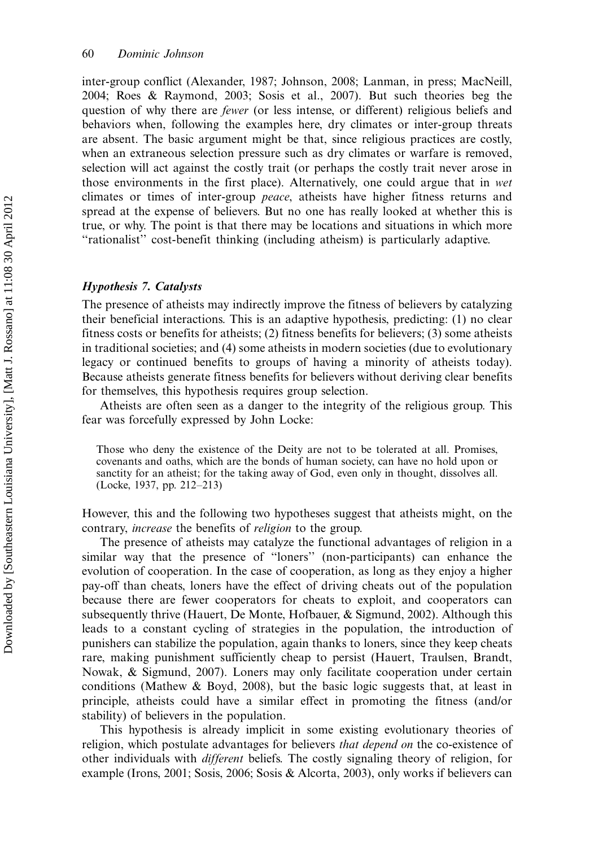inter-group conflict (Alexander, 1987; Johnson, 2008; Lanman, in press; MacNeill, 2004; Roes & Raymond, 2003; Sosis et al., 2007). But such theories beg the question of why there are fewer (or less intense, or different) religious beliefs and behaviors when, following the examples here, dry climates or inter-group threats are absent. The basic argument might be that, since religious practices are costly, when an extraneous selection pressure such as dry climates or warfare is removed, selection will act against the costly trait (or perhaps the costly trait never arose in those environments in the first place). Alternatively, one could argue that in wet climates or times of inter-group peace, atheists have higher fitness returns and spread at the expense of believers. But no one has really looked at whether this is true, or why. The point is that there may be locations and situations in which more ''rationalist'' cost-benefit thinking (including atheism) is particularly adaptive.

## Hypothesis 7. Catalysts

The presence of atheists may indirectly improve the fitness of believers by catalyzing their beneficial interactions. This is an adaptive hypothesis, predicting: (1) no clear fitness costs or benefits for atheists; (2) fitness benefits for believers; (3) some atheists in traditional societies; and (4) some atheists in modern societies (due to evolutionary legacy or continued benefits to groups of having a minority of atheists today). Because atheists generate fitness benefits for believers without deriving clear benefits for themselves, this hypothesis requires group selection.

Atheists are often seen as a danger to the integrity of the religious group. This fear was forcefully expressed by John Locke:

Those who deny the existence of the Deity are not to be tolerated at all. Promises, covenants and oaths, which are the bonds of human society, can have no hold upon or sanctity for an atheist; for the taking away of God, even only in thought, dissolves all. (Locke, 1937, pp. 212–213)

However, this and the following two hypotheses suggest that atheists might, on the contrary, increase the benefits of religion to the group.

The presence of atheists may catalyze the functional advantages of religion in a similar way that the presence of ''loners'' (non-participants) can enhance the evolution of cooperation. In the case of cooperation, as long as they enjoy a higher pay-off than cheats, loners have the effect of driving cheats out of the population because there are fewer cooperators for cheats to exploit, and cooperators can subsequently thrive (Hauert, De Monte, Hofbauer, & Sigmund, 2002). Although this leads to a constant cycling of strategies in the population, the introduction of punishers can stabilize the population, again thanks to loners, since they keep cheats rare, making punishment sufficiently cheap to persist (Hauert, Traulsen, Brandt, Nowak, & Sigmund, 2007). Loners may only facilitate cooperation under certain conditions (Mathew & Boyd, 2008), but the basic logic suggests that, at least in principle, atheists could have a similar effect in promoting the fitness (and/or stability) of believers in the population.

This hypothesis is already implicit in some existing evolutionary theories of religion, which postulate advantages for believers *that depend on* the co-existence of other individuals with different beliefs. The costly signaling theory of religion, for example (Irons, 2001; Sosis, 2006; Sosis & Alcorta, 2003), only works if believers can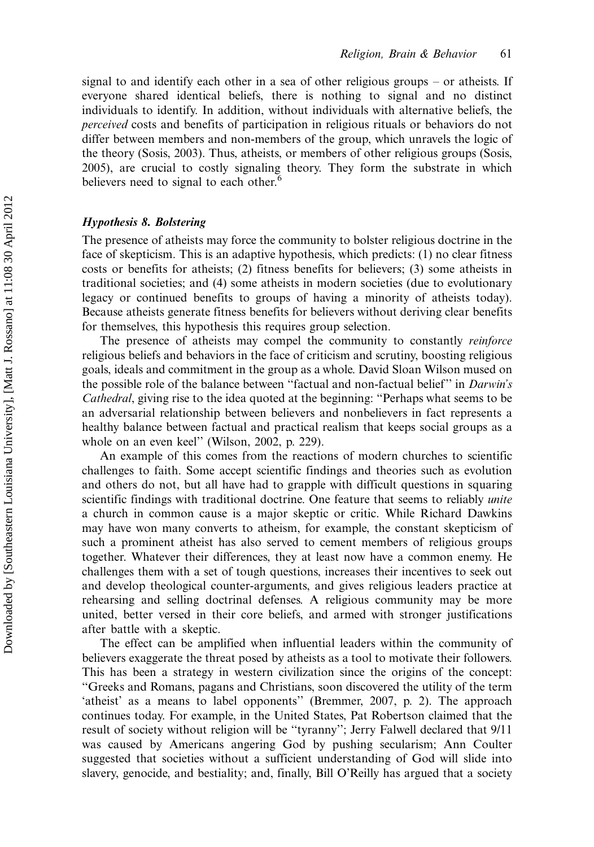signal to and identify each other in a sea of other religious groups  $-$  or atheists. If everyone shared identical beliefs, there is nothing to signal and no distinct individuals to identify. In addition, without individuals with alternative beliefs, the perceived costs and benefits of participation in religious rituals or behaviors do not differ between members and non-members of the group, which unravels the logic of the theory (Sosis, 2003). Thus, atheists, or members of other religious groups (Sosis, 2005), are crucial to costly signaling theory. They form the substrate in which believers need to signal to each other.<sup>6</sup>

## Hypothesis 8. Bolstering

The presence of atheists may force the community to bolster religious doctrine in the face of skepticism. This is an adaptive hypothesis, which predicts: (1) no clear fitness costs or benefits for atheists; (2) fitness benefits for believers; (3) some atheists in traditional societies; and (4) some atheists in modern societies (due to evolutionary legacy or continued benefits to groups of having a minority of atheists today). Because atheists generate fitness benefits for believers without deriving clear benefits for themselves, this hypothesis this requires group selection.

The presence of atheists may compel the community to constantly *reinforce* religious beliefs and behaviors in the face of criticism and scrutiny, boosting religious goals, ideals and commitment in the group as a whole. David Sloan Wilson mused on the possible role of the balance between ''factual and non-factual belief'' in Darwin's Cathedral, giving rise to the idea quoted at the beginning: ''Perhaps what seems to be an adversarial relationship between believers and nonbelievers in fact represents a healthy balance between factual and practical realism that keeps social groups as a whole on an even keel'' (Wilson, 2002, p. 229).

An example of this comes from the reactions of modern churches to scientific challenges to faith. Some accept scientific findings and theories such as evolution and others do not, but all have had to grapple with difficult questions in squaring scientific findings with traditional doctrine. One feature that seems to reliably *unite* a church in common cause is a major skeptic or critic. While Richard Dawkins may have won many converts to atheism, for example, the constant skepticism of such a prominent atheist has also served to cement members of religious groups together. Whatever their differences, they at least now have a common enemy. He challenges them with a set of tough questions, increases their incentives to seek out and develop theological counter-arguments, and gives religious leaders practice at rehearsing and selling doctrinal defenses. A religious community may be more united, better versed in their core beliefs, and armed with stronger justifications after battle with a skeptic.

The effect can be amplified when influential leaders within the community of believers exaggerate the threat posed by atheists as a tool to motivate their followers. This has been a strategy in western civilization since the origins of the concept: ''Greeks and Romans, pagans and Christians, soon discovered the utility of the term 'atheist' as a means to label opponents'' (Bremmer, 2007, p. 2). The approach continues today. For example, in the United States, Pat Robertson claimed that the result of society without religion will be ''tyranny''; Jerry Falwell declared that 9/11 was caused by Americans angering God by pushing secularism; Ann Coulter suggested that societies without a sufficient understanding of God will slide into slavery, genocide, and bestiality; and, finally, Bill O'Reilly has argued that a society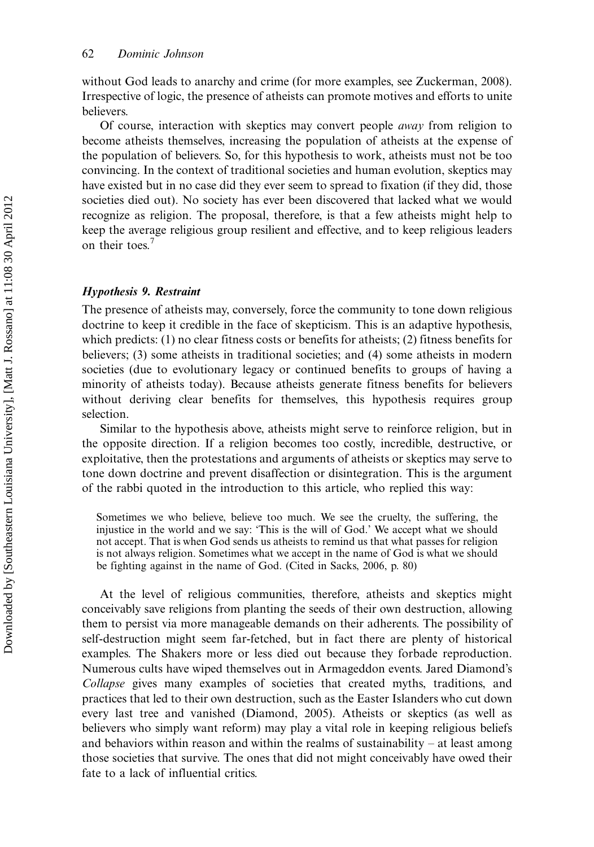without God leads to anarchy and crime (for more examples, see Zuckerman, 2008). Irrespective of logic, the presence of atheists can promote motives and efforts to unite believers.

Of course, interaction with skeptics may convert people away from religion to become atheists themselves, increasing the population of atheists at the expense of the population of believers. So, for this hypothesis to work, atheists must not be too convincing. In the context of traditional societies and human evolution, skeptics may have existed but in no case did they ever seem to spread to fixation (if they did, those societies died out). No society has ever been discovered that lacked what we would recognize as religion. The proposal, therefore, is that a few atheists might help to keep the average religious group resilient and effective, and to keep religious leaders on their toes.<sup>7</sup>

## Hypothesis 9. Restraint

The presence of atheists may, conversely, force the community to tone down religious doctrine to keep it credible in the face of skepticism. This is an adaptive hypothesis, which predicts: (1) no clear fitness costs or benefits for atheists; (2) fitness benefits for believers; (3) some atheists in traditional societies; and (4) some atheists in modern societies (due to evolutionary legacy or continued benefits to groups of having a minority of atheists today). Because atheists generate fitness benefits for believers without deriving clear benefits for themselves, this hypothesis requires group selection.

Similar to the hypothesis above, atheists might serve to reinforce religion, but in the opposite direction. If a religion becomes too costly, incredible, destructive, or exploitative, then the protestations and arguments of atheists or skeptics may serve to tone down doctrine and prevent disaffection or disintegration. This is the argument of the rabbi quoted in the introduction to this article, who replied this way:

Sometimes we who believe, believe too much. We see the cruelty, the suffering, the injustice in the world and we say: 'This is the will of God.' We accept what we should not accept. That is when God sends us atheists to remind us that what passes for religion is not always religion. Sometimes what we accept in the name of God is what we should be fighting against in the name of God. (Cited in Sacks, 2006, p. 80)

At the level of religious communities, therefore, atheists and skeptics might conceivably save religions from planting the seeds of their own destruction, allowing them to persist via more manageable demands on their adherents. The possibility of self-destruction might seem far-fetched, but in fact there are plenty of historical examples. The Shakers more or less died out because they forbade reproduction. Numerous cults have wiped themselves out in Armageddon events. Jared Diamond's Collapse gives many examples of societies that created myths, traditions, and practices that led to their own destruction, such as the Easter Islanders who cut down every last tree and vanished (Diamond, 2005). Atheists or skeptics (as well as believers who simply want reform) may play a vital role in keeping religious beliefs and behaviors within reason and within the realms of sustainability  $-$  at least among those societies that survive. The ones that did not might conceivably have owed their fate to a lack of influential critics.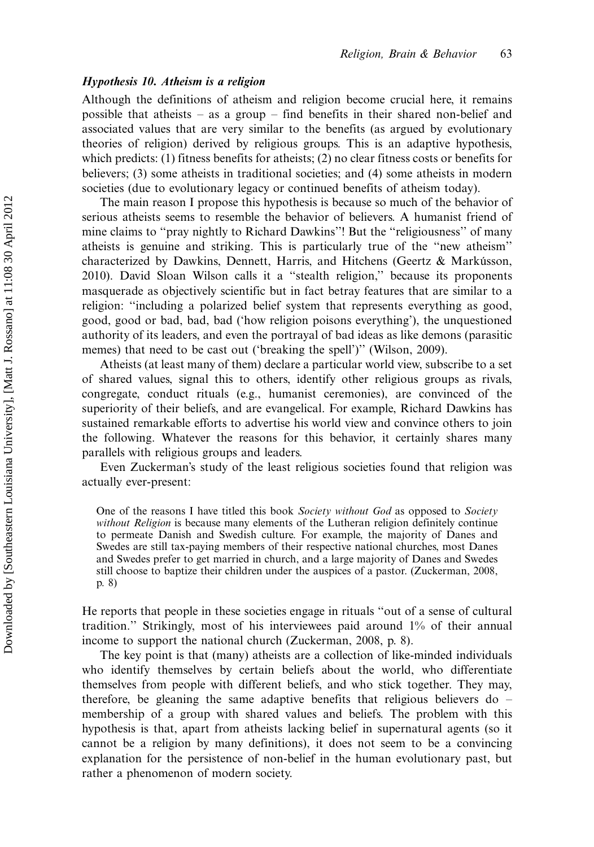## Hypothesis 10. Atheism is a religion

Although the definitions of atheism and religion become crucial here, it remains possible that atheists  $-$  as a group  $-$  find benefits in their shared non-belief and associated values that are very similar to the benefits (as argued by evolutionary theories of religion) derived by religious groups. This is an adaptive hypothesis, which predicts: (1) fitness benefits for atheists; (2) no clear fitness costs or benefits for believers; (3) some atheists in traditional societies; and (4) some atheists in modern societies (due to evolutionary legacy or continued benefits of atheism today).

The main reason I propose this hypothesis is because so much of the behavior of serious atheists seems to resemble the behavior of believers. A humanist friend of mine claims to ''pray nightly to Richard Dawkins''! But the ''religiousness'' of many atheists is genuine and striking. This is particularly true of the ''new atheism'' characterized by Dawkins, Dennett, Harris, and Hitchens (Geertz  $\&$  Markusson, 2010). David Sloan Wilson calls it a ''stealth religion,'' because its proponents masquerade as objectively scientific but in fact betray features that are similar to a religion: ''including a polarized belief system that represents everything as good, good, good or bad, bad, bad ('how religion poisons everything'), the unquestioned authority of its leaders, and even the portrayal of bad ideas as like demons (parasitic memes) that need to be cast out ('breaking the spell')'' (Wilson, 2009).

Atheists (at least many of them) declare a particular world view, subscribe to a set of shared values, signal this to others, identify other religious groups as rivals, congregate, conduct rituals (e.g., humanist ceremonies), are convinced of the superiority of their beliefs, and are evangelical. For example, Richard Dawkins has sustained remarkable efforts to advertise his world view and convince others to join the following. Whatever the reasons for this behavior, it certainly shares many parallels with religious groups and leaders.

Even Zuckerman's study of the least religious societies found that religion was actually ever-present:

One of the reasons I have titled this book Society without God as opposed to Society without Religion is because many elements of the Lutheran religion definitely continue to permeate Danish and Swedish culture. For example, the majority of Danes and Swedes are still tax-paying members of their respective national churches, most Danes and Swedes prefer to get married in church, and a large majority of Danes and Swedes still choose to baptize their children under the auspices of a pastor. (Zuckerman, 2008, p. 8)

He reports that people in these societies engage in rituals ''out of a sense of cultural tradition.'' Strikingly, most of his interviewees paid around 1% of their annual income to support the national church (Zuckerman, 2008, p. 8).

The key point is that (many) atheists are a collection of like-minded individuals who identify themselves by certain beliefs about the world, who differentiate themselves from people with different beliefs, and who stick together. They may, therefore, be gleaning the same adaptive benefits that religious believers do membership of a group with shared values and beliefs. The problem with this hypothesis is that, apart from atheists lacking belief in supernatural agents (so it cannot be a religion by many definitions), it does not seem to be a convincing explanation for the persistence of non-belief in the human evolutionary past, but rather a phenomenon of modern society.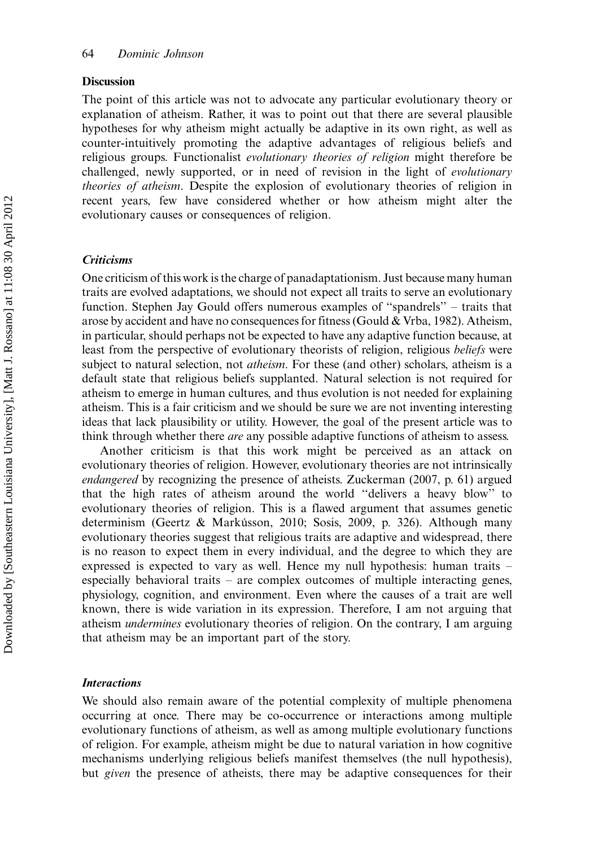#### **Discussion**

The point of this article was not to advocate any particular evolutionary theory or explanation of atheism. Rather, it was to point out that there are several plausible hypotheses for why atheism might actually be adaptive in its own right, as well as counter-intuitively promoting the adaptive advantages of religious beliefs and religious groups. Functionalist evolutionary theories of religion might therefore be challenged, newly supported, or in need of revision in the light of evolutionary theories of atheism. Despite the explosion of evolutionary theories of religion in recent years, few have considered whether or how atheism might alter the evolutionary causes or consequences of religion.

#### **Criticisms**

One criticism of this work is the charge of panadaptationism. Just because many human traits are evolved adaptations, we should not expect all traits to serve an evolutionary function. Stephen Jay Gould offers numerous examples of "spandrels" – traits that arose by accident and have no consequences for fitness (Gould & Vrba, 1982). Atheism, in particular, should perhaps not be expected to have any adaptive function because, at least from the perspective of evolutionary theorists of religion, religious *beliefs* were subject to natural selection, not *atheism*. For these (and other) scholars, atheism is a default state that religious beliefs supplanted. Natural selection is not required for atheism to emerge in human cultures, and thus evolution is not needed for explaining atheism. This is a fair criticism and we should be sure we are not inventing interesting ideas that lack plausibility or utility. However, the goal of the present article was to think through whether there are any possible adaptive functions of atheism to assess.

Another criticism is that this work might be perceived as an attack on evolutionary theories of religion. However, evolutionary theories are not intrinsically endangered by recognizing the presence of atheists. Zuckerman (2007, p. 61) argued that the high rates of atheism around the world ''delivers a heavy blow'' to evolutionary theories of religion. This is a flawed argument that assumes genetic determinism (Geertz & Markússon, 2010; Sosis, 2009, p. 326). Although many evolutionary theories suggest that religious traits are adaptive and widespread, there is no reason to expect them in every individual, and the degree to which they are expressed is expected to vary as well. Hence my null hypothesis: human traits especially behavioral traits  $-$  are complex outcomes of multiple interacting genes, physiology, cognition, and environment. Even where the causes of a trait are well known, there is wide variation in its expression. Therefore, I am not arguing that atheism undermines evolutionary theories of religion. On the contrary, I am arguing that atheism may be an important part of the story.

## Interactions

We should also remain aware of the potential complexity of multiple phenomena occurring at once. There may be co-occurrence or interactions among multiple evolutionary functions of atheism, as well as among multiple evolutionary functions of religion. For example, atheism might be due to natural variation in how cognitive mechanisms underlying religious beliefs manifest themselves (the null hypothesis), but given the presence of atheists, there may be adaptive consequences for their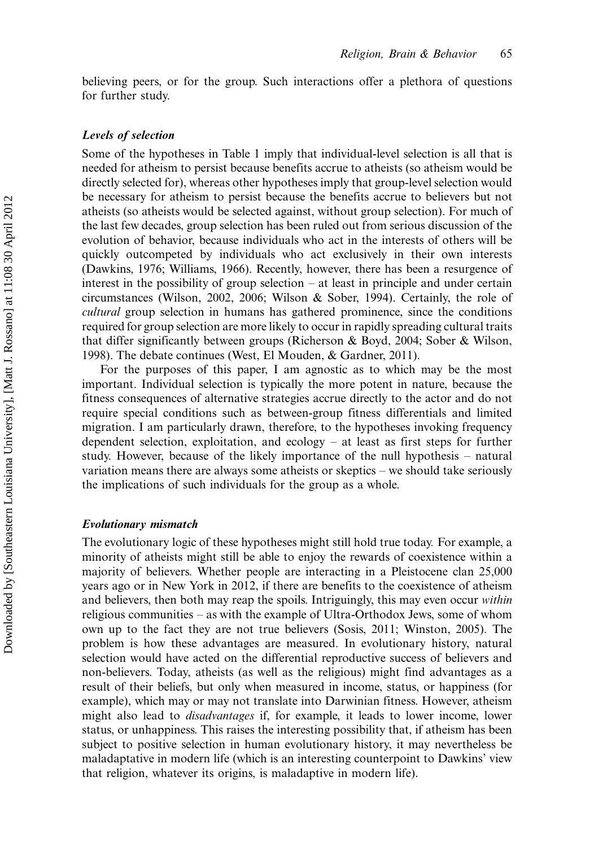believing peers, or for the group. Such interactions offer a plethora of questions for further study.

#### Levels of selection

Some of the hypotheses in Table 1 imply that individual-level selection is all that is needed for atheism to persist because benefits accrue to atheists (so atheism would be directly selected for), whereas other hypotheses imply that group-level selection would be necessary for atheism to persist because the benefits accrue to believers but not atheists (so atheists would be selected against, without group selection). For much of the last few decades, group selection has been ruled out from serious discussion of the evolution of behavior, because individuals who act in the interests of others will be quickly outcompeted by individuals who act exclusively in their own interests (Dawkins, 1976; Williams, 1966). Recently, however, there has been a resurgence of interest in the possibility of group selection  $-$  at least in principle and under certain circumstances (Wilson, 2002, 2006; Wilson & Sober, 1994). Certainly, the role of cultural group selection in humans has gathered prominence, since the conditions required for group selection are more likely to occur in rapidly spreading cultural traits that differ significantly between groups (Richerson & Boyd, 2004; Sober & Wilson, 1998). The debate continues (West, El Mouden, & Gardner, 2011).

For the purposes of this paper, I am agnostic as to which may be the most important. Individual selection is typically the more potent in nature, because the fitness consequences of alternative strategies accrue directly to the actor and do not require special conditions such as between-group fitness differentials and limited migration. I am particularly drawn, therefore, to the hypotheses invoking frequency dependent selection, exploitation, and ecology  $-$  at least as first steps for further study. However, because of the likely importance of the null hypothesis  $-$  natural variation means there are always some atheists or skeptics  $-\mathbf{we}$  should take seriously the implications of such individuals for the group as a whole.

#### Evolutionary mismatch

The evolutionary logic of these hypotheses might still hold true today. For example, a minority of atheists might still be able to enjoy the rewards of coexistence within a majority of believers. Whether people are interacting in a Pleistocene clan 25,000 years ago or in New York in 2012, if there are benefits to the coexistence of atheism and believers, then both may reap the spoils. Intriguingly, this may even occur within religious communities  $-$  as with the example of Ultra-Orthodox Jews, some of whom own up to the fact they are not true believers (Sosis, 2011; Winston, 2005). The problem is how these advantages are measured. In evolutionary history, natural selection would have acted on the differential reproductive success of believers and non-believers. Today, atheists (as well as the religious) might find advantages as a result of their beliefs, but only when measured in income, status, or happiness (for example), which may or may not translate into Darwinian fitness. However, atheism might also lead to disadvantages if, for example, it leads to lower income, lower status, or unhappiness. This raises the interesting possibility that, if atheism has been subject to positive selection in human evolutionary history, it may nevertheless be maladaptative in modern life (which is an interesting counterpoint to Dawkins' view that religion, whatever its origins, is maladaptive in modern life).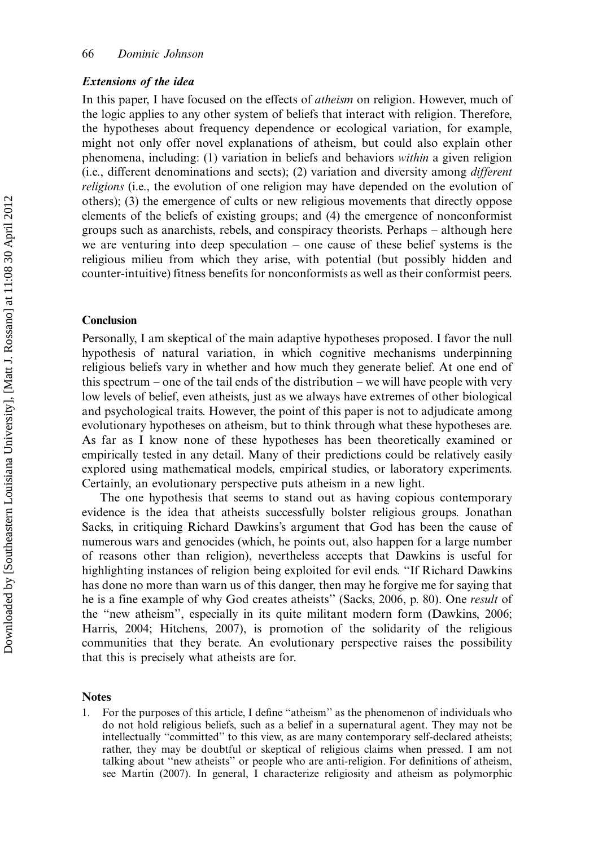#### Extensions of the idea

In this paper, I have focused on the effects of atheism on religion. However, much of the logic applies to any other system of beliefs that interact with religion. Therefore, the hypotheses about frequency dependence or ecological variation, for example, might not only offer novel explanations of atheism, but could also explain other phenomena, including: (1) variation in beliefs and behaviors within a given religion (i.e., different denominations and sects); (2) variation and diversity among different religions (i.e., the evolution of one religion may have depended on the evolution of others); (3) the emergence of cults or new religious movements that directly oppose elements of the beliefs of existing groups; and (4) the emergence of nonconformist groups such as anarchists, rebels, and conspiracy theorists. Perhaps  $-$  although here we are venturing into deep speculation  $-$  one cause of these belief systems is the religious milieu from which they arise, with potential (but possibly hidden and counter-intuitive) fitness benefits for nonconformists as well as their conformist peers.

#### Conclusion

Personally, I am skeptical of the main adaptive hypotheses proposed. I favor the null hypothesis of natural variation, in which cognitive mechanisms underpinning religious beliefs vary in whether and how much they generate belief. At one end of this spectrum – one of the tail ends of the distribution – we will have people with very low levels of belief, even atheists, just as we always have extremes of other biological and psychological traits. However, the point of this paper is not to adjudicate among evolutionary hypotheses on atheism, but to think through what these hypotheses are. As far as I know none of these hypotheses has been theoretically examined or empirically tested in any detail. Many of their predictions could be relatively easily explored using mathematical models, empirical studies, or laboratory experiments. Certainly, an evolutionary perspective puts atheism in a new light.

The one hypothesis that seems to stand out as having copious contemporary evidence is the idea that atheists successfully bolster religious groups. Jonathan Sacks, in critiquing Richard Dawkins's argument that God has been the cause of numerous wars and genocides (which, he points out, also happen for a large number of reasons other than religion), nevertheless accepts that Dawkins is useful for highlighting instances of religion being exploited for evil ends. ''If Richard Dawkins has done no more than warn us of this danger, then may he forgive me for saying that he is a fine example of why God creates atheists'' (Sacks, 2006, p. 80). One result of the ''new atheism'', especially in its quite militant modern form (Dawkins, 2006; Harris, 2004; Hitchens, 2007), is promotion of the solidarity of the religious communities that they berate. An evolutionary perspective raises the possibility that this is precisely what atheists are for.

#### Notes

1. For the purposes of this article, I define "atheism" as the phenomenon of individuals who do not hold religious beliefs, such as a belief in a supernatural agent. They may not be intellectually ''committed'' to this view, as are many contemporary self-declared atheists; rather, they may be doubtful or skeptical of religious claims when pressed. I am not talking about ''new atheists'' or people who are anti-religion. For definitions of atheism, see Martin (2007). In general, I characterize religiosity and atheism as polymorphic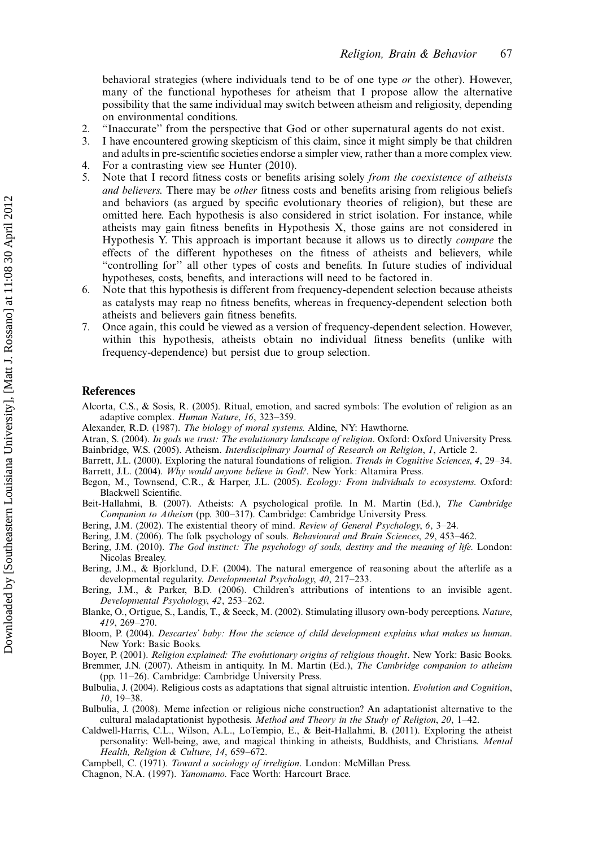behavioral strategies (where individuals tend to be of one type or the other). However, many of the functional hypotheses for atheism that I propose allow the alternative possibility that the same individual may switch between atheism and religiosity, depending on environmental conditions.

- 2. "Inaccurate" from the perspective that God or other supernatural agents do not exist.<br>3. I have encountered growing skepticism of this claim, since it might simply be that children
- I have encountered growing skepticism of this claim, since it might simply be that children and adults in pre-scientific societies endorse a simpler view, rather than a more complex view.
- 4. For a contrasting view see Hunter (2010).
- 5. Note that I record fitness costs or benefits arising solely from the coexistence of atheists and believers. There may be other fitness costs and benefits arising from religious beliefs and behaviors (as argued by specific evolutionary theories of religion), but these are omitted here. Each hypothesis is also considered in strict isolation. For instance, while atheists may gain fitness benefits in Hypothesis X, those gains are not considered in Hypothesis Y. This approach is important because it allows us to directly compare the effects of the different hypotheses on the fitness of atheists and believers, while ''controlling for'' all other types of costs and benefits. In future studies of individual hypotheses, costs, benefits, and interactions will need to be factored in.
- 6. Note that this hypothesis is different from frequency-dependent selection because atheists as catalysts may reap no fitness benefits, whereas in frequency-dependent selection both atheists and believers gain fitness benefits.
- 7. Once again, this could be viewed as a version of frequency-dependent selection. However, within this hypothesis, atheists obtain no individual fitness benefits (unlike with frequency-dependence) but persist due to group selection.

#### References

- Alcorta, C.S., & Sosis, R. (2005). Ritual, emotion, and sacred symbols: The evolution of religion as an adaptive complex. Human Nature, 16, 323-359.
- Alexander, R.D. (1987). The biology of moral systems. Aldine, NY: Hawthorne.
- Atran, S. (2004). In gods we trust: The evolutionary landscape of religion. Oxford: Oxford University Press. Bainbridge, W.S. (2005). Atheism. Interdisciplinary Journal of Research on Religion, 1, Article 2.
- Barrett, J.L. (2000). Exploring the natural foundations of religion. Trends in Cognitive Sciences, 4, 29-34.
- Barrett, J.L. (2004). Why would anyone believe in God?. New York: Altamira Press.
- Begon, M., Townsend, C.R., & Harper, J.L. (2005). Ecology: From individuals to ecosystems. Oxford: Blackwell Scientific.
- Beit-Hallahmi, B. (2007). Atheists: A psychological profile. In M. Martin (Ed.), The Cambridge Companion to Atheism (pp. 300-317). Cambridge: Cambridge University Press.
- Bering, J.M. (2002). The existential theory of mind. Review of General Psychology, 6, 3–24.
- Bering, J.M. (2006). The folk psychology of souls. Behavioural and Brain Sciences, 29, 453-462.
- Bering, J.M. (2010). The God instinct: The psychology of souls, destiny and the meaning of life. London: Nicolas Brealey.
- Bering, J.M., & Bjorklund, D.F. (2004). The natural emergence of reasoning about the afterlife as a developmental regularity. Developmental Psychology, 40, 217-233.
- Bering, J.M., & Parker, B.D. (2006). Children's attributions of intentions to an invisible agent. Developmental Psychology, 42, 253-262.
- Blanke, O., Ortigue, S., Landis, T., & Seeck, M. (2002). Stimulating illusory own-body perceptions. Nature, 419, 269-270.
- Bloom, P. (2004). Descartes' baby: How the science of child development explains what makes us human. New York: Basic Books.

Boyer, P. (2001). Religion explained: The evolutionary origins of religious thought. New York: Basic Books.

Bremmer, J.N. (2007). Atheism in antiquity. In M. Martin (Ed.), *The Cambridge companion to atheism* (pp. 11-26). Cambridge: Cambridge University Press.

- Bulbulia, J. (2004). Religious costs as adaptations that signal altruistic intention. Evolution and Cognition,  $10, 19 - 38.$
- Bulbulia, J. (2008). Meme infection or religious niche construction? An adaptationist alternative to the cultural maladaptationist hypothesis. Method and Theory in the Study of Religion, 20, 1–42.
- Caldwell-Harris, C.L., Wilson, A.L., LoTempio, E., & Beit-Hallahmi, B. (2011). Exploring the atheist personality: Well-being, awe, and magical thinking in atheists, Buddhists, and Christians. Mental Health, Religion & Culture,  $14, 659-672$ .

Campbell, C. (1971). Toward a sociology of irreligion. London: McMillan Press.

Chagnon, N.A. (1997). Yanomamo. Face Worth: Harcourt Brace.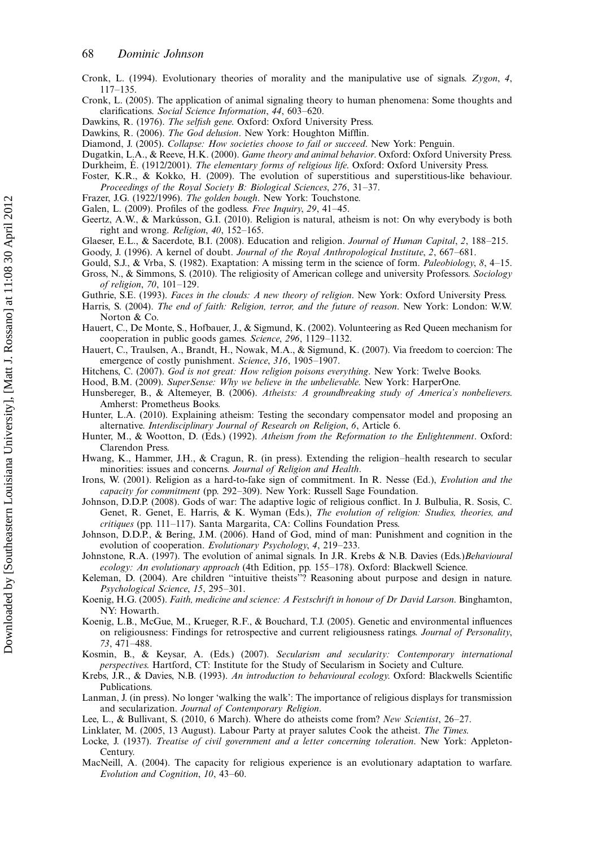- Cronk, L. (1994). Evolutionary theories of morality and the manipulative use of signals. Zygon, 4,  $117 - 135$ .
- Cronk, L. (2005). The application of animal signaling theory to human phenomena: Some thoughts and clarifications. Social Science Information, 44, 603-620.
- Dawkins, R. (1976). The selfish gene. Oxford: Oxford University Press.
- Dawkins, R. (2006). The God delusion. New York: Houghton Mifflin.
- Diamond, J. (2005). Collapse: How societies choose to fail or succeed. New York: Penguin.
- Dugatkin, L.A., & Reeve, H.K. (2000). Game theory and animal behavior. Oxford: Oxford University Press.
- Durkheim, É. (1912/2001). The elementary forms of religious life. Oxford: Oxford University Press.
- Foster, K.R., & Kokko, H. (2009). The evolution of superstitious and superstitious-like behaviour. Proceedings of the Royal Society B: Biological Sciences, 276, 31-37.
- Frazer, J.G. (1922/1996). The golden bough. New York: Touchstone.
- Galen, L. (2009). Profiles of the godless. Free Inquiry, 29, 41-45.
- Geertz, A.W., & Markússon, G.I. (2010). Religion is natural, atheism is not: On why everybody is both right and wrong. Religion,  $40$ , 152-165.
- Glaeser, E.L., & Sacerdote, B.I. (2008). Education and religion. Journal of Human Capital, 2, 188-215.

Goody, J. (1996). A kernel of doubt. Journal of the Royal Anthropological Institute, 2, 667-681.

Gould, S.J., & Vrba, S. (1982). Exaptation: A missing term in the science of form. Paleobiology, 8, 4–15. Gross, N., & Simmons, S. (2010). The religiosity of American college and university Professors. Sociology of religion,  $70$ ,  $101-129$ .

Guthrie, S.E. (1993). Faces in the clouds: A new theory of religion. New York: Oxford University Press.

- Harris, S. (2004). The end of faith: Religion, terror, and the future of reason. New York: London: W.W. Norton & Co.
- Hauert, C., De Monte, S., Hofbauer, J., & Sigmund, K. (2002). Volunteering as Red Queen mechanism for cooperation in public goods games. Science, 296, 1129-1132.
- Hauert, C., Traulsen, A., Brandt, H., Nowak, M.A., & Sigmund, K. (2007). Via freedom to coercion: The emergence of costly punishment. Science, 316, 1905-1907.
- Hitchens, C. (2007). God is not great: How religion poisons everything. New York: Twelve Books.
- Hood, B.M. (2009). SuperSense: Why we believe in the unbelievable. New York: HarperOne.
- Hunsbereger, B., & Altemeyer, B. (2006). Atheists: A groundbreaking study of America's nonbelievers. Amherst: Prometheus Books.
- Hunter, L.A. (2010). Explaining atheism: Testing the secondary compensator model and proposing an alternative. Interdisciplinary Journal of Research on Religion, 6, Article 6.
- Hunter, M., & Wootton, D. (Eds.) (1992). Atheism from the Reformation to the Enlightenment. Oxford: Clarendon Press.
- Hwang, K., Hammer, J.H., & Cragun, R. (in press). Extending the religion-health research to secular minorities: issues and concerns. Journal of Religion and Health.
- Irons, W. (2001). Religion as a hard-to-fake sign of commitment. In R. Nesse (Ed.), Evolution and the capacity for commitment (pp. 292-309). New York: Russell Sage Foundation.
- Johnson, D.D.P. (2008). Gods of war: The adaptive logic of religious conflict. In J. Bulbulia, R. Sosis, C. Genet, R. Genet, E. Harris, & K. Wyman (Eds.), The evolution of religion: Studies, theories, and critiques (pp. 111-117). Santa Margarita, CA: Collins Foundation Press.
- Johnson, D.D.P., & Bering, J.M. (2006). Hand of God, mind of man: Punishment and cognition in the evolution of cooperation. Evolutionary Psychology, 4, 219-233.
- Johnstone, R.A. (1997). The evolution of animal signals. In J.R. Krebs & N.B. Davies (Eds.) Behavioural ecology: An evolutionary approach (4th Edition, pp. 155–178). Oxford: Blackwell Science.
- Keleman, D. (2004). Are children ''intuitive theists''? Reasoning about purpose and design in nature. Psychological Science, 15, 295-301.
- Koenig, H.G. (2005). Faith, medicine and science: A Festschrift in honour of Dr David Larson. Binghamton, NY: Howarth.
- Koenig, L.B., McGue, M., Krueger, R.F., & Bouchard, T.J. (2005). Genetic and environmental influences on religiousness: Findings for retrospective and current religiousness ratings. Journal of Personality, 73, 471-488.
- Kosmin, B., & Keysar, A. (Eds.) (2007). Secularism and secularity: Contemporary international perspectives. Hartford, CT: Institute for the Study of Secularism in Society and Culture.
- Krebs, J.R., & Davies, N.B. (1993). An introduction to behavioural ecology. Oxford: Blackwells Scientific Publications.
- Lanman, J. (in press). No longer 'walking the walk': The importance of religious displays for transmission and secularization. Journal of Contemporary Religion.
- Lee, L., & Bullivant, S. (2010, 6 March). Where do atheists come from? New Scientist,  $26-27$ .
- Linklater, M. (2005, 13 August). Labour Party at prayer salutes Cook the atheist. The Times.
- Locke, J. (1937). Treatise of civil government and a letter concerning toleration. New York: Appleton-Century.
- MacNeill, A. (2004). The capacity for religious experience is an evolutionary adaptation to warfare. Evolution and Cognition,  $10, 43-60$ .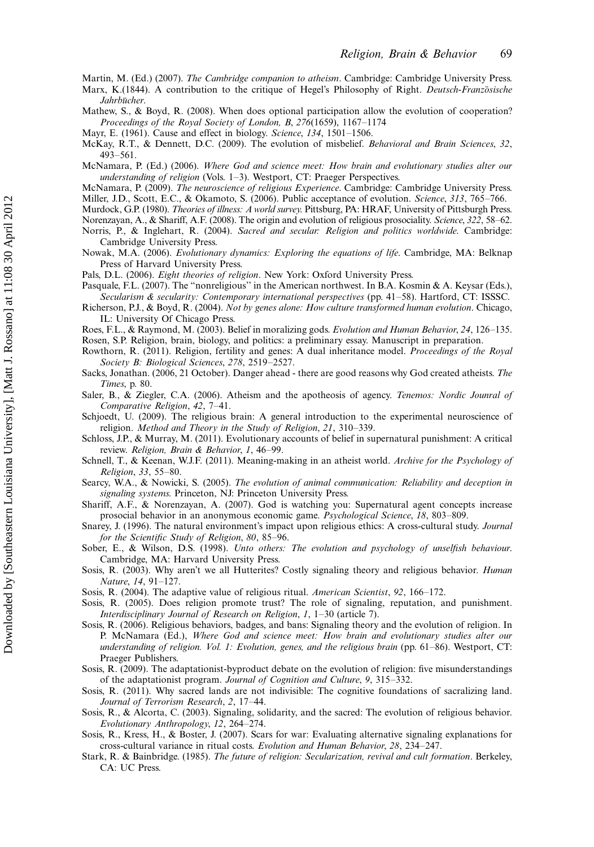Martin, M. (Ed.) (2007). The Cambridge companion to atheism. Cambridge: Cambridge University Press. Marx, K.(1844). A contribution to the critique of Hegel's Philosophy of Right. Deutsch-Französische Jahrbücher.

- Mathew, S., & Boyd, R. (2008). When does optional participation allow the evolution of cooperation? Proceedings of the Royal Society of London, B,  $276(1659)$ ,  $1167-1174$
- Mayr, E. (1961). Cause and effect in biology. Science, 134, 1501-1506.
- McKay, R.T., & Dennett, D.C. (2009). The evolution of misbelief. Behavioral and Brain Sciences, 32, 493561.
- McNamara, P. (Ed.) (2006). Where God and science meet: How brain and evolutionary studies alter our understanding of religion (Vols.  $1-3$ ). Westport, CT: Praeger Perspectives.
- McNamara, P. (2009). The neuroscience of religious Experience. Cambridge: Cambridge University Press. Miller, J.D., Scott, E.C., & Okamoto, S. (2006). Public acceptance of evolution. Science, 313, 765–766.
- Murdock, G.P. (1980). Theories of illness: A world survey. Pittsburg, PA: HRAF, University of Pittsburgh Press. Norenzayan, A., & Shariff, A.F. (2008). The origin and evolution of religious prosociality. Science, 322, 58–62.
- Norris, P., & Inglehart, R. (2004). Sacred and secular: Religion and politics worldwide. Cambridge: Cambridge University Press.
- Nowak, M.A. (2006). Evolutionary dynamics: Exploring the equations of life. Cambridge, MA: Belknap Press of Harvard University Press.
- Pals, D.L. (2006). Eight theories of religion. New York: Oxford University Press.
- Pasquale, F.L. (2007). The ''nonreligious'' in the American northwest. In B.A. Kosmin & A. Keysar (Eds.), Secularism & secularity: Contemporary international perspectives (pp. 41–58). Hartford, CT: ISSSC.
- Richerson, P.J., & Boyd, R. (2004). Not by genes alone: How culture transformed human evolution. Chicago, IL: University Of Chicago Press.
- Roes, F.L., & Raymond, M. (2003). Belief in moralizing gods. Evolution and Human Behavior, 24, 126-135. Rosen, S.P. Religion, brain, biology, and politics: a preliminary essay. Manuscript in preparation.
- Rowthorn, R. (2011). Religion, fertility and genes: A dual inheritance model. Proceedings of the Royal Society B: Biological Sciences, 278, 2519-2527.
- Sacks, Jonathan. (2006, 21 October). Danger ahead there are good reasons why God created atheists. The Times, p. 80.
- Saler, B., & Ziegler, C.A. (2006). Atheism and the apotheosis of agency. Tenemos: Nordic Jounral of Comparative Religion, 42, 7-41.
- Schjoedt, U. (2009). The religious brain: A general introduction to the experimental neuroscience of religion. Method and Theory in the Study of Religion, 21, 310-339.
- Schloss, J.P., & Murray, M. (2011). Evolutionary accounts of belief in supernatural punishment: A critical review. Religion, Brain & Behavior, 1, 46-99.
- Schnell, T., & Keenan, W.J.F. (2011). Meaning-making in an atheist world. Archive for the Psychology of Religion, 33, 55-80.
- Searcy, W.A., & Nowicki, S. (2005). The evolution of animal communication: Reliability and deception in signaling systems. Princeton, NJ: Princeton University Press.
- Shariff, A.F., & Norenzayan, A. (2007). God is watching you: Supernatural agent concepts increase prosocial behavior in an anonymous economic game. Psychological Science, 18, 803-809.
- Snarey, J. (1996). The natural environment's impact upon religious ethics: A cross-cultural study. Journal for the Scientific Study of Religion, 80, 85-96.
- Sober, E., & Wilson, D.S. (1998). Unto others: The evolution and psychology of unselfish behaviour. Cambridge, MA: Harvard University Press.
- Sosis, R. (2003). Why aren't we all Hutterites? Costly signaling theory and religious behavior. Human Nature, 14, 91-127.
- Sosis, R. (2004). The adaptive value of religious ritual. American Scientist,  $92$ , 166-172.
- Sosis, R. (2005). Does religion promote trust? The role of signaling, reputation, and punishment. Interdisciplinary Journal of Research on Religion, 1, 1-30 (article 7).
- Sosis, R. (2006). Religious behaviors, badges, and bans: Signaling theory and the evolution of religion. In P. McNamara (Ed.), Where God and science meet: How brain and evolutionary studies alter our understanding of religion. Vol. 1: Evolution, genes, and the religious brain (pp.  $61-86$ ). Westport, CT: Praeger Publishers.
- Sosis, R. (2009). The adaptationist-byproduct debate on the evolution of religion: five misunderstandings of the adaptationist program. Journal of Cognition and Culture, 9, 315–332.
- Sosis, R. (2011). Why sacred lands are not indivisible: The cognitive foundations of sacralizing land. Journal of Terrorism Research, 2, 17-44.
- Sosis, R., & Alcorta, C. (2003). Signaling, solidarity, and the sacred: The evolution of religious behavior. Evolutionary Anthropology, 12, 264-274.
- Sosis, R., Kress, H., & Boster, J. (2007). Scars for war: Evaluating alternative signaling explanations for cross-cultural variance in ritual costs. Evolution and Human Behavior, 28, 234–247.
- Stark, R. & Bainbridge. (1985). The future of religion: Secularization, revival and cult formation. Berkeley, CA: UC Press.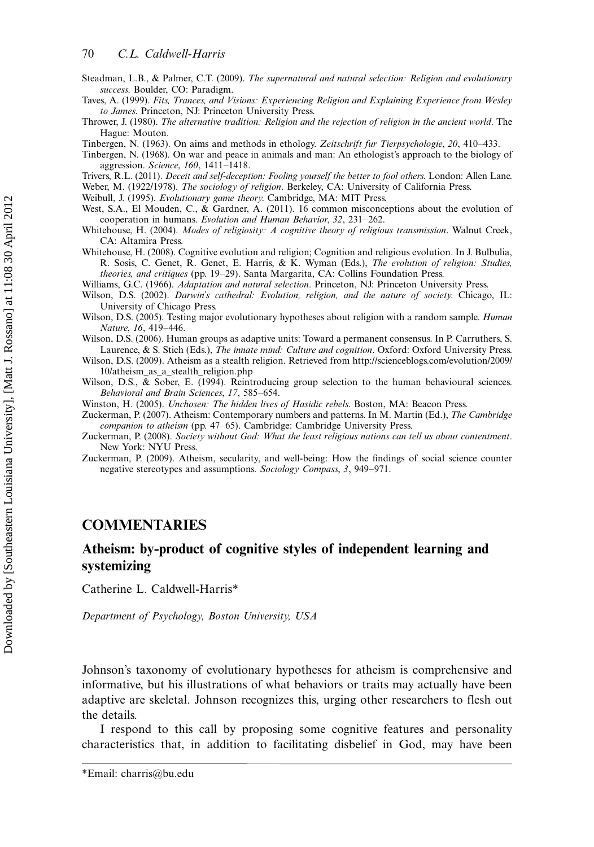Steadman, L.B., & Palmer, C.T. (2009). The supernatural and natural selection: Religion and evolutionary success. Boulder, CO: Paradigm.

Taves, A. (1999). Fits, Trances, and Visions: Experiencing Religion and Explaining Experience from Wesley to James. Princeton, NJ: Princeton University Press.

- Thrower, J. (1980). The alternative tradition: Religion and the rejection of religion in the ancient world. The Hague: Mouton.
- Tinbergen, N. (1963). On aims and methods in ethology. Zeitschrift fur Tierpsychologie, 20, 410–433.
- Tinbergen, N. (1968). On war and peace in animals and man: An ethologist's approach to the biology of aggression. Science,  $160$ ,  $1411-1418$ .
- Trivers, R.L. (2011). Deceit and self-deception: Fooling yourself the better to fool others. London: Allen Lane.

Weber, M. (1922/1978). The sociology of religion. Berkeley, CA: University of California Press.

Weibull, J. (1995). Evolutionary game theory. Cambridge, MA: MIT Press.

- West, S.A., El Mouden, C., & Gardner, A. (2011). 16 common misconceptions about the evolution of cooperation in humans. Evolution and Human Behavior, 32, 231-262.
- Whitehouse, H. (2004). Modes of religiosity: A cognitive theory of religious transmission. Walnut Creek, CA: Altamira Press.
- Whitehouse, H. (2008). Cognitive evolution and religion; Cognition and religious evolution. In J. Bulbulia, R. Sosis, C. Genet, R. Genet, E. Harris, & K. Wyman (Eds.), The evolution of religion: Studies, theories, and critiques (pp. 19–29). Santa Margarita, CA: Collins Foundation Press.

Williams, G.C. (1966). *Adaptation and natural selection*. Princeton, NJ: Princeton University Press.

- Wilson, D.S. (2002). *Darwin's cathedral: Evolution, religion, and the nature of society.* Chicago, IL: University of Chicago Press.
- Wilson, D.S. (2005). Testing major evolutionary hypotheses about religion with a random sample. Human Nature, 16, 419-446.
- Wilson, D.S. (2006). Human groups as adaptive units: Toward a permanent consensus. In P. Carruthers, S. Laurence, & S. Stich (Eds.), The innate mind: Culture and cognition. Oxford: Oxford University Press.
- Wilson, D.S. (2009). Atheism as a stealth religion. Retrieved from [http://scienceblogs.com/evolution/2009/](http://scienceblogs.com/evolution/2009/10/atheism_as_a_stealth_religion.php) [10/atheism\\_as\\_a\\_stealth\\_religion.php](http://scienceblogs.com/evolution/2009/10/atheism_as_a_stealth_religion.php)
- Wilson, D.S., & Sober, E. (1994). Reintroducing group selection to the human behavioural sciences. Behavioral and Brain Sciences, 17, 585-654.
- Winston, H. (2005). Unchosen: The hidden lives of Hasidic rebels. Boston, MA: Beacon Press.
- Zuckerman, P. (2007). Atheism: Contemporary numbers and patterns. In M. Martin (Ed.), The Cambridge companion to atheism (pp.  $47-65$ ). Cambridge: Cambridge University Press.
- Zuckerman, P. (2008). Society without God: What the least religious nations can tell us about contentment. New York: NYU Press.
- Zuckerman, P. (2009). Atheism, secularity, and well-being: How the findings of social science counter negative stereotypes and assumptions. Sociology Compass, 3, 949-971.

## COMMENTARIES

## Atheism: by-product of cognitive styles of independent learning and systemizing

Catherine L. Caldwell-Harris\*

Department of Psychology, Boston University, USA

Johnson's taxonomy of evolutionary hypotheses for atheism is comprehensive and informative, but his illustrations of what behaviors or traits may actually have been adaptive are skeletal. Johnson recognizes this, urging other researchers to flesh out the details.

I respond to this call by proposing some cognitive features and personality characteristics that, in addition to facilitating disbelief in God, may have been

<sup>\*</sup>Email: charris@bu.edu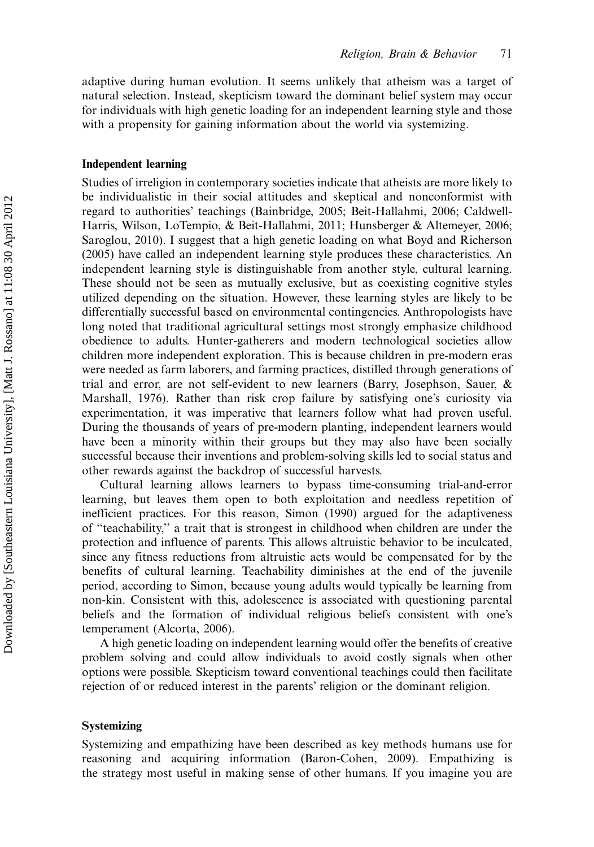adaptive during human evolution. It seems unlikely that atheism was a target of natural selection. Instead, skepticism toward the dominant belief system may occur for individuals with high genetic loading for an independent learning style and those with a propensity for gaining information about the world via systemizing.

#### Independent learning

Studies of irreligion in contemporary societies indicate that atheists are more likely to be individualistic in their social attitudes and skeptical and nonconformist with regard to authorities' teachings (Bainbridge, 2005; Beit-Hallahmi, 2006; Caldwell-Harris, Wilson, LoTempio, & Beit-Hallahmi, 2011; Hunsberger & Altemeyer, 2006; Saroglou, 2010). I suggest that a high genetic loading on what Boyd and Richerson (2005) have called an independent learning style produces these characteristics. An independent learning style is distinguishable from another style, cultural learning. These should not be seen as mutually exclusive, but as coexisting cognitive styles utilized depending on the situation. However, these learning styles are likely to be differentially successful based on environmental contingencies. Anthropologists have long noted that traditional agricultural settings most strongly emphasize childhood obedience to adults. Hunter-gatherers and modern technological societies allow children more independent exploration. This is because children in pre-modern eras were needed as farm laborers, and farming practices, distilled through generations of trial and error, are not self-evident to new learners (Barry, Josephson, Sauer, & Marshall, 1976). Rather than risk crop failure by satisfying one's curiosity via experimentation, it was imperative that learners follow what had proven useful. During the thousands of years of pre-modern planting, independent learners would have been a minority within their groups but they may also have been socially successful because their inventions and problem-solving skills led to social status and other rewards against the backdrop of successful harvests.

Cultural learning allows learners to bypass time-consuming trial-and-error learning, but leaves them open to both exploitation and needless repetition of inefficient practices. For this reason, Simon (1990) argued for the adaptiveness of ''teachability,'' a trait that is strongest in childhood when children are under the protection and influence of parents. This allows altruistic behavior to be inculcated, since any fitness reductions from altruistic acts would be compensated for by the benefits of cultural learning. Teachability diminishes at the end of the juvenile period, according to Simon, because young adults would typically be learning from non-kin. Consistent with this, adolescence is associated with questioning parental beliefs and the formation of individual religious beliefs consistent with one's temperament (Alcorta, 2006).

A high genetic loading on independent learning would offer the benefits of creative problem solving and could allow individuals to avoid costly signals when other options were possible. Skepticism toward conventional teachings could then facilitate rejection of or reduced interest in the parents' religion or the dominant religion.

#### **Systemizing**

Systemizing and empathizing have been described as key methods humans use for reasoning and acquiring information (Baron-Cohen, 2009). Empathizing is the strategy most useful in making sense of other humans. If you imagine you are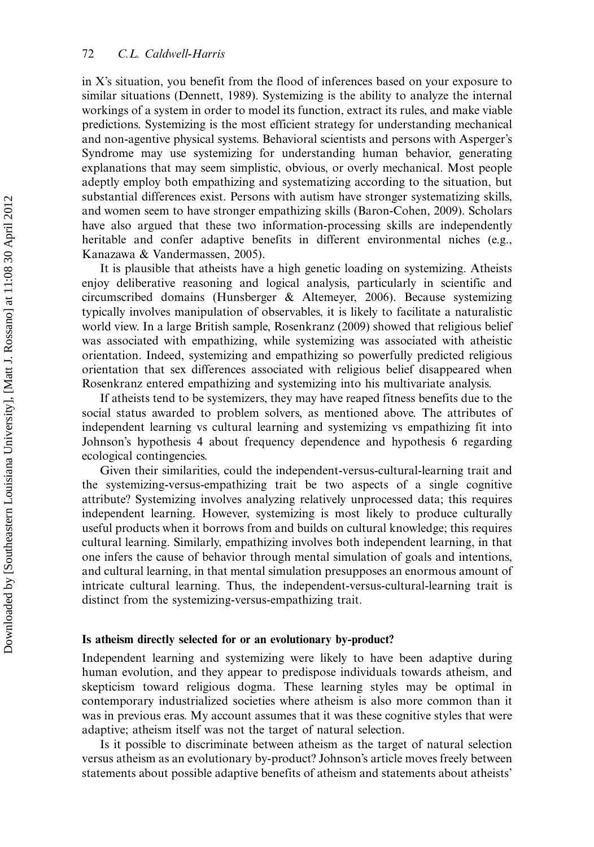in X's situation, you benefit from the flood of inferences based on your exposure to similar situations (Dennett, 1989). Systemizing is the ability to analyze the internal workings of a system in order to model its function, extract its rules, and make viable predictions. Systemizing is the most efficient strategy for understanding mechanical and non-agentive physical systems. Behavioral scientists and persons with Asperger's Syndrome may use systemizing for understanding human behavior, generating explanations that may seem simplistic, obvious, or overly mechanical. Most people adeptly employ both empathizing and systematizing according to the situation, but substantial differences exist. Persons with autism have stronger systematizing skills, and women seem to have stronger empathizing skills (Baron-Cohen, 2009). Scholars have also argued that these two information-processing skills are independently heritable and confer adaptive benefits in different environmental niches (e.g., Kanazawa & Vandermassen, 2005).

It is plausible that atheists have a high genetic loading on systemizing. Atheists enjoy deliberative reasoning and logical analysis, particularly in scientific and circumscribed domains (Hunsberger & Altemeyer, 2006). Because systemizing typically involves manipulation of observables, it is likely to facilitate a naturalistic world view. In a large British sample, Rosenkranz (2009) showed that religious belief was associated with empathizing, while systemizing was associated with atheistic orientation. Indeed, systemizing and empathizing so powerfully predicted religious orientation that sex differences associated with religious belief disappeared when Rosenkranz entered empathizing and systemizing into his multivariate analysis.

If atheists tend to be systemizers, they may have reaped fitness benefits due to the social status awarded to problem solvers, as mentioned above. The attributes of independent learning vs cultural learning and systemizing vs empathizing fit into Johnson's hypothesis 4 about frequency dependence and hypothesis 6 regarding ecological contingencies.

Given their similarities, could the independent-versus-cultural-learning trait and the systemizing-versus-empathizing trait be two aspects of a single cognitive attribute? Systemizing involves analyzing relatively unprocessed data; this requires independent learning. However, systemizing is most likely to produce culturally useful products when it borrows from and builds on cultural knowledge; this requires cultural learning. Similarly, empathizing involves both independent learning, in that one infers the cause of behavior through mental simulation of goals and intentions, and cultural learning, in that mental simulation presupposes an enormous amount of intricate cultural learning. Thus, the independent-versus-cultural-learning trait is distinct from the systemizing-versus-empathizing trait.

## Is atheism directly selected for or an evolutionary by-product?

Independent learning and systemizing were likely to have been adaptive during human evolution, and they appear to predispose individuals towards atheism, and skepticism toward religious dogma. These learning styles may be optimal in contemporary industrialized societies where atheism is also more common than it was in previous eras. My account assumes that it was these cognitive styles that were adaptive; atheism itself was not the target of natural selection.

Is it possible to discriminate between atheism as the target of natural selection versus atheism as an evolutionary by-product? Johnson's article moves freely between statements about possible adaptive benefits of atheism and statements about atheists'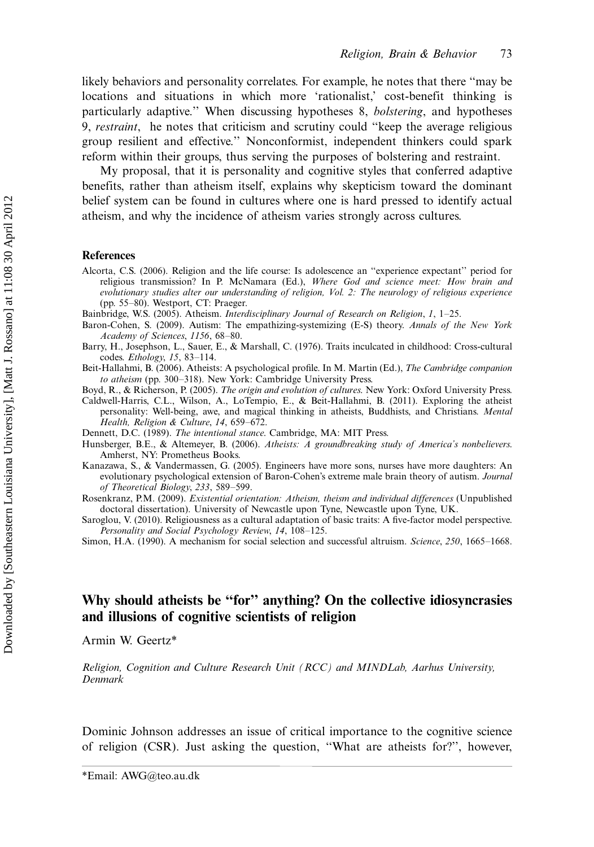likely behaviors and personality correlates. For example, he notes that there ''may be locations and situations in which more 'rationalist,' cost-benefit thinking is particularly adaptive.'' When discussing hypotheses 8, bolstering, and hypotheses 9, restraint, he notes that criticism and scrutiny could ''keep the average religious group resilient and effective.'' Nonconformist, independent thinkers could spark reform within their groups, thus serving the purposes of bolstering and restraint.

My proposal, that it is personality and cognitive styles that conferred adaptive benefits, rather than atheism itself, explains why skepticism toward the dominant belief system can be found in cultures where one is hard pressed to identify actual atheism, and why the incidence of atheism varies strongly across cultures.

#### **References**

Alcorta, C.S. (2006). Religion and the life course: Is adolescence an ''experience expectant'' period for religious transmission? In P. McNamara (Ed.), Where God and science meet: How brain and evolutionary studies alter our understanding of religion, Vol. 2: The neurology of religious experience (pp. 55-80). Westport, CT: Praeger.

Bainbridge, W.S. (2005). Atheism. *Interdisciplinary Journal of Research on Religion, 1*, 1–25.

- Baron-Cohen, S. (2009). Autism: The empathizing-systemizing (E-S) theory. Annals of the New York Academy of Sciences, 1156, 68-80.
- Barry, H., Josephson, L., Sauer, E., & Marshall, C. (1976). Traits inculcated in childhood: Cross-cultural codes. Ethology, 15, 83-114.

Beit-Hallahmi, B. (2006). Atheists: A psychological profile. In M. Martin (Ed.), The Cambridge companion to atheism (pp. 300-318). New York: Cambridge University Press.

Boyd, R., & Richerson, P. (2005). The origin and evolution of cultures. New York: Oxford University Press.

Caldwell-Harris, C.L., Wilson, A., LoTempio, E., & Beit-Hallahmi, B. (2011). Exploring the atheist personality: Well-being, awe, and magical thinking in atheists, Buddhists, and Christians. Mental Health, Religion & Culture, 14,  $659-672$ .

Dennett, D.C. (1989). The intentional stance. Cambridge, MA: MIT Press.

- Hunsberger, B.E., & Altemeyer, B. (2006). Atheists: A groundbreaking study of America's nonbelievers. Amherst, NY: Prometheus Books.
- Kanazawa, S., & Vandermassen, G. (2005). Engineers have more sons, nurses have more daughters: An evolutionary psychological extension of Baron-Cohen's extreme male brain theory of autism. Journal of Theoretical Biology,  $233$ ,  $589-599$ .
- Rosenkranz, P.M. (2009). Existential orientation: Atheism, theism and individual differences (Unpublished doctoral dissertation). University of Newcastle upon Tyne, Newcastle upon Tyne, UK.

Saroglou, V. (2010). Religiousness as a cultural adaptation of basic traits: A five-factor model perspective. Personality and Social Psychology Review, 14, 108-125.

Simon, H.A. (1990). A mechanism for social selection and successful altruism. Science, 250, 1665-1668.

# Why should atheists be "for" anything? On the collective idiosyncrasies and illusions of cognitive scientists of religion

Armin W. Geertz\*

Religion, Cognition and Culture Research Unit (RCC) and MINDLab, Aarhus University, Denmark

Dominic Johnson addresses an issue of critical importance to the cognitive science of religion (CSR). Just asking the question, ''What are atheists for?'', however,

<sup>\*</sup>Email: AWG@teo.au.dk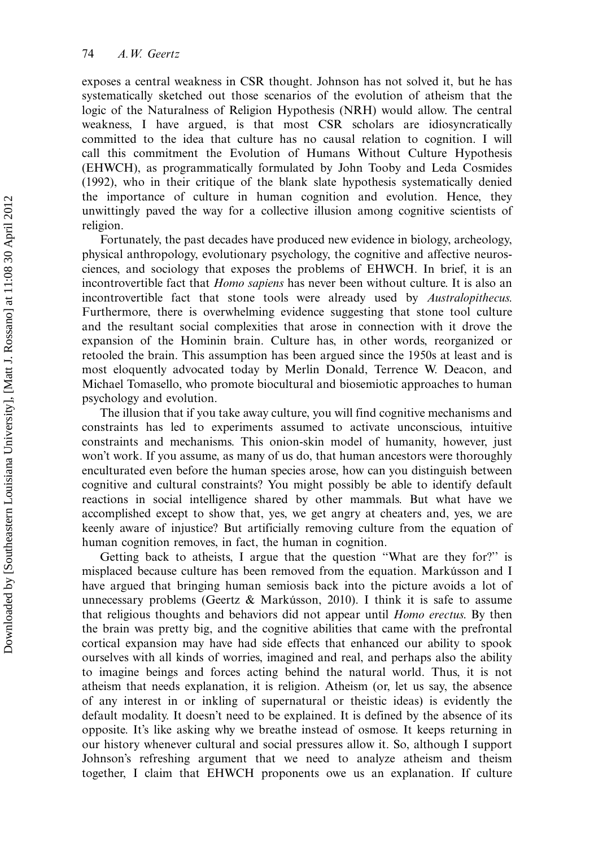exposes a central weakness in CSR thought. Johnson has not solved it, but he has systematically sketched out those scenarios of the evolution of atheism that the logic of the Naturalness of Religion Hypothesis (NRH) would allow. The central weakness, I have argued, is that most CSR scholars are idiosyncratically committed to the idea that culture has no causal relation to cognition. I will call this commitment the Evolution of Humans Without Culture Hypothesis (EHWCH), as programmatically formulated by John Tooby and Leda Cosmides (1992), who in their critique of the blank slate hypothesis systematically denied the importance of culture in human cognition and evolution. Hence, they unwittingly paved the way for a collective illusion among cognitive scientists of religion.

Fortunately, the past decades have produced new evidence in biology, archeology, physical anthropology, evolutionary psychology, the cognitive and affective neurosciences, and sociology that exposes the problems of EHWCH. In brief, it is an incontrovertible fact that Homo sapiens has never been without culture. It is also an incontrovertible fact that stone tools were already used by Australopithecus. Furthermore, there is overwhelming evidence suggesting that stone tool culture and the resultant social complexities that arose in connection with it drove the expansion of the Hominin brain. Culture has, in other words, reorganized or retooled the brain. This assumption has been argued since the 1950s at least and is most eloquently advocated today by Merlin Donald, Terrence W. Deacon, and Michael Tomasello, who promote biocultural and biosemiotic approaches to human psychology and evolution.

The illusion that if you take away culture, you will find cognitive mechanisms and constraints has led to experiments assumed to activate unconscious, intuitive constraints and mechanisms. This onion-skin model of humanity, however, just won't work. If you assume, as many of us do, that human ancestors were thoroughly enculturated even before the human species arose, how can you distinguish between cognitive and cultural constraints? You might possibly be able to identify default reactions in social intelligence shared by other mammals. But what have we accomplished except to show that, yes, we get angry at cheaters and, yes, we are keenly aware of injustice? But artificially removing culture from the equation of human cognition removes, in fact, the human in cognition.

Getting back to atheists, I argue that the question ''What are they for?'' is misplaced because culture has been removed from the equation. Markutsson and I have argued that bringing human semiosis back into the picture avoids a lot of unnecessary problems (Geertz & Markússon, 2010). I think it is safe to assume that religious thoughts and behaviors did not appear until Homo erectus. By then the brain was pretty big, and the cognitive abilities that came with the prefrontal cortical expansion may have had side effects that enhanced our ability to spook ourselves with all kinds of worries, imagined and real, and perhaps also the ability to imagine beings and forces acting behind the natural world. Thus, it is not atheism that needs explanation, it is religion. Atheism (or, let us say, the absence of any interest in or inkling of supernatural or theistic ideas) is evidently the default modality. It doesn't need to be explained. It is defined by the absence of its opposite. It's like asking why we breathe instead of osmose. It keeps returning in our history whenever cultural and social pressures allow it. So, although I support Johnson's refreshing argument that we need to analyze atheism and theism together, I claim that EHWCH proponents owe us an explanation. If culture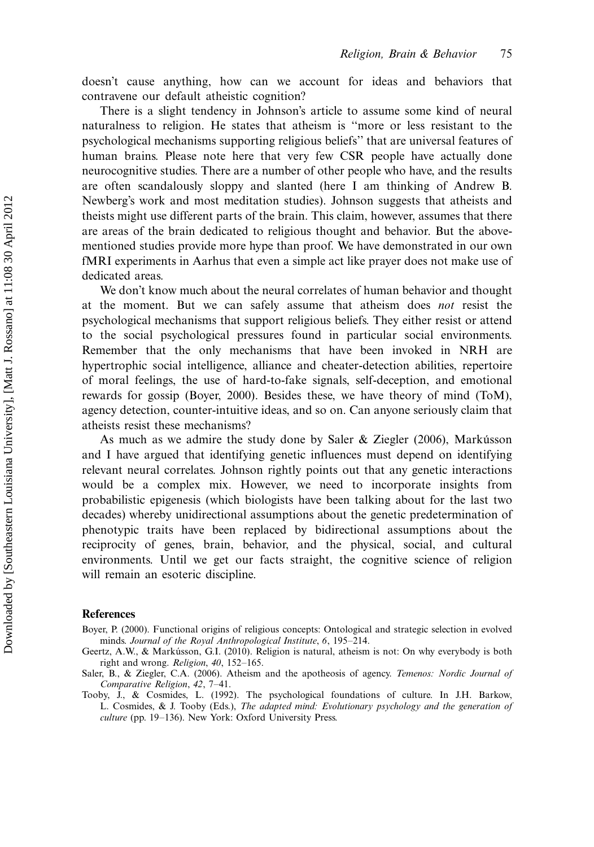doesn't cause anything, how can we account for ideas and behaviors that contravene our default atheistic cognition?

There is a slight tendency in Johnson's article to assume some kind of neural naturalness to religion. He states that atheism is ''more or less resistant to the psychological mechanisms supporting religious beliefs'' that are universal features of human brains. Please note here that very few CSR people have actually done neurocognitive studies. There are a number of other people who have, and the results are often scandalously sloppy and slanted (here I am thinking of Andrew B. Newberg's work and most meditation studies). Johnson suggests that atheists and theists might use different parts of the brain. This claim, however, assumes that there are areas of the brain dedicated to religious thought and behavior. But the abovementioned studies provide more hype than proof. We have demonstrated in our own fMRI experiments in Aarhus that even a simple act like prayer does not make use of dedicated areas.

We don't know much about the neural correlates of human behavior and thought at the moment. But we can safely assume that atheism does not resist the psychological mechanisms that support religious beliefs. They either resist or attend to the social psychological pressures found in particular social environments. Remember that the only mechanisms that have been invoked in NRH are hypertrophic social intelligence, alliance and cheater-detection abilities, repertoire of moral feelings, the use of hard-to-fake signals, self-deception, and emotional rewards for gossip (Boyer, 2000). Besides these, we have theory of mind (ToM), agency detection, counter-intuitive ideas, and so on. Can anyone seriously claim that atheists resist these mechanisms?

As much as we admire the study done by Saler & Ziegler (2006), Markússon and I have argued that identifying genetic influences must depend on identifying relevant neural correlates. Johnson rightly points out that any genetic interactions would be a complex mix. However, we need to incorporate insights from probabilistic epigenesis (which biologists have been talking about for the last two decades) whereby unidirectional assumptions about the genetic predetermination of phenotypic traits have been replaced by bidirectional assumptions about the reciprocity of genes, brain, behavior, and the physical, social, and cultural environments. Until we get our facts straight, the cognitive science of religion will remain an esoteric discipline.

#### References

Boyer, P. (2000). Functional origins of religious concepts: Ontological and strategic selection in evolved minds. Journal of the Royal Anthropological Institute, 6, 195-214.

Geertz, A.W., & Markússon, G.I. (2010). Religion is natural, atheism is not: On why everybody is both right and wrong. Religion,  $40$ , 152-165.

Tooby, J., & Cosmides, L. (1992). The psychological foundations of culture. In J.H. Barkow, L. Cosmides, & J. Tooby (Eds.), The adapted mind: Evolutionary psychology and the generation of  $culture$  (pp. 19-136). New York: Oxford University Press.

Saler, B., & Ziegler, C.A. (2006). Atheism and the apotheosis of agency. Temenos: Nordic Journal of Comparative Religion, 42, 7-41.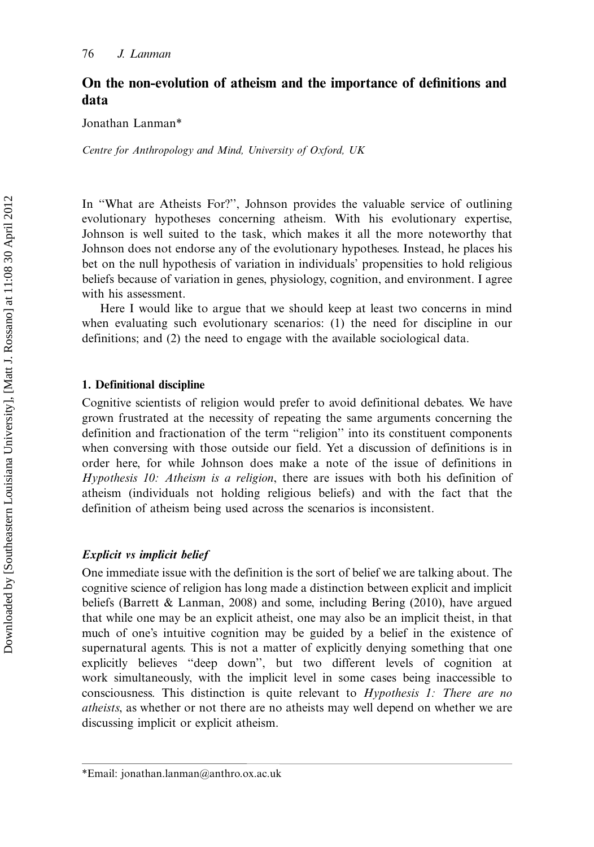# On the non-evolution of atheism and the importance of definitions and data

Jonathan Lanman\*

Centre for Anthropology and Mind, University of Oxford, UK

In ''What are Atheists For?'', Johnson provides the valuable service of outlining evolutionary hypotheses concerning atheism. With his evolutionary expertise, Johnson is well suited to the task, which makes it all the more noteworthy that Johnson does not endorse any of the evolutionary hypotheses. Instead, he places his bet on the null hypothesis of variation in individuals' propensities to hold religious beliefs because of variation in genes, physiology, cognition, and environment. I agree with his assessment.

Here I would like to argue that we should keep at least two concerns in mind when evaluating such evolutionary scenarios: (1) the need for discipline in our definitions; and (2) the need to engage with the available sociological data.

#### 1. Definitional discipline

Cognitive scientists of religion would prefer to avoid definitional debates. We have grown frustrated at the necessity of repeating the same arguments concerning the definition and fractionation of the term ''religion'' into its constituent components when conversing with those outside our field. Yet a discussion of definitions is in order here, for while Johnson does make a note of the issue of definitions in Hypothesis 10: Atheism is a religion, there are issues with both his definition of atheism (individuals not holding religious beliefs) and with the fact that the definition of atheism being used across the scenarios is inconsistent.

## Explicit vs implicit belief

One immediate issue with the definition is the sort of belief we are talking about. The cognitive science of religion has long made a distinction between explicit and implicit beliefs (Barrett & Lanman, 2008) and some, including Bering (2010), have argued that while one may be an explicit atheist, one may also be an implicit theist, in that much of one's intuitive cognition may be guided by a belief in the existence of supernatural agents. This is not a matter of explicitly denying something that one explicitly believes ''deep down'', but two different levels of cognition at work simultaneously, with the implicit level in some cases being inaccessible to consciousness. This distinction is quite relevant to Hypothesis 1: There are no atheists, as whether or not there are no atheists may well depend on whether we are discussing implicit or explicit atheism.

<sup>\*</sup>Email: jonathan.lanman@anthro.ox.ac.uk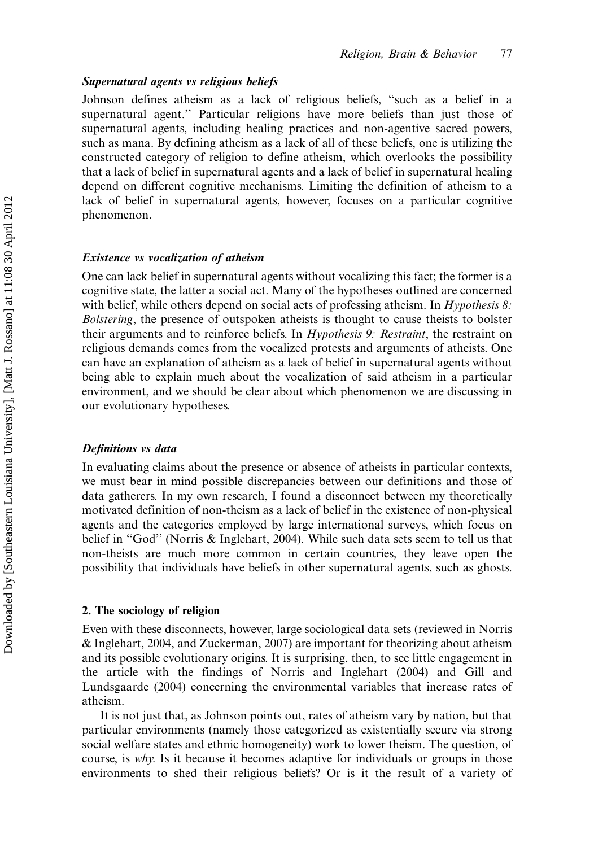## Supernatural agents vs religious beliefs

Johnson defines atheism as a lack of religious beliefs, ''such as a belief in a supernatural agent.'' Particular religions have more beliefs than just those of supernatural agents, including healing practices and non-agentive sacred powers, such as mana. By defining atheism as a lack of all of these beliefs, one is utilizing the constructed category of religion to define atheism, which overlooks the possibility that a lack of belief in supernatural agents and a lack of belief in supernatural healing depend on different cognitive mechanisms. Limiting the definition of atheism to a lack of belief in supernatural agents, however, focuses on a particular cognitive phenomenon.

## Existence vs vocalization of atheism

One can lack belief in supernatural agents without vocalizing this fact; the former is a cognitive state, the latter a social act. Many of the hypotheses outlined are concerned with belief, while others depend on social acts of professing atheism. In *Hypothesis 8*: Bolstering, the presence of outspoken atheists is thought to cause theists to bolster their arguments and to reinforce beliefs. In Hypothesis 9: Restraint, the restraint on religious demands comes from the vocalized protests and arguments of atheists. One can have an explanation of atheism as a lack of belief in supernatural agents without being able to explain much about the vocalization of said atheism in a particular environment, and we should be clear about which phenomenon we are discussing in our evolutionary hypotheses.

#### Definitions vs data

In evaluating claims about the presence or absence of atheists in particular contexts, we must bear in mind possible discrepancies between our definitions and those of data gatherers. In my own research, I found a disconnect between my theoretically motivated definition of non-theism as a lack of belief in the existence of non-physical agents and the categories employed by large international surveys, which focus on belief in ''God'' (Norris & Inglehart, 2004). While such data sets seem to tell us that non-theists are much more common in certain countries, they leave open the possibility that individuals have beliefs in other supernatural agents, such as ghosts.

#### 2. The sociology of religion

Even with these disconnects, however, large sociological data sets (reviewed in Norris & Inglehart, 2004, and Zuckerman, 2007) are important for theorizing about atheism and its possible evolutionary origins. It is surprising, then, to see little engagement in the article with the findings of Norris and Inglehart (2004) and Gill and Lundsgaarde (2004) concerning the environmental variables that increase rates of atheism.

It is not just that, as Johnson points out, rates of atheism vary by nation, but that particular environments (namely those categorized as existentially secure via strong social welfare states and ethnic homogeneity) work to lower theism. The question, of course, is why. Is it because it becomes adaptive for individuals or groups in those environments to shed their religious beliefs? Or is it the result of a variety of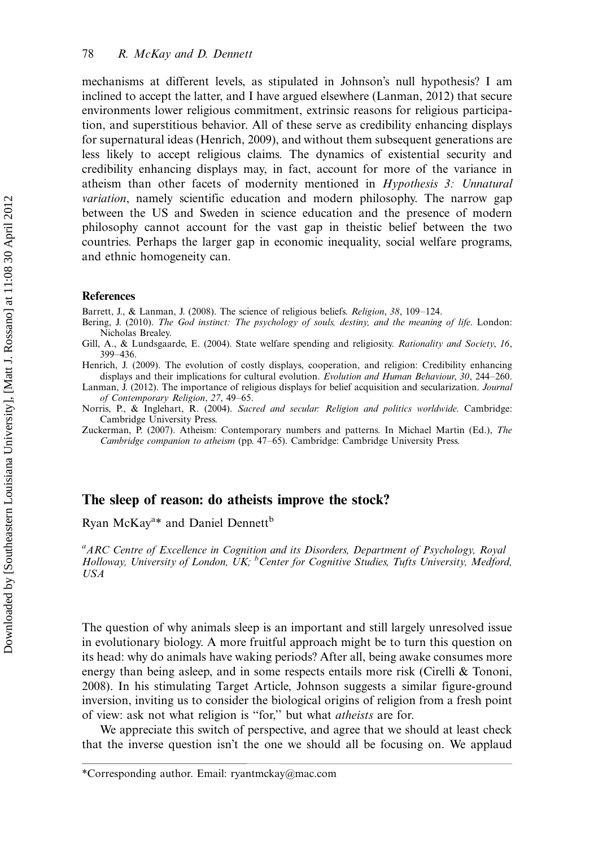mechanisms at different levels, as stipulated in Johnson's null hypothesis? I am inclined to accept the latter, and I have argued elsewhere (Lanman, 2012) that secure environments lower religious commitment, extrinsic reasons for religious participation, and superstitious behavior. All of these serve as credibility enhancing displays for supernatural ideas (Henrich, 2009), and without them subsequent generations are less likely to accept religious claims. The dynamics of existential security and credibility enhancing displays may, in fact, account for more of the variance in atheism than other facets of modernity mentioned in Hypothesis 3: Unnatural variation, namely scientific education and modern philosophy. The narrow gap between the US and Sweden in science education and the presence of modern philosophy cannot account for the vast gap in theistic belief between the two countries. Perhaps the larger gap in economic inequality, social welfare programs, and ethnic homogeneity can.

#### **References**

Barrett, J., & Lanman, J. (2008). The science of religious beliefs. *Religion*,  $38$ , 109-124.

- Bering, J. (2010). The God instinct: The psychology of souls, destiny, and the meaning of life. London: Nicholas Brealey.
- Gill, A., & Lundsgaarde, E. (2004). State welfare spending and religiosity. Rationality and Society, 16, 399436.

Henrich, J. (2009). The evolution of costly displays, cooperation, and religion: Credibility enhancing displays and their implications for cultural evolution. Evolution and Human Behaviour, 30, 244–260.

Lanman, J. (2012). The importance of religious displays for belief acquisition and secularization. Journal of Contemporary Religion, 27, 49-65.

- Norris, P., & Inglehart, R. (2004). Sacred and secular: Religion and politics worldwide. Cambridge: Cambridge University Press.
- Zuckerman, P. (2007). Atheism: Contemporary numbers and patterns. In Michael Martin (Ed.), The Cambridge companion to atheism (pp.  $47-65$ ). Cambridge: Cambridge University Press.

## The sleep of reason: do atheists improve the stock?

Ryan McKay<sup>a\*</sup> and Daniel Dennett<sup>b</sup>

<sup>a</sup> ARC Centre of Excellence in Cognition and its Disorders, Department of Psychology, Royal Holloway, University of London, UK; <sup>b</sup>Center for Cognitive Studies, Tufts University, Medford, USA

The question of why animals sleep is an important and still largely unresolved issue in evolutionary biology. A more fruitful approach might be to turn this question on its head: why do animals have waking periods? After all, being awake consumes more energy than being asleep, and in some respects entails more risk (Cirelli & Tononi, 2008). In his stimulating Target Article, Johnson suggests a similar figure-ground inversion, inviting us to consider the biological origins of religion from a fresh point of view: ask not what religion is ''for,'' but what atheists are for.

We appreciate this switch of perspective, and agree that we should at least check that the inverse question isn't the one we should all be focusing on. We applaud

<sup>\*</sup>Corresponding author. Email: ryantmckay@mac.com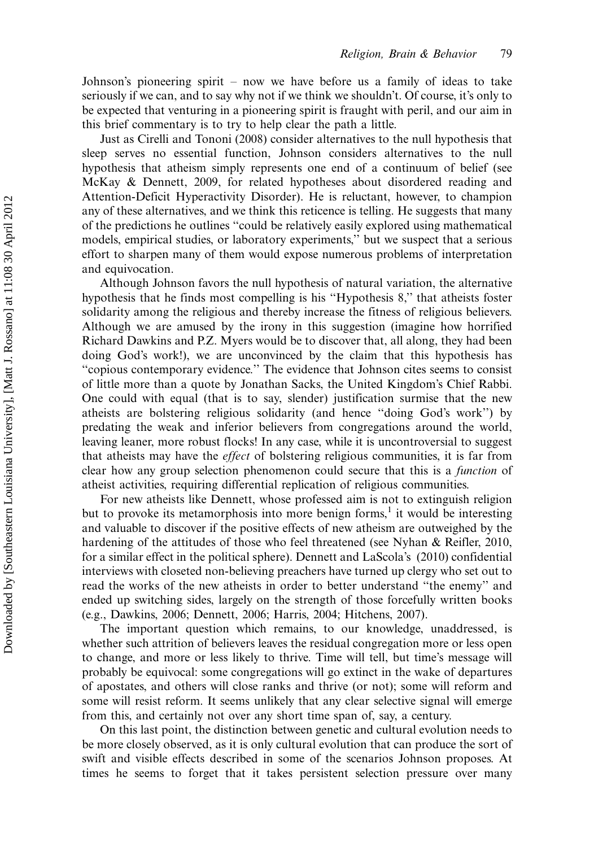Johnson's pioneering spirit  $-$  now we have before us a family of ideas to take seriously if we can, and to say why not if we think we shouldn't. Of course, it's only to be expected that venturing in a pioneering spirit is fraught with peril, and our aim in this brief commentary is to try to help clear the path a little.

Just as Cirelli and Tononi (2008) consider alternatives to the null hypothesis that sleep serves no essential function, Johnson considers alternatives to the null hypothesis that atheism simply represents one end of a continuum of belief (see McKay & Dennett, 2009, for related hypotheses about disordered reading and Attention-Deficit Hyperactivity Disorder). He is reluctant, however, to champion any of these alternatives, and we think this reticence is telling. He suggests that many of the predictions he outlines ''could be relatively easily explored using mathematical models, empirical studies, or laboratory experiments,'' but we suspect that a serious effort to sharpen many of them would expose numerous problems of interpretation and equivocation.

Although Johnson favors the null hypothesis of natural variation, the alternative hypothesis that he finds most compelling is his ''Hypothesis 8,'' that atheists foster solidarity among the religious and thereby increase the fitness of religious believers. Although we are amused by the irony in this suggestion (imagine how horrified Richard Dawkins and P.Z. Myers would be to discover that, all along, they had been doing God's work!), we are unconvinced by the claim that this hypothesis has ''copious contemporary evidence.'' The evidence that Johnson cites seems to consist of little more than a quote by Jonathan Sacks, the United Kingdom's Chief Rabbi. One could with equal (that is to say, slender) justification surmise that the new atheists are bolstering religious solidarity (and hence ''doing God's work'') by predating the weak and inferior believers from congregations around the world, leaving leaner, more robust flocks! In any case, while it is uncontroversial to suggest that atheists may have the effect of bolstering religious communities, it is far from clear how any group selection phenomenon could secure that this is a *function* of atheist activities, requiring differential replication of religious communities.

For new atheists like Dennett, whose professed aim is not to extinguish religion but to provoke its metamorphosis into more benign forms, $<sup>1</sup>$  it would be interesting</sup> and valuable to discover if the positive effects of new atheism are outweighed by the hardening of the attitudes of those who feel threatened (see Nyhan & Reifler, 2010, for a similar effect in the political sphere). Dennett and LaScola's (2010) confidential interviews with closeted non-believing preachers have turned up clergy who set out to read the works of the new atheists in order to better understand ''the enemy'' and ended up switching sides, largely on the strength of those forcefully written books (e.g., Dawkins, 2006; Dennett, 2006; Harris, 2004; Hitchens, 2007).

The important question which remains, to our knowledge, unaddressed, is whether such attrition of believers leaves the residual congregation more or less open to change, and more or less likely to thrive. Time will tell, but time's message will probably be equivocal: some congregations will go extinct in the wake of departures of apostates, and others will close ranks and thrive (or not); some will reform and some will resist reform. It seems unlikely that any clear selective signal will emerge from this, and certainly not over any short time span of, say, a century.

On this last point, the distinction between genetic and cultural evolution needs to be more closely observed, as it is only cultural evolution that can produce the sort of swift and visible effects described in some of the scenarios Johnson proposes. At times he seems to forget that it takes persistent selection pressure over many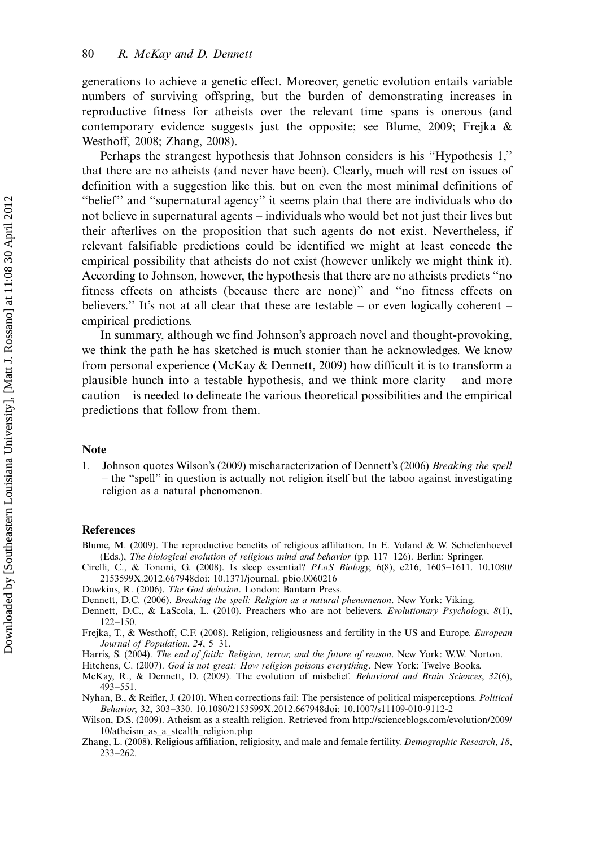generations to achieve a genetic effect. Moreover, genetic evolution entails variable numbers of surviving offspring, but the burden of demonstrating increases in reproductive fitness for atheists over the relevant time spans is onerous (and contemporary evidence suggests just the opposite; see Blume, 2009; Frejka & Westhoff, 2008; Zhang, 2008).

Perhaps the strangest hypothesis that Johnson considers is his ''Hypothesis 1,'' that there are no atheists (and never have been). Clearly, much will rest on issues of definition with a suggestion like this, but on even the most minimal definitions of ''belief'' and ''supernatural agency'' it seems plain that there are individuals who do not believe in supernatural agents – individuals who would bet not just their lives but their afterlives on the proposition that such agents do not exist. Nevertheless, if relevant falsifiable predictions could be identified we might at least concede the empirical possibility that atheists do not exist (however unlikely we might think it). According to Johnson, however, the hypothesis that there are no atheists predicts ''no fitness effects on atheists (because there are none)'' and ''no fitness effects on believers." It's not at all clear that these are testable  $-$  or even logically coherent  $$ empirical predictions.

In summary, although we find Johnson's approach novel and thought-provoking, we think the path he has sketched is much stonier than he acknowledges. We know from personal experience (McKay & Dennett, 2009) how difficult it is to transform a plausible hunch into a testable hypothesis, and we think more clarity  $-$  and more caution – is needed to delineate the various theoretical possibilities and the empirical predictions that follow from them.

#### Note

1. Johnson quotes Wilson's (2009) mischaracterization of Dennett's (2006) Breaking the spell - the "spell" in question is actually not religion itself but the taboo against investigating religion as a natural phenomenon.

#### **References**

- Blume, M. (2009). The reproductive benefits of religious affiliation. In E. Voland & W. Schiefenhoevel (Eds.), The biological evolution of religious mind and behavior (pp. 117-126). Berlin: Springer.
- Cirelli, C., & Tononi, G. (2008). Is sleep essential?  $PLoS$  Biology, 6(8), e216, 1605-1611. 10.1080/ 2153599X.2012.667948doi: 10.1371/journal. pbio.0060216
- Dawkins, R. (2006). The God delusion. London: Bantam Press.
- Dennett, D.C. (2006). Breaking the spell: Religion as a natural phenomenon. New York: Viking.
- Dennett, D.C., & LaScola, L. (2010). Preachers who are not believers. Evolutionary Psychology, 8(1),  $122 - 150$ .
- Frejka, T., & Westhoff, C.F. (2008). Religion, religiousness and fertility in the US and Europe. European Journal of Population, 24, 5-31.
- Harris, S. (2004). The end of faith: Religion, terror, and the future of reason. New York: W.W. Norton.

Hitchens, C. (2007). God is not great: How religion poisons everything. New York: Twelve Books.

McKay, R., & Dennett, D. (2009). The evolution of misbelief. Behavioral and Brain Sciences, 32(6), 493-551.

Nyhan, B., & Reifler, J. (2010). When corrections fail: The persistence of political misperceptions. Political Behavior, 32, 303-330. 10.1080/2153599X.2012.667948doi: 10.1007/s11109-010-9112-2

- Wilson, D.S. (2009). Atheism as a stealth religion. Retrieved from [http://scienceblogs.com/evolution/2009/](http://scienceblogs.com/evolution/2009/10/atheism_as_a_stealth_religion.php) [10/atheism\\_as\\_a\\_stealth\\_religion.php](http://scienceblogs.com/evolution/2009/10/atheism_as_a_stealth_religion.php)
- Zhang, L. (2008). Religious affiliation, religiosity, and male and female fertility. Demographic Research, 18,  $233 - 262$ .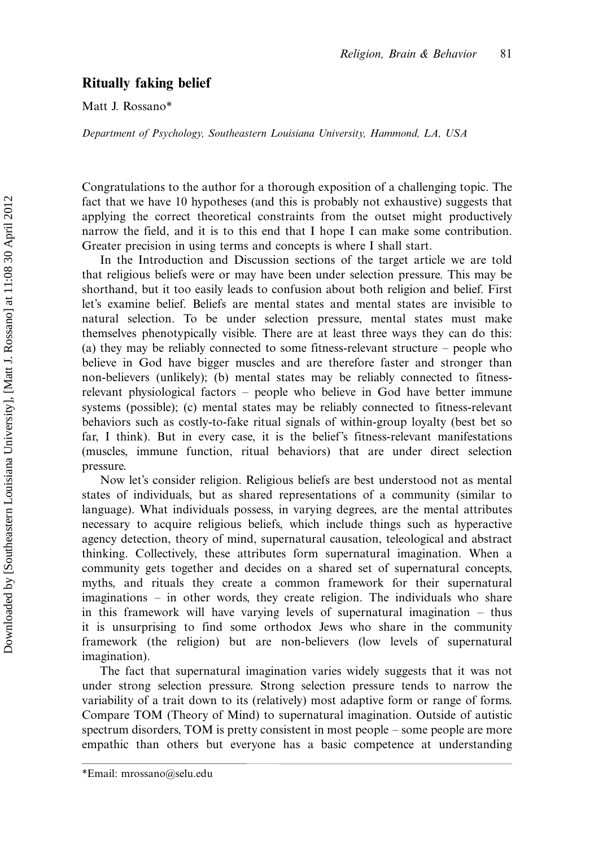## Ritually faking belief

Matt J. Rossano\*

Department of Psychology, Southeastern Louisiana University, Hammond, LA, USA

Congratulations to the author for a thorough exposition of a challenging topic. The fact that we have 10 hypotheses (and this is probably not exhaustive) suggests that applying the correct theoretical constraints from the outset might productively narrow the field, and it is to this end that I hope I can make some contribution. Greater precision in using terms and concepts is where I shall start.

In the Introduction and Discussion sections of the target article we are told that religious beliefs were or may have been under selection pressure. This may be shorthand, but it too easily leads to confusion about both religion and belief. First let's examine belief. Beliefs are mental states and mental states are invisible to natural selection. To be under selection pressure, mental states must make themselves phenotypically visible. There are at least three ways they can do this: (a) they may be reliably connected to some fitness-relevant structure people who believe in God have bigger muscles and are therefore faster and stronger than non-believers (unlikely); (b) mental states may be reliably connected to fitnessrelevant physiological factors people who believe in God have better immune systems (possible); (c) mental states may be reliably connected to fitness-relevant behaviors such as costly-to-fake ritual signals of within-group loyalty (best bet so far, I think). But in every case, it is the belief's fitness-relevant manifestations (muscles, immune function, ritual behaviors) that are under direct selection pressure.

Now let's consider religion. Religious beliefs are best understood not as mental states of individuals, but as shared representations of a community (similar to language). What individuals possess, in varying degrees, are the mental attributes necessary to acquire religious beliefs, which include things such as hyperactive agency detection, theory of mind, supernatural causation, teleological and abstract thinking. Collectively, these attributes form supernatural imagination. When a community gets together and decides on a shared set of supernatural concepts, myths, and rituals they create a common framework for their supernatural  $imaginations - in other words, they create religion. The individuals who share$ in this framework will have varying levels of supernatural imagination  $-$  thus it is unsurprising to find some orthodox Jews who share in the community framework (the religion) but are non-believers (low levels of supernatural imagination).

The fact that supernatural imagination varies widely suggests that it was not under strong selection pressure. Strong selection pressure tends to narrow the variability of a trait down to its (relatively) most adaptive form or range of forms. Compare TOM (Theory of Mind) to supernatural imagination. Outside of autistic spectrum disorders, TOM is pretty consistent in most people – some people are more empathic than others but everyone has a basic competence at understanding

<sup>\*</sup>Email: mrossano@selu.edu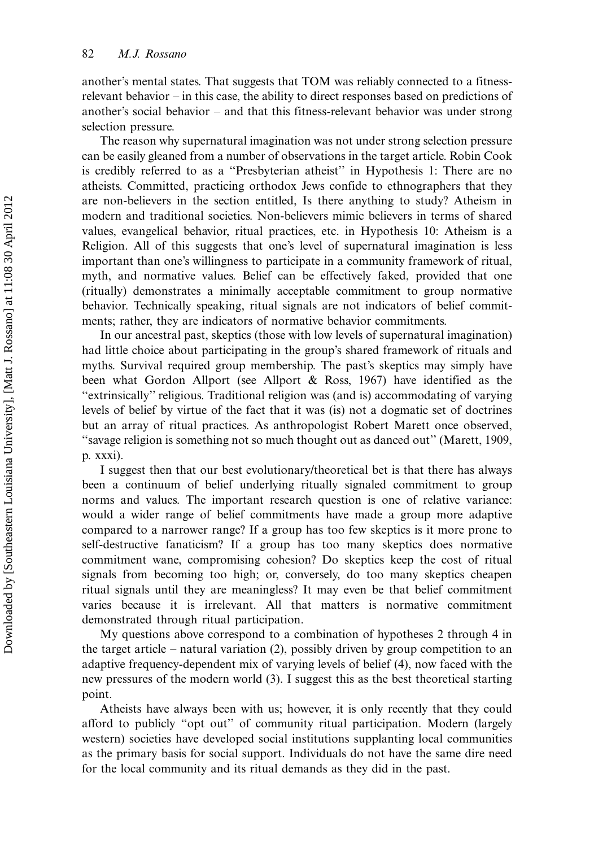another's mental states. That suggests that TOM was reliably connected to a fitnessrelevant behavior – in this case, the ability to direct responses based on predictions of another's social behavior  $-$  and that this fitness-relevant behavior was under strong selection pressure.

The reason why supernatural imagination was not under strong selection pressure can be easily gleaned from a number of observations in the target article. Robin Cook is credibly referred to as a ''Presbyterian atheist'' in Hypothesis 1: There are no atheists. Committed, practicing orthodox Jews confide to ethnographers that they are non-believers in the section entitled, Is there anything to study? Atheism in modern and traditional societies. Non-believers mimic believers in terms of shared values, evangelical behavior, ritual practices, etc. in Hypothesis 10: Atheism is a Religion. All of this suggests that one's level of supernatural imagination is less important than one's willingness to participate in a community framework of ritual, myth, and normative values. Belief can be effectively faked, provided that one (ritually) demonstrates a minimally acceptable commitment to group normative behavior. Technically speaking, ritual signals are not indicators of belief commitments; rather, they are indicators of normative behavior commitments.

In our ancestral past, skeptics (those with low levels of supernatural imagination) had little choice about participating in the group's shared framework of rituals and myths. Survival required group membership. The past's skeptics may simply have been what Gordon Allport (see Allport & Ross, 1967) have identified as the ''extrinsically'' religious. Traditional religion was (and is) accommodating of varying levels of belief by virtue of the fact that it was (is) not a dogmatic set of doctrines but an array of ritual practices. As anthropologist Robert Marett once observed, ''savage religion is something not so much thought out as danced out'' (Marett, 1909, p. xxxi).

I suggest then that our best evolutionary/theoretical bet is that there has always been a continuum of belief underlying ritually signaled commitment to group norms and values. The important research question is one of relative variance: would a wider range of belief commitments have made a group more adaptive compared to a narrower range? If a group has too few skeptics is it more prone to self-destructive fanaticism? If a group has too many skeptics does normative commitment wane, compromising cohesion? Do skeptics keep the cost of ritual signals from becoming too high; or, conversely, do too many skeptics cheapen ritual signals until they are meaningless? It may even be that belief commitment varies because it is irrelevant. All that matters is normative commitment demonstrated through ritual participation.

My questions above correspond to a combination of hypotheses 2 through 4 in the target article  $-$  natural variation (2), possibly driven by group competition to an adaptive frequency-dependent mix of varying levels of belief (4), now faced with the new pressures of the modern world (3). I suggest this as the best theoretical starting point.

Atheists have always been with us; however, it is only recently that they could afford to publicly ''opt out'' of community ritual participation. Modern (largely western) societies have developed social institutions supplanting local communities as the primary basis for social support. Individuals do not have the same dire need for the local community and its ritual demands as they did in the past.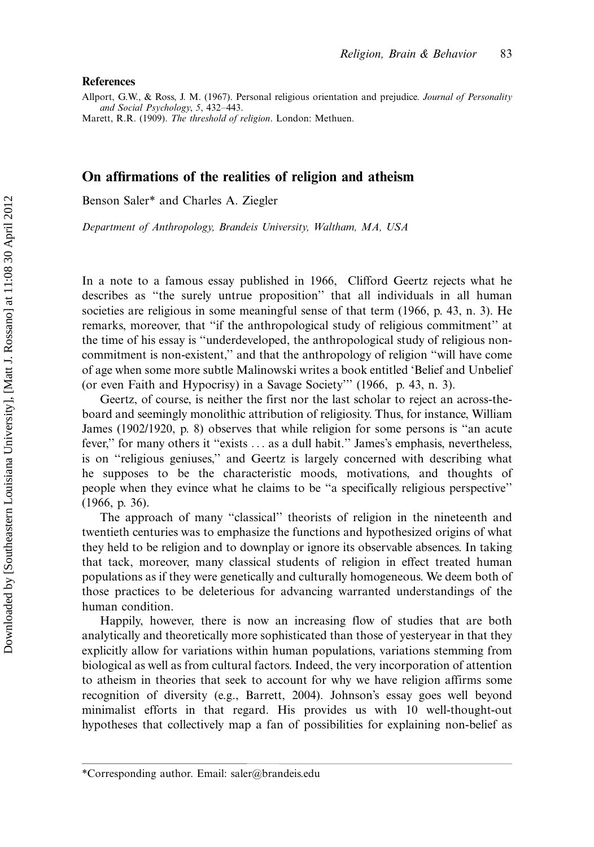#### References

Allport, G.W., & Ross, J. M. (1967). Personal religious orientation and prejudice. Journal of Personality and Social Psychology, 5, 432-443.

Marett, R.R. (1909). The threshold of religion. London: Methuen.

## On affirmations of the realities of religion and atheism

Benson Saler\* and Charles A. Ziegler

Department of Anthropology, Brandeis University, Waltham, MA, USA

In a note to a famous essay published in 1966, Clifford Geertz rejects what he describes as ''the surely untrue proposition'' that all individuals in all human societies are religious in some meaningful sense of that term (1966, p. 43, n. 3). He remarks, moreover, that ''if the anthropological study of religious commitment'' at the time of his essay is ''underdeveloped, the anthropological study of religious noncommitment is non-existent,'' and that the anthropology of religion ''will have come of age when some more subtle Malinowski writes a book entitled 'Belief and Unbelief (or even Faith and Hypocrisy) in a Savage Society''' (1966, p. 43, n. 3).

Geertz, of course, is neither the first nor the last scholar to reject an across-theboard and seemingly monolithic attribution of religiosity. Thus, for instance, William James (1902/1920, p. 8) observes that while religion for some persons is ''an acute fever," for many others it "exists ... as a dull habit." James's emphasis, nevertheless, is on ''religious geniuses,'' and Geertz is largely concerned with describing what he supposes to be the characteristic moods, motivations, and thoughts of people when they evince what he claims to be ''a specifically religious perspective'' (1966, p. 36).

The approach of many ''classical'' theorists of religion in the nineteenth and twentieth centuries was to emphasize the functions and hypothesized origins of what they held to be religion and to downplay or ignore its observable absences. In taking that tack, moreover, many classical students of religion in effect treated human populations as if they were genetically and culturally homogeneous. We deem both of those practices to be deleterious for advancing warranted understandings of the human condition.

Happily, however, there is now an increasing flow of studies that are both analytically and theoretically more sophisticated than those of yesteryear in that they explicitly allow for variations within human populations, variations stemming from biological as well as from cultural factors. Indeed, the very incorporation of attention to atheism in theories that seek to account for why we have religion affirms some recognition of diversity (e.g., Barrett, 2004). Johnson's essay goes well beyond minimalist efforts in that regard. His provides us with 10 well-thought-out hypotheses that collectively map a fan of possibilities for explaining non-belief as

<sup>\*</sup>Corresponding author. Email: saler@brandeis.edu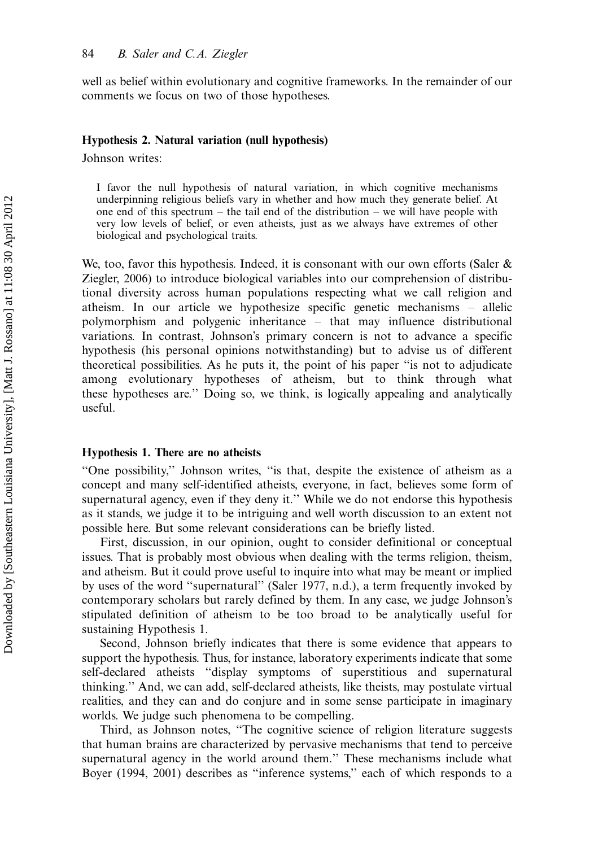well as belief within evolutionary and cognitive frameworks. In the remainder of our comments we focus on two of those hypotheses.

#### Hypothesis 2. Natural variation (null hypothesis)

Johnson writes:

I favor the null hypothesis of natural variation, in which cognitive mechanisms underpinning religious beliefs vary in whether and how much they generate belief. At one end of this spectrum  $-$  the tail end of the distribution  $-$  we will have people with very low levels of belief, or even atheists, just as we always have extremes of other biological and psychological traits.

We, too, favor this hypothesis. Indeed, it is consonant with our own efforts (Saler & Ziegler, 2006) to introduce biological variables into our comprehension of distributional diversity across human populations respecting what we call religion and atheism. In our article we hypothesize specific genetic mechanisms  $-$  allelic polymorphism and polygenic inheritance that may influence distributional variations. In contrast, Johnson's primary concern is not to advance a specific hypothesis (his personal opinions notwithstanding) but to advise us of different theoretical possibilities. As he puts it, the point of his paper ''is not to adjudicate among evolutionary hypotheses of atheism, but to think through what these hypotheses are.'' Doing so, we think, is logically appealing and analytically useful.

#### Hypothesis 1. There are no atheists

''One possibility,'' Johnson writes, ''is that, despite the existence of atheism as a concept and many self-identified atheists, everyone, in fact, believes some form of supernatural agency, even if they deny it.'' While we do not endorse this hypothesis as it stands, we judge it to be intriguing and well worth discussion to an extent not possible here. But some relevant considerations can be briefly listed.

First, discussion, in our opinion, ought to consider definitional or conceptual issues. That is probably most obvious when dealing with the terms religion, theism, and atheism. But it could prove useful to inquire into what may be meant or implied by uses of the word ''supernatural'' (Saler 1977, n.d.), a term frequently invoked by contemporary scholars but rarely defined by them. In any case, we judge Johnson's stipulated definition of atheism to be too broad to be analytically useful for sustaining Hypothesis 1.

Second, Johnson briefly indicates that there is some evidence that appears to support the hypothesis. Thus, for instance, laboratory experiments indicate that some self-declared atheists ''display symptoms of superstitious and supernatural thinking.'' And, we can add, self-declared atheists, like theists, may postulate virtual realities, and they can and do conjure and in some sense participate in imaginary worlds. We judge such phenomena to be compelling.

Third, as Johnson notes, ''The cognitive science of religion literature suggests that human brains are characterized by pervasive mechanisms that tend to perceive supernatural agency in the world around them.'' These mechanisms include what Boyer (1994, 2001) describes as ''inference systems,'' each of which responds to a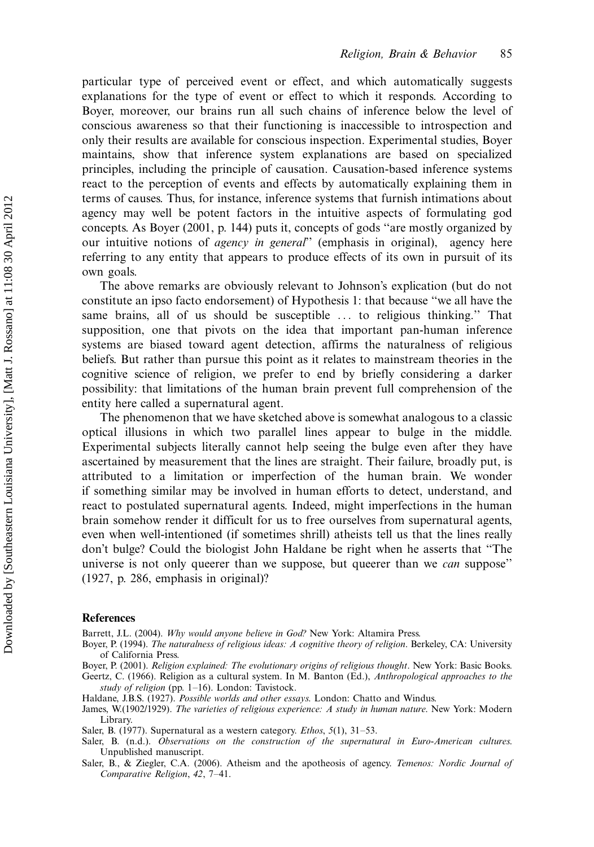particular type of perceived event or effect, and which automatically suggests explanations for the type of event or effect to which it responds. According to Boyer, moreover, our brains run all such chains of inference below the level of conscious awareness so that their functioning is inaccessible to introspection and only their results are available for conscious inspection. Experimental studies, Boyer maintains, show that inference system explanations are based on specialized principles, including the principle of causation. Causation-based inference systems react to the perception of events and effects by automatically explaining them in terms of causes. Thus, for instance, inference systems that furnish intimations about agency may well be potent factors in the intuitive aspects of formulating god concepts. As Boyer (2001, p. 144) puts it, concepts of gods ''are mostly organized by our intuitive notions of agency in general'' (emphasis in original), agency here referring to any entity that appears to produce effects of its own in pursuit of its own goals.

The above remarks are obviously relevant to Johnson's explication (but do not constitute an ipso facto endorsement) of Hypothesis 1: that because ''we all have the same brains, all of us should be susceptible ... to religious thinking.'' That supposition, one that pivots on the idea that important pan-human inference systems are biased toward agent detection, affirms the naturalness of religious beliefs. But rather than pursue this point as it relates to mainstream theories in the cognitive science of religion, we prefer to end by briefly considering a darker possibility: that limitations of the human brain prevent full comprehension of the entity here called a supernatural agent.

The phenomenon that we have sketched above is somewhat analogous to a classic optical illusions in which two parallel lines appear to bulge in the middle. Experimental subjects literally cannot help seeing the bulge even after they have ascertained by measurement that the lines are straight. Their failure, broadly put, is attributed to a limitation or imperfection of the human brain. We wonder if something similar may be involved in human efforts to detect, understand, and react to postulated supernatural agents. Indeed, might imperfections in the human brain somehow render it difficult for us to free ourselves from supernatural agents, even when well-intentioned (if sometimes shrill) atheists tell us that the lines really don't bulge? Could the biologist John Haldane be right when he asserts that ''The universe is not only queerer than we suppose, but queerer than we *can* suppose" (1927, p. 286, emphasis in original)?

#### References

Barrett, J.L. (2004). Why would anyone believe in God? New York: Altamira Press.

- Boyer, P. (1994). The naturalness of religious ideas: A cognitive theory of religion. Berkeley, CA: University of California Press.
- Boyer, P. (2001). Religion explained: The evolutionary origins of religious thought. New York: Basic Books. Geertz, C. (1966). Religion as a cultural system. In M. Banton (Ed.), Anthropological approaches to the study of religion (pp.  $1-16$ ). London: Tavistock.
- Haldane, J.B.S. (1927). Possible worlds and other essays. London: Chatto and Windus.
- James, W.(1902/1929). The varieties of religious experience: A study in human nature. New York: Modern Library.
- Saler, B. (1977). Supernatural as a western category. *Ethos*,  $5(1)$ ,  $31-53$ .
- Saler, B. (n.d.). Observations on the construction of the supernatural in Euro-American cultures. Unpublished manuscript.
- Saler, B., & Ziegler, C.A. (2006). Atheism and the apotheosis of agency. Temenos: Nordic Journal of Comparative Religion, 42, 7-41.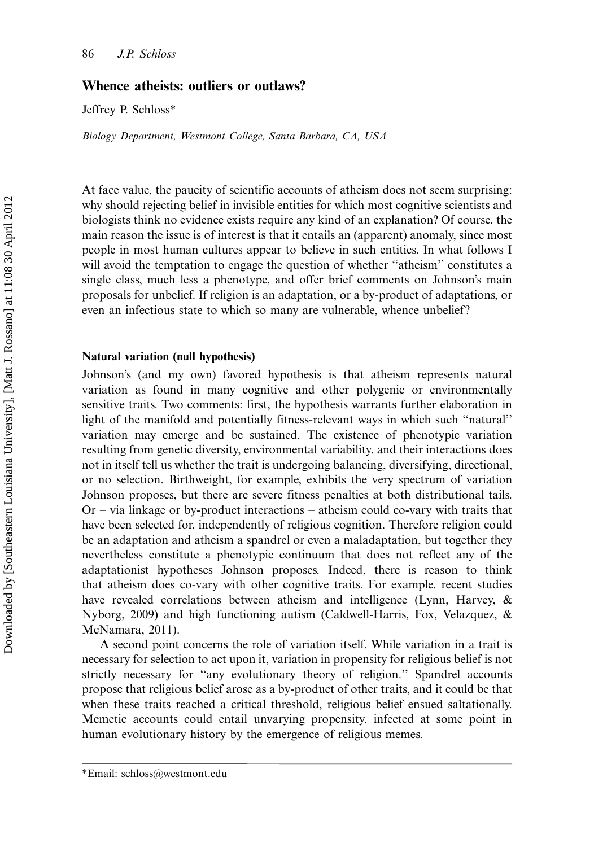## Whence atheists: outliers or outlaws?

Jeffrey P. Schloss\*

Biology Department, Westmont College, Santa Barbara, CA, USA

At face value, the paucity of scientific accounts of atheism does not seem surprising: why should rejecting belief in invisible entities for which most cognitive scientists and biologists think no evidence exists require any kind of an explanation? Of course, the main reason the issue is of interest is that it entails an (apparent) anomaly, since most people in most human cultures appear to believe in such entities. In what follows I will avoid the temptation to engage the question of whether "atheism" constitutes a single class, much less a phenotype, and offer brief comments on Johnson's main proposals for unbelief. If religion is an adaptation, or a by-product of adaptations, or even an infectious state to which so many are vulnerable, whence unbelief?

#### Natural variation (null hypothesis)

Johnson's (and my own) favored hypothesis is that atheism represents natural variation as found in many cognitive and other polygenic or environmentally sensitive traits. Two comments: first, the hypothesis warrants further elaboration in light of the manifold and potentially fitness-relevant ways in which such ''natural'' variation may emerge and be sustained. The existence of phenotypic variation resulting from genetic diversity, environmental variability, and their interactions does not in itself tell us whether the trait is undergoing balancing, diversifying, directional, or no selection. Birthweight, for example, exhibits the very spectrum of variation Johnson proposes, but there are severe fitness penalties at both distributional tails.  $Or - via$  linkage or by-product interactions – atheism could co-vary with traits that have been selected for, independently of religious cognition. Therefore religion could be an adaptation and atheism a spandrel or even a maladaptation, but together they nevertheless constitute a phenotypic continuum that does not reflect any of the adaptationist hypotheses Johnson proposes. Indeed, there is reason to think that atheism does co-vary with other cognitive traits. For example, recent studies have revealed correlations between atheism and intelligence (Lynn, Harvey, & Nyborg, 2009) and high functioning autism (Caldwell-Harris, Fox, Velazquez, & McNamara, 2011).

A second point concerns the role of variation itself. While variation in a trait is necessary for selection to act upon it, variation in propensity for religious belief is not strictly necessary for ''any evolutionary theory of religion.'' Spandrel accounts propose that religious belief arose as a by-product of other traits, and it could be that when these traits reached a critical threshold, religious belief ensued saltationally. Memetic accounts could entail unvarying propensity, infected at some point in human evolutionary history by the emergence of religious memes.

<sup>\*</sup>Email: schloss@westmont.edu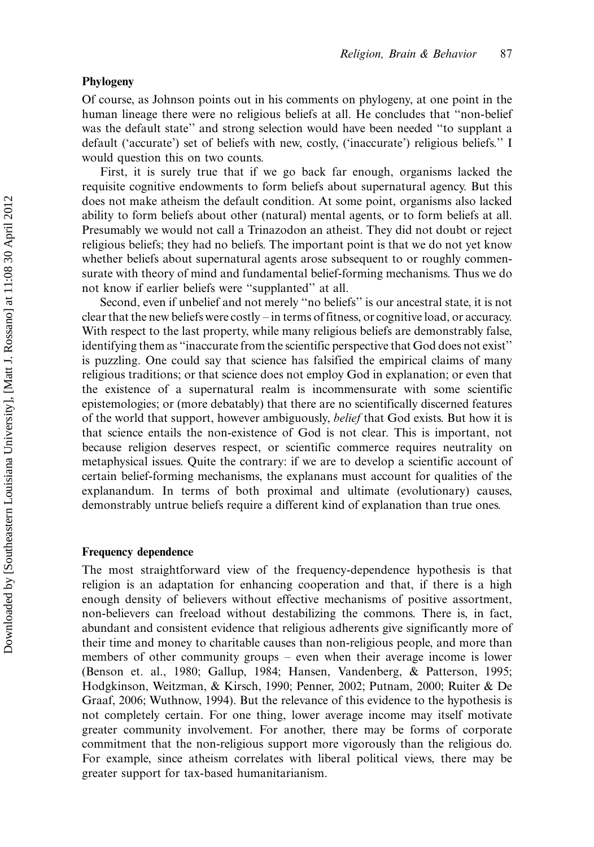## Phylogeny

Of course, as Johnson points out in his comments on phylogeny, at one point in the human lineage there were no religious beliefs at all. He concludes that ''non-belief was the default state'' and strong selection would have been needed ''to supplant a default ('accurate') set of beliefs with new, costly, ('inaccurate') religious beliefs.'' I would question this on two counts.

First, it is surely true that if we go back far enough, organisms lacked the requisite cognitive endowments to form beliefs about supernatural agency. But this does not make atheism the default condition. At some point, organisms also lacked ability to form beliefs about other (natural) mental agents, or to form beliefs at all. Presumably we would not call a Trinazodon an atheist. They did not doubt or reject religious beliefs; they had no beliefs. The important point is that we do not yet know whether beliefs about supernatural agents arose subsequent to or roughly commensurate with theory of mind and fundamental belief-forming mechanisms. Thus we do not know if earlier beliefs were ''supplanted'' at all.

Second, even if unbelief and not merely ''no beliefs'' is our ancestral state, it is not clear that the new beliefs were costly  $-$  in terms of fitness, or cognitive load, or accuracy. With respect to the last property, while many religious beliefs are demonstrably false, identifying them as''inaccurate from the scientific perspective that God does not exist'' is puzzling. One could say that science has falsified the empirical claims of many religious traditions; or that science does not employ God in explanation; or even that the existence of a supernatural realm is incommensurate with some scientific epistemologies; or (more debatably) that there are no scientifically discerned features of the world that support, however ambiguously, belief that God exists. But how it is that science entails the non-existence of God is not clear. This is important, not because religion deserves respect, or scientific commerce requires neutrality on metaphysical issues. Quite the contrary: if we are to develop a scientific account of certain belief-forming mechanisms, the explanans must account for qualities of the explanandum. In terms of both proximal and ultimate (evolutionary) causes, demonstrably untrue beliefs require a different kind of explanation than true ones.

## Frequency dependence

The most straightforward view of the frequency-dependence hypothesis is that religion is an adaptation for enhancing cooperation and that, if there is a high enough density of believers without effective mechanisms of positive assortment, non-believers can freeload without destabilizing the commons. There is, in fact, abundant and consistent evidence that religious adherents give significantly more of their time and money to charitable causes than non-religious people, and more than members of other community groups – even when their average income is lower (Benson et. al., 1980; Gallup, 1984; Hansen, Vandenberg, & Patterson, 1995; Hodgkinson, Weitzman, & Kirsch, 1990; Penner, 2002; Putnam, 2000; Ruiter & De Graaf, 2006; Wuthnow, 1994). But the relevance of this evidence to the hypothesis is not completely certain. For one thing, lower average income may itself motivate greater community involvement. For another, there may be forms of corporate commitment that the non-religious support more vigorously than the religious do. For example, since atheism correlates with liberal political views, there may be greater support for tax-based humanitarianism.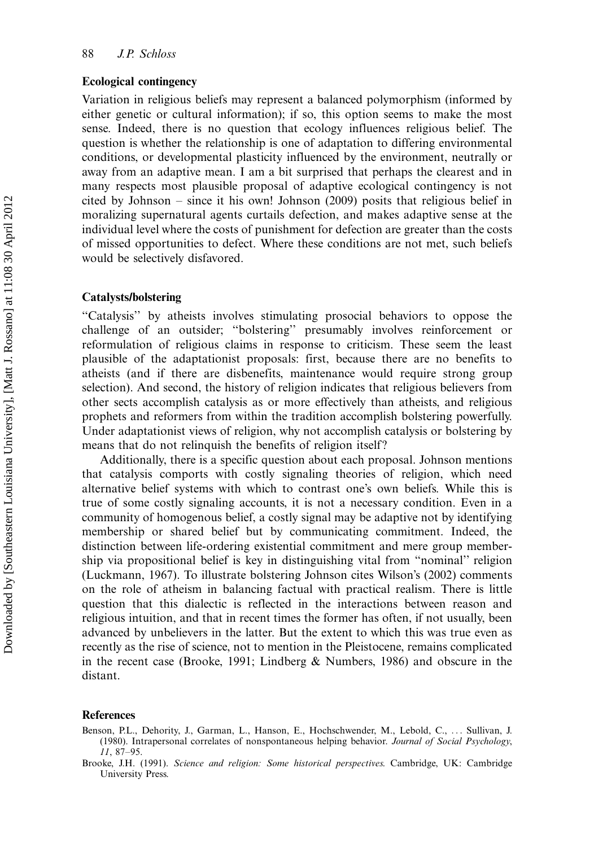#### Ecological contingency

Variation in religious beliefs may represent a balanced polymorphism (informed by either genetic or cultural information); if so, this option seems to make the most sense. Indeed, there is no question that ecology influences religious belief. The question is whether the relationship is one of adaptation to differing environmental conditions, or developmental plasticity influenced by the environment, neutrally or away from an adaptive mean. I am a bit surprised that perhaps the clearest and in many respects most plausible proposal of adaptive ecological contingency is not cited by Johnson  $-$  since it his own! Johnson (2009) posits that religious belief in moralizing supernatural agents curtails defection, and makes adaptive sense at the individual level where the costs of punishment for defection are greater than the costs of missed opportunities to defect. Where these conditions are not met, such beliefs would be selectively disfavored.

#### Catalysts/bolstering

''Catalysis'' by atheists involves stimulating prosocial behaviors to oppose the challenge of an outsider; ''bolstering'' presumably involves reinforcement or reformulation of religious claims in response to criticism. These seem the least plausible of the adaptationist proposals: first, because there are no benefits to atheists (and if there are disbenefits, maintenance would require strong group selection). And second, the history of religion indicates that religious believers from other sects accomplish catalysis as or more effectively than atheists, and religious prophets and reformers from within the tradition accomplish bolstering powerfully. Under adaptationist views of religion, why not accomplish catalysis or bolstering by means that do not relinquish the benefits of religion itself?

Additionally, there is a specific question about each proposal. Johnson mentions that catalysis comports with costly signaling theories of religion, which need alternative belief systems with which to contrast one's own beliefs. While this is true of some costly signaling accounts, it is not a necessary condition. Even in a community of homogenous belief, a costly signal may be adaptive not by identifying membership or shared belief but by communicating commitment. Indeed, the distinction between life-ordering existential commitment and mere group membership via propositional belief is key in distinguishing vital from ''nominal'' religion (Luckmann, 1967). To illustrate bolstering Johnson cites Wilson's (2002) comments on the role of atheism in balancing factual with practical realism. There is little question that this dialectic is reflected in the interactions between reason and religious intuition, and that in recent times the former has often, if not usually, been advanced by unbelievers in the latter. But the extent to which this was true even as recently as the rise of science, not to mention in the Pleistocene, remains complicated in the recent case (Brooke, 1991; Lindberg & Numbers, 1986) and obscure in the distant.

#### References

- Benson, P.L., Dehority, J., Garman, L., Hanson, E., Hochschwender, M., Lebold, C., ... Sullivan, J. (1980). Intrapersonal correlates of nonspontaneous helping behavior. Journal of Social Psychology,  $11, 87 - 95.$
- Brooke, J.H. (1991). Science and religion: Some historical perspectives. Cambridge, UK: Cambridge University Press.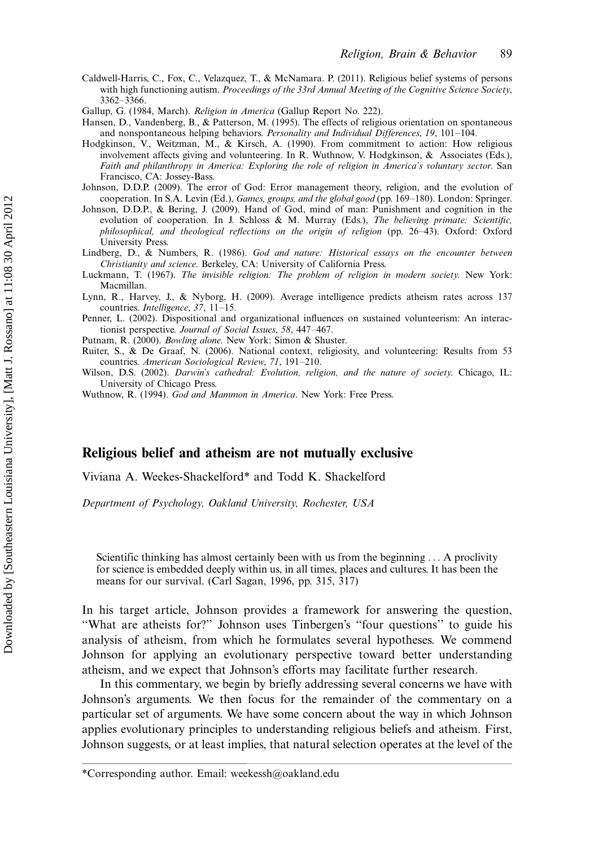- Caldwell-Harris, C., Fox, C., Velazquez, T., & McNamara. P. (2011). Religious belief systems of persons with high functioning autism. Proceedings of the 33rd Annual Meeting of the Cognitive Science Society, 3366.
- Gallup, G. (1984, March). Religion in America (Gallup Report No. 222).
- Hansen, D., Vandenberg, B., & Patterson, M. (1995). The effects of religious orientation on spontaneous and nonspontaneous helping behaviors. Personality and Individual Differences,  $19$ ,  $101-104$ .
- Hodgkinson, V., Weitzman, M., & Kirsch, A. (1990). From commitment to action: How religious involvement affects giving and volunteering. In R. Wuthnow, V. Hodgkinson, & Associates (Eds.), Faith and philanthropy in America: Exploring the role of religion in America's voluntary sector. San Francisco, CA: Jossey-Bass.
- Johnson, D.D.P. (2009). The error of God: Error management theory, religion, and the evolution of cooperation. In S.A. Levin (Ed.), Games, groups, and the global good (pp. 169-180). London: Springer.
- Johnson, D.D.P., & Bering, J. (2009). Hand of God, mind of man: Punishment and cognition in the evolution of cooperation. In J. Schloss & M. Murray (Eds.), The believing primate: Scientific, philosophical, and theological reflections on the origin of religion (pp. 26-43). Oxford: Oxford University Press.
- Lindberg, D., & Numbers, R. (1986). God and nature: Historical essays on the encounter between Christianity and science. Berkeley, CA: University of California Press.
- Luckmann, T. (1967). The invisible religion: The problem of religion in modern society. New York: Macmillan.
- Lynn, R., Harvey, J., & Nyborg, H. (2009). Average intelligence predicts atheism rates across 137 countries. *Intelligence*,  $37$ ,  $11-15$ .
- Penner, L. (2002). Dispositional and organizational influences on sustained volunteerism: An interactionist perspective. Journal of Social Issues, 58, 447–467.
- Putnam, R. (2000). Bowling alone. New York: Simon & Shuster.
- Ruiter, S., & De Graaf, N. (2006). National context, religiosity, and volunteering: Results from 53 countries. American Sociological Review, 71, 191-210.
- Wilson, D.S. (2002). Darwin's cathedral: Evolution, religion, and the nature of society. Chicago, IL: University of Chicago Press.
- Wuthnow, R. (1994). God and Mammon in America. New York: Free Press.

## Religious belief and atheism are not mutually exclusive

Viviana A. Weekes-Shackelford\* and Todd K. Shackelford

Department of Psychology, Oakland University, Rochester, USA

Scientific thinking has almost certainly been with us from the beginning ... A proclivity for science is embedded deeply within us, in all times, places and cultures. It has been the means for our survival. (Carl Sagan, 1996, pp. 315, 317)

In his target article, Johnson provides a framework for answering the question, ''What are atheists for?'' Johnson uses Tinbergen's ''four questions'' to guide his analysis of atheism, from which he formulates several hypotheses. We commend Johnson for applying an evolutionary perspective toward better understanding atheism, and we expect that Johnson's efforts may facilitate further research.

In this commentary, we begin by briefly addressing several concerns we have with Johnson's arguments. We then focus for the remainder of the commentary on a particular set of arguments. We have some concern about the way in which Johnson applies evolutionary principles to understanding religious beliefs and atheism. First, Johnson suggests, or at least implies, that natural selection operates at the level of the

<sup>\*</sup>Corresponding author. Email: weekessh@oakland.edu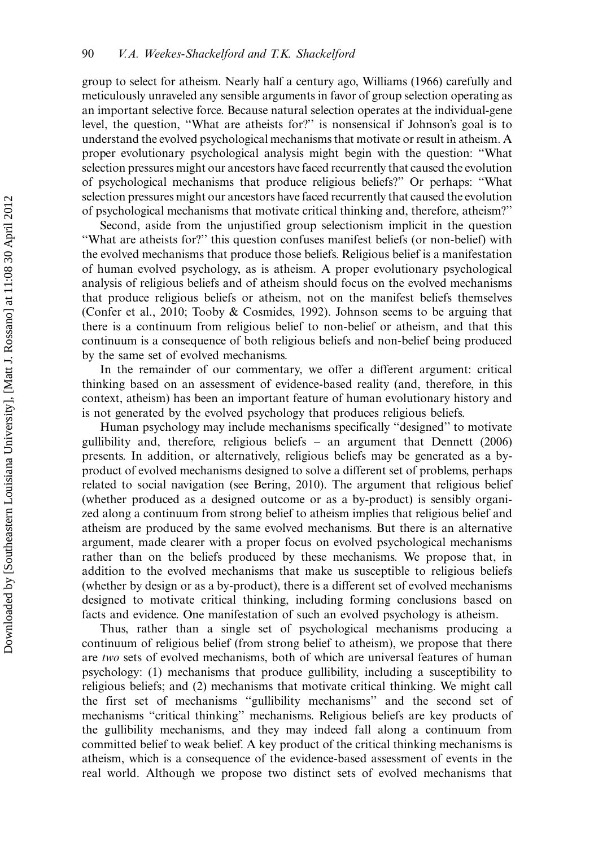group to select for atheism. Nearly half a century ago, Williams (1966) carefully and meticulously unraveled any sensible arguments in favor of group selection operating as an important selective force. Because natural selection operates at the individual-gene level, the question, ''What are atheists for?'' is nonsensical if Johnson's goal is to understand the evolved psychological mechanisms that motivate or result in atheism. A proper evolutionary psychological analysis might begin with the question: ''What selection pressures might our ancestors have faced recurrently that caused the evolution of psychological mechanisms that produce religious beliefs?'' Or perhaps: ''What selection pressures might our ancestors have faced recurrently that caused the evolution of psychological mechanisms that motivate critical thinking and, therefore, atheism?''

Second, aside from the unjustified group selectionism implicit in the question ''What are atheists for?'' this question confuses manifest beliefs (or non-belief) with the evolved mechanisms that produce those beliefs. Religious belief is a manifestation of human evolved psychology, as is atheism. A proper evolutionary psychological analysis of religious beliefs and of atheism should focus on the evolved mechanisms that produce religious beliefs or atheism, not on the manifest beliefs themselves (Confer et al., 2010; Tooby & Cosmides, 1992). Johnson seems to be arguing that there is a continuum from religious belief to non-belief or atheism, and that this continuum is a consequence of both religious beliefs and non-belief being produced by the same set of evolved mechanisms.

In the remainder of our commentary, we offer a different argument: critical thinking based on an assessment of evidence-based reality (and, therefore, in this context, atheism) has been an important feature of human evolutionary history and is not generated by the evolved psychology that produces religious beliefs.

Human psychology may include mechanisms specifically ''designed'' to motivate gullibility and, therefore, religious beliefs  $-$  an argument that Dennett (2006) presents. In addition, or alternatively, religious beliefs may be generated as a byproduct of evolved mechanisms designed to solve a different set of problems, perhaps related to social navigation (see Bering, 2010). The argument that religious belief (whether produced as a designed outcome or as a by-product) is sensibly organized along a continuum from strong belief to atheism implies that religious belief and atheism are produced by the same evolved mechanisms. But there is an alternative argument, made clearer with a proper focus on evolved psychological mechanisms rather than on the beliefs produced by these mechanisms. We propose that, in addition to the evolved mechanisms that make us susceptible to religious beliefs (whether by design or as a by-product), there is a different set of evolved mechanisms designed to motivate critical thinking, including forming conclusions based on facts and evidence. One manifestation of such an evolved psychology is atheism.

Thus, rather than a single set of psychological mechanisms producing a continuum of religious belief (from strong belief to atheism), we propose that there are two sets of evolved mechanisms, both of which are universal features of human psychology: (1) mechanisms that produce gullibility, including a susceptibility to religious beliefs; and (2) mechanisms that motivate critical thinking. We might call the first set of mechanisms ''gullibility mechanisms'' and the second set of mechanisms ''critical thinking'' mechanisms. Religious beliefs are key products of the gullibility mechanisms, and they may indeed fall along a continuum from committed belief to weak belief. A key product of the critical thinking mechanisms is atheism, which is a consequence of the evidence-based assessment of events in the real world. Although we propose two distinct sets of evolved mechanisms that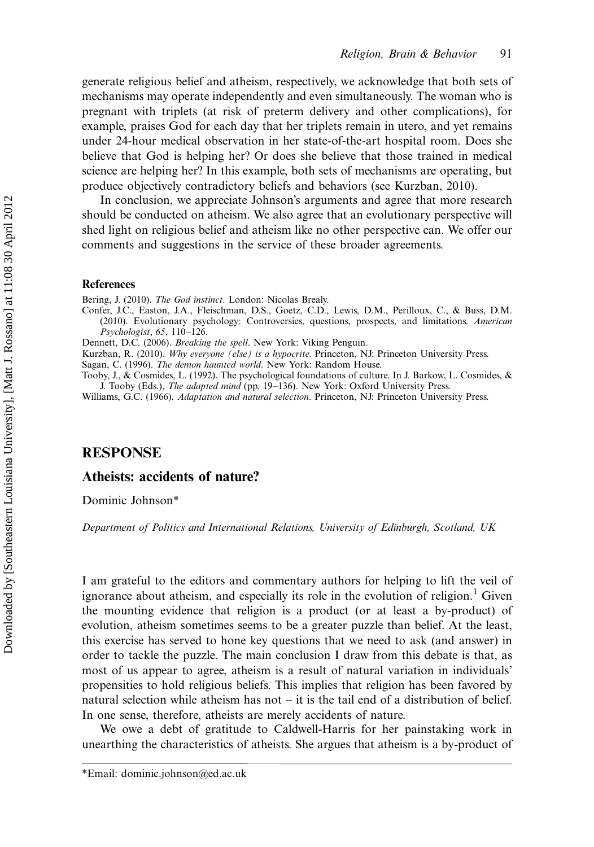generate religious belief and atheism, respectively, we acknowledge that both sets of mechanisms may operate independently and even simultaneously. The woman who is pregnant with triplets (at risk of preterm delivery and other complications), for example, praises God for each day that her triplets remain in utero, and yet remains under 24-hour medical observation in her state-of-the-art hospital room. Does she believe that God is helping her? Or does she believe that those trained in medical science are helping her? In this example, both sets of mechanisms are operating, but produce objectively contradictory beliefs and behaviors (see Kurzban, 2010).

In conclusion, we appreciate Johnson's arguments and agree that more research should be conducted on atheism. We also agree that an evolutionary perspective will shed light on religious belief and atheism like no other perspective can. We offer our comments and suggestions in the service of these broader agreements.

#### **References**

Bering, J. (2010). The God instinct. London: Nicolas Brealy.

- Confer, J.C., Easton, J.A., Fleischman, D.S., Goetz, C.D., Lewis, D.M., Perilloux, C., & Buss, D.M. (2010). Evolutionary psychology: Controversies, questions, prospects, and limitations. American  $Psychologist, 65, 110–126.$
- Dennett, D.C. (2006). Breaking the spell. New York: Viking Penguin.
- Kurzban, R. (2010). Why everyone (else) is a hypocrite. Princeton, NJ: Princeton University Press.
- Sagan, C. (1996). The demon haunted world. New York: Random House.
- Tooby, J., & Cosmides, L. (1992). The psychological foundations of culture. In J. Barkow, L. Cosmides, & J. Tooby (Eds.), The adapted mind (pp. 19-136). New York: Oxford University Press.
- Williams, G.C. (1966). Adaptation and natural selection. Princeton, NJ: Princeton University Press.

## RESPONSE

## Atheists: accidents of nature?

Dominic Johnson\*

Department of Politics and International Relations, University of Edinburgh, Scotland, UK

I am grateful to the editors and commentary authors for helping to lift the veil of ignorance about atheism, and especially its role in the evolution of religion.<sup>1</sup> Given the mounting evidence that religion is a product (or at least a by-product) of evolution, atheism sometimes seems to be a greater puzzle than belief. At the least, this exercise has served to hone key questions that we need to ask (and answer) in order to tackle the puzzle. The main conclusion I draw from this debate is that, as most of us appear to agree, atheism is a result of natural variation in individuals' propensities to hold religious beliefs. This implies that religion has been favored by natural selection while atheism has not  $-$  it is the tail end of a distribution of belief. In one sense, therefore, atheists are merely accidents of nature.

We owe a debt of gratitude to Caldwell-Harris for her painstaking work in unearthing the characteristics of atheists. She argues that atheism is a by-product of

<sup>\*</sup>Email: dominic.johnson@ed.ac.uk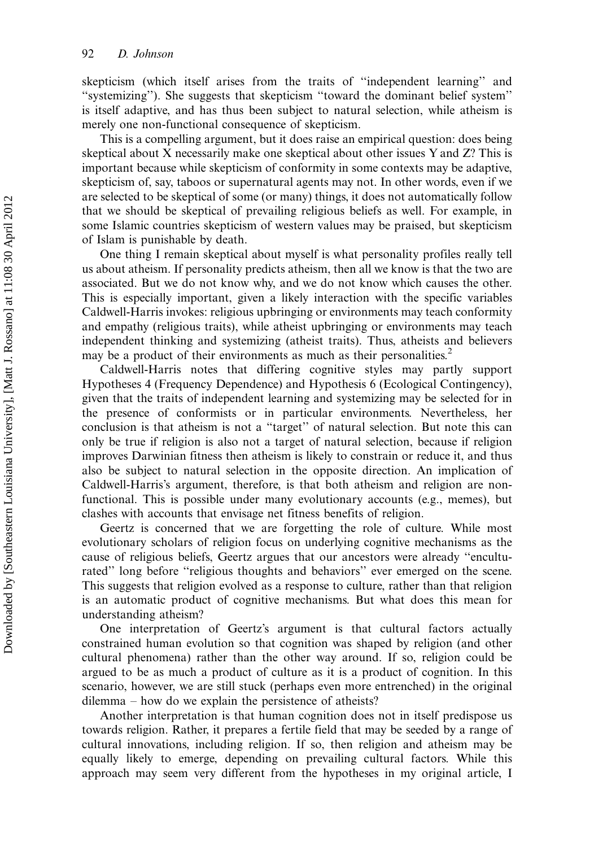skepticism (which itself arises from the traits of ''independent learning'' and ''systemizing''). She suggests that skepticism ''toward the dominant belief system'' is itself adaptive, and has thus been subject to natural selection, while atheism is merely one non-functional consequence of skepticism.

This is a compelling argument, but it does raise an empirical question: does being skeptical about X necessarily make one skeptical about other issues Y and Z? This is important because while skepticism of conformity in some contexts may be adaptive, skepticism of, say, taboos or supernatural agents may not. In other words, even if we are selected to be skeptical of some (or many) things, it does not automatically follow that we should be skeptical of prevailing religious beliefs as well. For example, in some Islamic countries skepticism of western values may be praised, but skepticism of Islam is punishable by death.

One thing I remain skeptical about myself is what personality profiles really tell us about atheism. If personality predicts atheism, then all we know is that the two are associated. But we do not know why, and we do not know which causes the other. This is especially important, given a likely interaction with the specific variables Caldwell-Harris invokes: religious upbringing or environments may teach conformity and empathy (religious traits), while atheist upbringing or environments may teach independent thinking and systemizing (atheist traits). Thus, atheists and believers may be a product of their environments as much as their personalities.<sup>2</sup>

Caldwell-Harris notes that differing cognitive styles may partly support Hypotheses 4 (Frequency Dependence) and Hypothesis 6 (Ecological Contingency), given that the traits of independent learning and systemizing may be selected for in the presence of conformists or in particular environments. Nevertheless, her conclusion is that atheism is not a ''target'' of natural selection. But note this can only be true if religion is also not a target of natural selection, because if religion improves Darwinian fitness then atheism is likely to constrain or reduce it, and thus also be subject to natural selection in the opposite direction. An implication of Caldwell-Harris's argument, therefore, is that both atheism and religion are nonfunctional. This is possible under many evolutionary accounts (e.g., memes), but clashes with accounts that envisage net fitness benefits of religion.

Geertz is concerned that we are forgetting the role of culture. While most evolutionary scholars of religion focus on underlying cognitive mechanisms as the cause of religious beliefs, Geertz argues that our ancestors were already ''enculturated'' long before ''religious thoughts and behaviors'' ever emerged on the scene. This suggests that religion evolved as a response to culture, rather than that religion is an automatic product of cognitive mechanisms. But what does this mean for understanding atheism?

One interpretation of Geertz's argument is that cultural factors actually constrained human evolution so that cognition was shaped by religion (and other cultural phenomena) rather than the other way around. If so, religion could be argued to be as much a product of culture as it is a product of cognition. In this scenario, however, we are still stuck (perhaps even more entrenched) in the original  $d$ ilemma – how do we explain the persistence of atheists?

Another interpretation is that human cognition does not in itself predispose us towards religion. Rather, it prepares a fertile field that may be seeded by a range of cultural innovations, including religion. If so, then religion and atheism may be equally likely to emerge, depending on prevailing cultural factors. While this approach may seem very different from the hypotheses in my original article, I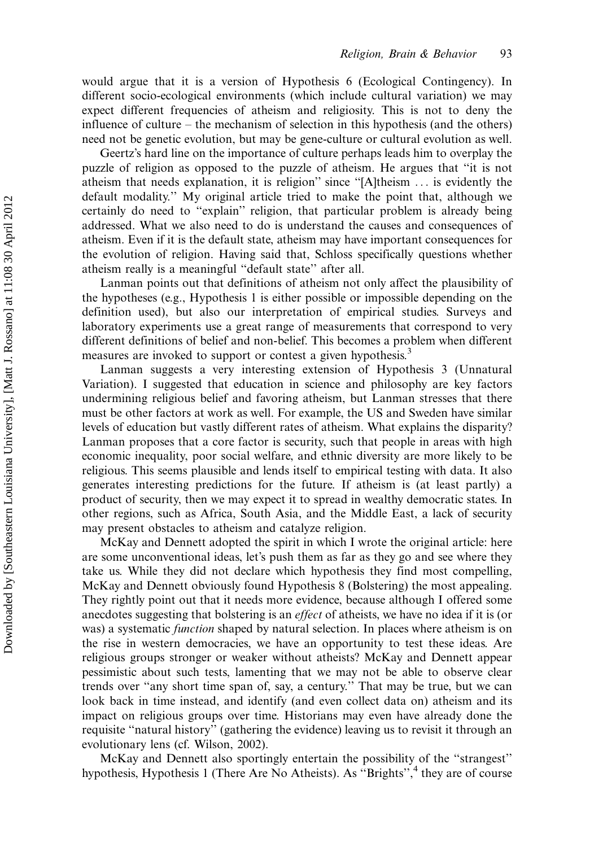would argue that it is a version of Hypothesis 6 (Ecological Contingency). In different socio-ecological environments (which include cultural variation) we may expect different frequencies of atheism and religiosity. This is not to deny the influence of culture  $-$  the mechanism of selection in this hypothesis (and the others) need not be genetic evolution, but may be gene-culture or cultural evolution as well.

Geertz's hard line on the importance of culture perhaps leads him to overplay the puzzle of religion as opposed to the puzzle of atheism. He argues that ''it is not atheism that needs explanation, it is religion'' since ''[A]theism ... is evidently the default modality.'' My original article tried to make the point that, although we certainly do need to ''explain'' religion, that particular problem is already being addressed. What we also need to do is understand the causes and consequences of atheism. Even if it is the default state, atheism may have important consequences for the evolution of religion. Having said that, Schloss specifically questions whether atheism really is a meaningful ''default state'' after all.

Lanman points out that definitions of atheism not only affect the plausibility of the hypotheses (e.g., Hypothesis 1 is either possible or impossible depending on the definition used), but also our interpretation of empirical studies. Surveys and laboratory experiments use a great range of measurements that correspond to very different definitions of belief and non-belief. This becomes a problem when different measures are invoked to support or contest a given hypothesis.<sup>3</sup>

Lanman suggests a very interesting extension of Hypothesis 3 (Unnatural Variation). I suggested that education in science and philosophy are key factors undermining religious belief and favoring atheism, but Lanman stresses that there must be other factors at work as well. For example, the US and Sweden have similar levels of education but vastly different rates of atheism. What explains the disparity? Lanman proposes that a core factor is security, such that people in areas with high economic inequality, poor social welfare, and ethnic diversity are more likely to be religious. This seems plausible and lends itself to empirical testing with data. It also generates interesting predictions for the future. If atheism is (at least partly) a product of security, then we may expect it to spread in wealthy democratic states. In other regions, such as Africa, South Asia, and the Middle East, a lack of security may present obstacles to atheism and catalyze religion.

McKay and Dennett adopted the spirit in which I wrote the original article: here are some unconventional ideas, let's push them as far as they go and see where they take us. While they did not declare which hypothesis they find most compelling, McKay and Dennett obviously found Hypothesis 8 (Bolstering) the most appealing. They rightly point out that it needs more evidence, because although I offered some anecdotes suggesting that bolstering is an effect of atheists, we have no idea if it is (or was) a systematic *function* shaped by natural selection. In places where atheism is on the rise in western democracies, we have an opportunity to test these ideas. Are religious groups stronger or weaker without atheists? McKay and Dennett appear pessimistic about such tests, lamenting that we may not be able to observe clear trends over ''any short time span of, say, a century.'' That may be true, but we can look back in time instead, and identify (and even collect data on) atheism and its impact on religious groups over time. Historians may even have already done the requisite ''natural history'' (gathering the evidence) leaving us to revisit it through an evolutionary lens (cf. Wilson, 2002).

McKay and Dennett also sportingly entertain the possibility of the ''strangest'' hypothesis, Hypothesis 1 (There Are No Atheists). As ''Brights'', <sup>4</sup> they are of course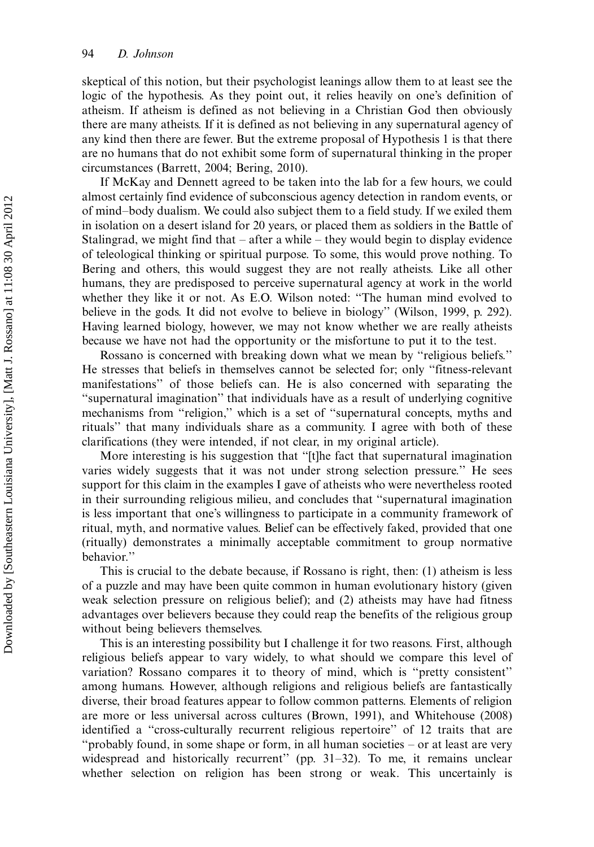skeptical of this notion, but their psychologist leanings allow them to at least see the logic of the hypothesis. As they point out, it relies heavily on one's definition of atheism. If atheism is defined as not believing in a Christian God then obviously there are many atheists. If it is defined as not believing in any supernatural agency of any kind then there are fewer. But the extreme proposal of Hypothesis 1 is that there are no humans that do not exhibit some form of supernatural thinking in the proper circumstances (Barrett, 2004; Bering, 2010).

If McKay and Dennett agreed to be taken into the lab for a few hours, we could almost certainly find evidence of subconscious agency detection in random events, or of mind-body dualism. We could also subject them to a field study. If we exiled them in isolation on a desert island for 20 years, or placed them as soldiers in the Battle of Stalingrad, we might find that  $-$  after a while  $-$  they would begin to display evidence of teleological thinking or spiritual purpose. To some, this would prove nothing. To Bering and others, this would suggest they are not really atheists. Like all other humans, they are predisposed to perceive supernatural agency at work in the world whether they like it or not. As E.O. Wilson noted: ''The human mind evolved to believe in the gods. It did not evolve to believe in biology'' (Wilson, 1999, p. 292). Having learned biology, however, we may not know whether we are really atheists because we have not had the opportunity or the misfortune to put it to the test.

Rossano is concerned with breaking down what we mean by ''religious beliefs.'' He stresses that beliefs in themselves cannot be selected for; only ''fitness-relevant manifestations'' of those beliefs can. He is also concerned with separating the ''supernatural imagination'' that individuals have as a result of underlying cognitive mechanisms from ''religion,'' which is a set of ''supernatural concepts, myths and rituals'' that many individuals share as a community. I agree with both of these clarifications (they were intended, if not clear, in my original article).

More interesting is his suggestion that ''[t]he fact that supernatural imagination varies widely suggests that it was not under strong selection pressure.'' He sees support for this claim in the examples I gave of atheists who were nevertheless rooted in their surrounding religious milieu, and concludes that ''supernatural imagination is less important that one's willingness to participate in a community framework of ritual, myth, and normative values. Belief can be effectively faked, provided that one (ritually) demonstrates a minimally acceptable commitment to group normative behavior.''

This is crucial to the debate because, if Rossano is right, then: (1) atheism is less of a puzzle and may have been quite common in human evolutionary history (given weak selection pressure on religious belief); and (2) atheists may have had fitness advantages over believers because they could reap the benefits of the religious group without being believers themselves.

This is an interesting possibility but I challenge it for two reasons. First, although religious beliefs appear to vary widely, to what should we compare this level of variation? Rossano compares it to theory of mind, which is ''pretty consistent'' among humans. However, although religions and religious beliefs are fantastically diverse, their broad features appear to follow common patterns. Elements of religion are more or less universal across cultures (Brown, 1991), and Whitehouse (2008) identified a ''cross-culturally recurrent religious repertoire'' of 12 traits that are " $probably found, in some shape or form, in all human societies - or at least are very$ widespread and historically recurrent" (pp.  $31-32$ ). To me, it remains unclear whether selection on religion has been strong or weak. This uncertainly is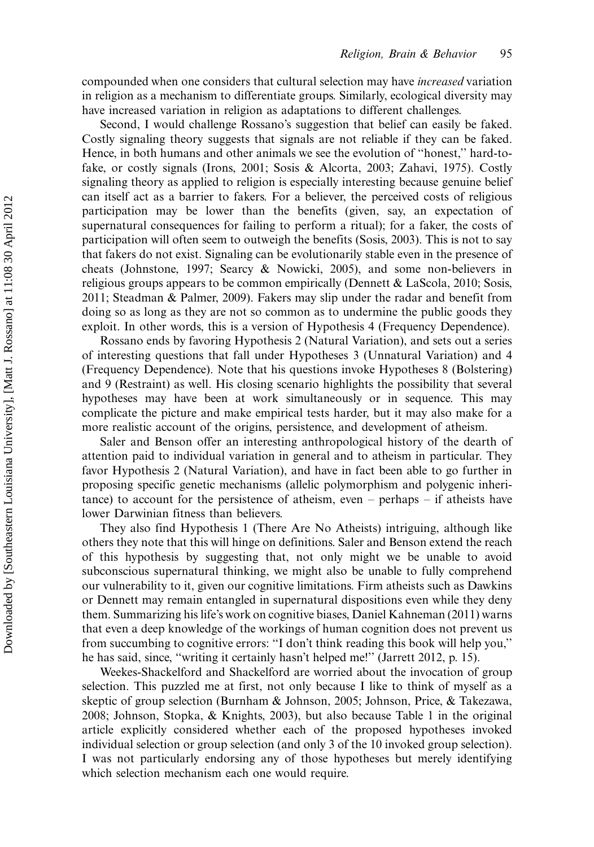compounded when one considers that cultural selection may have increased variation in religion as a mechanism to differentiate groups. Similarly, ecological diversity may have increased variation in religion as adaptations to different challenges.

Second, I would challenge Rossano's suggestion that belief can easily be faked. Costly signaling theory suggests that signals are not reliable if they can be faked. Hence, in both humans and other animals we see the evolution of ''honest,'' hard-tofake, or costly signals (Irons, 2001; Sosis & Alcorta, 2003; Zahavi, 1975). Costly signaling theory as applied to religion is especially interesting because genuine belief can itself act as a barrier to fakers. For a believer, the perceived costs of religious participation may be lower than the benefits (given, say, an expectation of supernatural consequences for failing to perform a ritual); for a faker, the costs of participation will often seem to outweigh the benefits (Sosis, 2003). This is not to say that fakers do not exist. Signaling can be evolutionarily stable even in the presence of cheats (Johnstone, 1997; Searcy & Nowicki, 2005), and some non-believers in religious groups appears to be common empirically (Dennett & LaScola, 2010; Sosis, 2011; Steadman & Palmer, 2009). Fakers may slip under the radar and benefit from doing so as long as they are not so common as to undermine the public goods they exploit. In other words, this is a version of Hypothesis 4 (Frequency Dependence).

Rossano ends by favoring Hypothesis 2 (Natural Variation), and sets out a series of interesting questions that fall under Hypotheses 3 (Unnatural Variation) and 4 (Frequency Dependence). Note that his questions invoke Hypotheses 8 (Bolstering) and 9 (Restraint) as well. His closing scenario highlights the possibility that several hypotheses may have been at work simultaneously or in sequence. This may complicate the picture and make empirical tests harder, but it may also make for a more realistic account of the origins, persistence, and development of atheism.

Saler and Benson offer an interesting anthropological history of the dearth of attention paid to individual variation in general and to atheism in particular. They favor Hypothesis 2 (Natural Variation), and have in fact been able to go further in proposing specific genetic mechanisms (allelic polymorphism and polygenic inheritance) to account for the persistence of atheism, even  $-$  perhaps  $-$  if atheists have lower Darwinian fitness than believers.

They also find Hypothesis 1 (There Are No Atheists) intriguing, although like others they note that this will hinge on definitions. Saler and Benson extend the reach of this hypothesis by suggesting that, not only might we be unable to avoid subconscious supernatural thinking, we might also be unable to fully comprehend our vulnerability to it, given our cognitive limitations. Firm atheists such as Dawkins or Dennett may remain entangled in supernatural dispositions even while they deny them. Summarizing his life's work on cognitive biases, Daniel Kahneman (2011) warns that even a deep knowledge of the workings of human cognition does not prevent us from succumbing to cognitive errors: ''I don't think reading this book will help you,'' he has said, since, ''writing it certainly hasn't helped me!'' (Jarrett 2012, p. 15).

Weekes-Shackelford and Shackelford are worried about the invocation of group selection. This puzzled me at first, not only because I like to think of myself as a skeptic of group selection (Burnham & Johnson, 2005; Johnson, Price, & Takezawa, 2008; Johnson, Stopka, & Knights, 2003), but also because Table 1 in the original article explicitly considered whether each of the proposed hypotheses invoked individual selection or group selection (and only 3 of the 10 invoked group selection). I was not particularly endorsing any of those hypotheses but merely identifying which selection mechanism each one would require.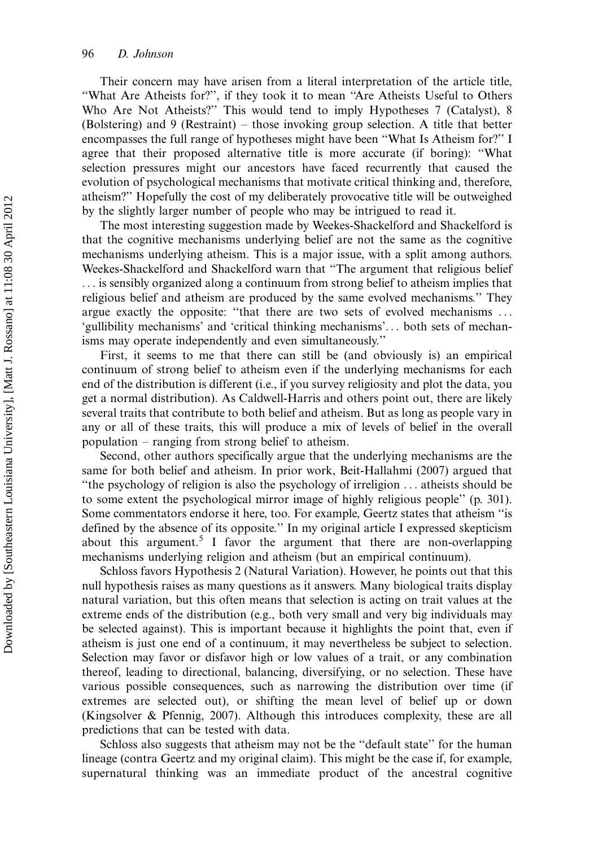Their concern may have arisen from a literal interpretation of the article title, ''What Are Atheists for?'', if they took it to mean ''Are Atheists Useful to Others Who Are Not Atheists?'' This would tend to imply Hypotheses 7 (Catalyst), 8 (Bolstering) and 9 (Restraint) – those invoking group selection. A title that better encompasses the full range of hypotheses might have been ''What Is Atheism for?'' I agree that their proposed alternative title is more accurate (if boring): ''What selection pressures might our ancestors have faced recurrently that caused the evolution of psychological mechanisms that motivate critical thinking and, therefore, atheism?'' Hopefully the cost of my deliberately provocative title will be outweighed by the slightly larger number of people who may be intrigued to read it.

The most interesting suggestion made by Weekes-Shackelford and Shackelford is that the cognitive mechanisms underlying belief are not the same as the cognitive mechanisms underlying atheism. This is a major issue, with a split among authors. Weekes-Shackelford and Shackelford warn that ''The argument that religious belief ... is sensibly organized along a continuum from strong belief to atheism implies that religious belief and atheism are produced by the same evolved mechanisms.'' They argue exactly the opposite: "that there are two sets of evolved mechanisms ... 'gullibility mechanisms' and 'critical thinking mechanisms'... both sets of mechanisms may operate independently and even simultaneously.''

First, it seems to me that there can still be (and obviously is) an empirical continuum of strong belief to atheism even if the underlying mechanisms for each end of the distribution is different (i.e., if you survey religiosity and plot the data, you get a normal distribution). As Caldwell-Harris and others point out, there are likely several traits that contribute to both belief and atheism. But as long as people vary in any or all of these traits, this will produce a mix of levels of belief in the overall population – ranging from strong belief to atheism.

Second, other authors specifically argue that the underlying mechanisms are the same for both belief and atheism. In prior work, Beit-Hallahmi (2007) argued that ''the psychology of religion is also the psychology of irreligion ... atheists should be to some extent the psychological mirror image of highly religious people'' (p. 301). Some commentators endorse it here, too. For example, Geertz states that atheism ''is defined by the absence of its opposite.'' In my original article I expressed skepticism about this argument.<sup>5</sup> I favor the argument that there are non-overlapping mechanisms underlying religion and atheism (but an empirical continuum).

Schloss favors Hypothesis 2 (Natural Variation). However, he points out that this null hypothesis raises as many questions as it answers. Many biological traits display natural variation, but this often means that selection is acting on trait values at the extreme ends of the distribution (e.g., both very small and very big individuals may be selected against). This is important because it highlights the point that, even if atheism is just one end of a continuum, it may nevertheless be subject to selection. Selection may favor or disfavor high or low values of a trait, or any combination thereof, leading to directional, balancing, diversifying, or no selection. These have various possible consequences, such as narrowing the distribution over time (if extremes are selected out), or shifting the mean level of belief up or down (Kingsolver & Pfennig, 2007). Although this introduces complexity, these are all predictions that can be tested with data.

Schloss also suggests that atheism may not be the ''default state'' for the human lineage (contra Geertz and my original claim). This might be the case if, for example, supernatural thinking was an immediate product of the ancestral cognitive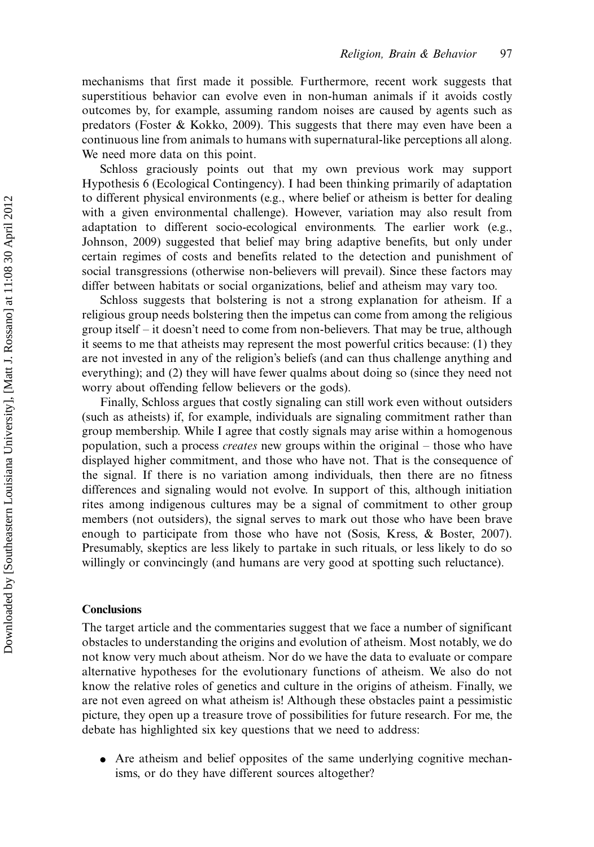mechanisms that first made it possible. Furthermore, recent work suggests that superstitious behavior can evolve even in non-human animals if it avoids costly outcomes by, for example, assuming random noises are caused by agents such as predators (Foster & Kokko, 2009). This suggests that there may even have been a continuous line from animals to humans with supernatural-like perceptions all along. We need more data on this point.

Schloss graciously points out that my own previous work may support Hypothesis 6 (Ecological Contingency). I had been thinking primarily of adaptation to different physical environments (e.g., where belief or atheism is better for dealing with a given environmental challenge). However, variation may also result from adaptation to different socio-ecological environments. The earlier work (e.g., Johnson, 2009) suggested that belief may bring adaptive benefits, but only under certain regimes of costs and benefits related to the detection and punishment of social transgressions (otherwise non-believers will prevail). Since these factors may differ between habitats or social organizations, belief and atheism may vary too.

Schloss suggests that bolstering is not a strong explanation for atheism. If a religious group needs bolstering then the impetus can come from among the religious group itself it doesn't need to come from non-believers. That may be true, although it seems to me that atheists may represent the most powerful critics because: (1) they are not invested in any of the religion's beliefs (and can thus challenge anything and everything); and (2) they will have fewer qualms about doing so (since they need not worry about offending fellow believers or the gods).

Finally, Schloss argues that costly signaling can still work even without outsiders (such as atheists) if, for example, individuals are signaling commitment rather than group membership. While I agree that costly signals may arise within a homogenous population, such a process *creates* new groups within the original – those who have displayed higher commitment, and those who have not. That is the consequence of the signal. If there is no variation among individuals, then there are no fitness differences and signaling would not evolve. In support of this, although initiation rites among indigenous cultures may be a signal of commitment to other group members (not outsiders), the signal serves to mark out those who have been brave enough to participate from those who have not (Sosis, Kress, & Boster, 2007). Presumably, skeptics are less likely to partake in such rituals, or less likely to do so willingly or convincingly (and humans are very good at spotting such reluctance).

## **Conclusions**

The target article and the commentaries suggest that we face a number of significant obstacles to understanding the origins and evolution of atheism. Most notably, we do not know very much about atheism. Nor do we have the data to evaluate or compare alternative hypotheses for the evolutionary functions of atheism. We also do not know the relative roles of genetics and culture in the origins of atheism. Finally, we are not even agreed on what atheism is! Although these obstacles paint a pessimistic picture, they open up a treasure trove of possibilities for future research. For me, the debate has highlighted six key questions that we need to address:

 Are atheism and belief opposites of the same underlying cognitive mechanisms, or do they have different sources altogether?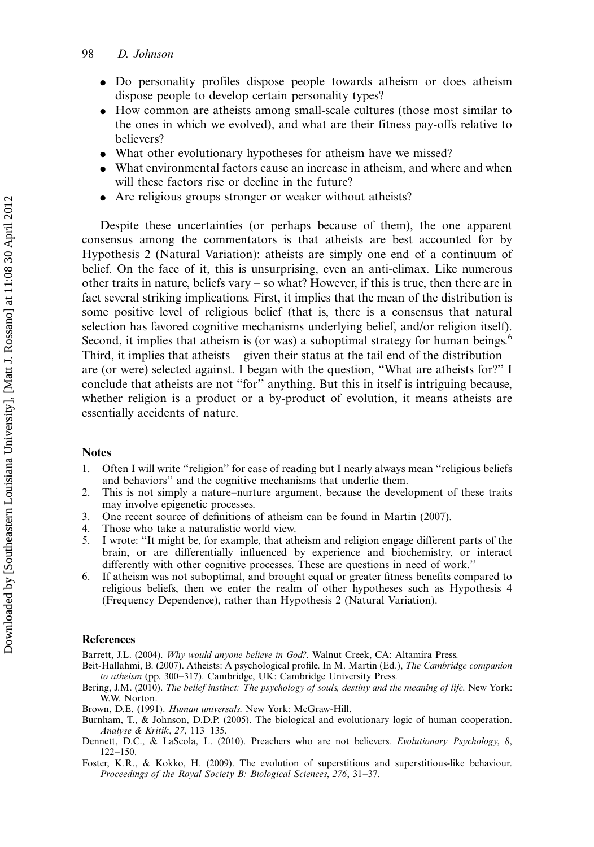#### 98 D. Johnson

- Do personality profiles dispose people towards atheism or does atheism dispose people to develop certain personality types?
- How common are atheists among small-scale cultures (those most similar to the ones in which we evolved), and what are their fitness pay-offs relative to believers?
- What other evolutionary hypotheses for atheism have we missed?
- What environmental factors cause an increase in atheism, and where and when will these factors rise or decline in the future?
- Are religious groups stronger or weaker without atheists?

Despite these uncertainties (or perhaps because of them), the one apparent consensus among the commentators is that atheists are best accounted for by Hypothesis 2 (Natural Variation): atheists are simply one end of a continuum of belief. On the face of it, this is unsurprising, even an anti-climax. Like numerous other traits in nature, beliefs vary  $-$  so what? However, if this is true, then there are in fact several striking implications. First, it implies that the mean of the distribution is some positive level of religious belief (that is, there is a consensus that natural selection has favored cognitive mechanisms underlying belief, and/or religion itself). Second, it implies that atheism is (or was) a suboptimal strategy for human beings.<sup>6</sup> Third, it implies that atheists  $-$  given their status at the tail end of the distribution  $$ are (or were) selected against. I began with the question, ''What are atheists for?'' I conclude that atheists are not ''for'' anything. But this in itself is intriguing because, whether religion is a product or a by-product of evolution, it means atheists are essentially accidents of nature.

## Notes

- 1. Often I will write ''religion'' for ease of reading but I nearly always mean ''religious beliefs and behaviors'' and the cognitive mechanisms that underlie them.
- 2. This is not simply a nature-nurture argument, because the development of these traits may involve epigenetic processes.
- 3. One recent source of definitions of atheism can be found in Martin (2007).
- 4. Those who take a naturalistic world view.
- 5. I wrote: ''It might be, for example, that atheism and religion engage different parts of the brain, or are differentially influenced by experience and biochemistry, or interact differently with other cognitive processes. These are questions in need of work.''
- 6. If atheism was not suboptimal, and brought equal or greater fitness benefits compared to religious beliefs, then we enter the realm of other hypotheses such as Hypothesis 4 (Frequency Dependence), rather than Hypothesis 2 (Natural Variation).

## References

Barrett, J.L. (2004). Why would anyone believe in God?. Walnut Creek, CA: Altamira Press.

- Beit-Hallahmi, B. (2007). Atheists: A psychological profile. In M. Martin (Ed.), The Cambridge companion to atheism (pp. 300-317). Cambridge, UK: Cambridge University Press.
- Bering, J.M. (2010). The belief instinct: The psychology of souls, destiny and the meaning of life. New York: W.W. Norton.
- Brown, D.E. (1991). Human universals. New York: McGraw-Hill.
- Burnham, T., & Johnson, D.D.P. (2005). The biological and evolutionary logic of human cooperation. Analyse & Kritik,  $27$ ,  $113-135$ .
- Dennett, D.C., & LaScola, L. (2010). Preachers who are not believers. Evolutionary Psychology, 8,  $122 - 150$ .
- Foster, K.R., & Kokko, H. (2009). The evolution of superstitious and superstitious-like behaviour. Proceedings of the Royal Society B: Biological Sciences,  $276$ ,  $31-37$ .